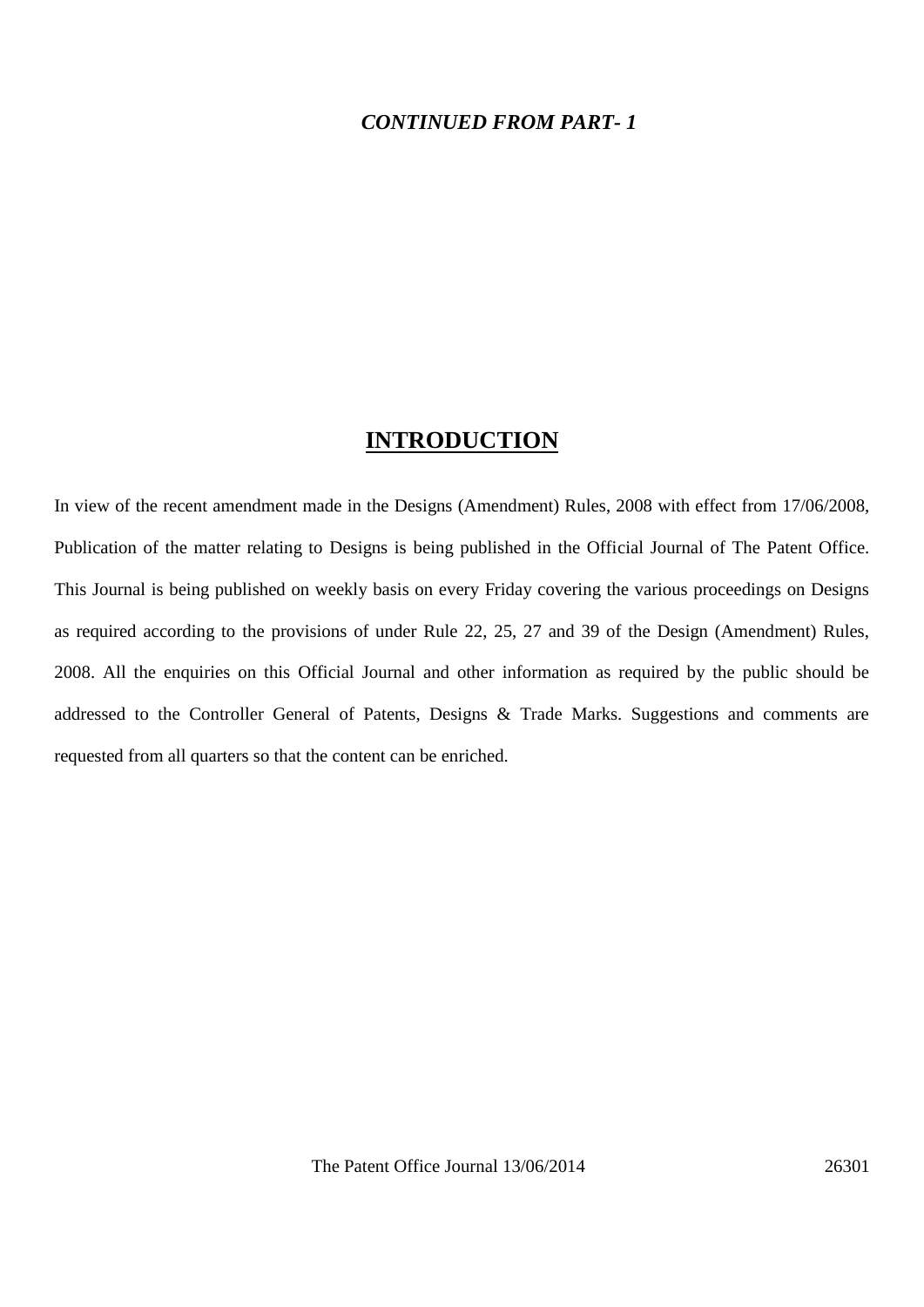## *CONTINUED FROM PART- 1*

## **INTRODUCTION**

In view of the recent amendment made in the Designs (Amendment) Rules, 2008 with effect from 17/06/2008, Publication of the matter relating to Designs is being published in the Official Journal of The Patent Office. This Journal is being published on weekly basis on every Friday covering the various proceedings on Designs as required according to the provisions of under Rule 22, 25, 27 and 39 of the Design (Amendment) Rules, 2008. All the enquiries on this Official Journal and other information as required by the public should be addressed to the Controller General of Patents, Designs & Trade Marks. Suggestions and comments are requested from all quarters so that the content can be enriched.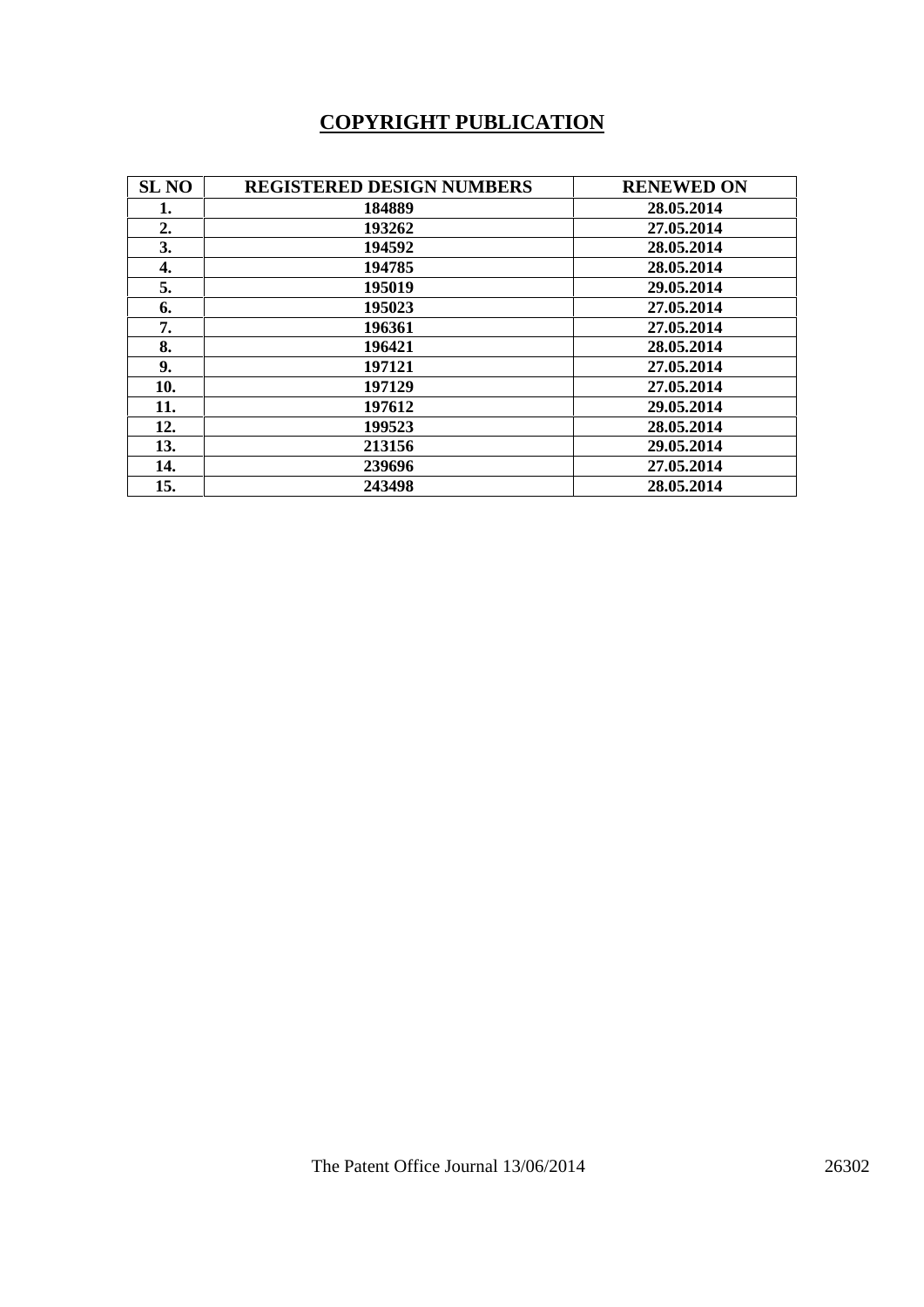## **COPYRIGHT PUBLICATION**

| <b>SL NO</b> | <b>REGISTERED DESIGN NUMBERS</b> | <b>RENEWED ON</b> |
|--------------|----------------------------------|-------------------|
| 1.           | 184889                           | 28.05.2014        |
| 2.           | 193262                           | 27.05.2014        |
| 3.           | 194592                           | 28.05.2014        |
| 4.           | 194785                           | 28.05.2014        |
| 5.           | 195019                           | 29.05.2014        |
| 6.           | 195023                           | 27.05.2014        |
| 7.           | 196361                           | 27.05.2014        |
| 8.           | 196421                           | 28.05.2014        |
| 9.           | 197121                           | 27.05.2014        |
| 10.          | 197129                           | 27.05.2014        |
| 11.          | 197612                           | 29.05.2014        |
| 12.          | 199523                           | 28.05.2014        |
| 13.          | 213156                           | 29.05.2014        |
| 14.          | 239696                           | 27.05.2014        |
| 15.          | 243498                           | 28.05.2014        |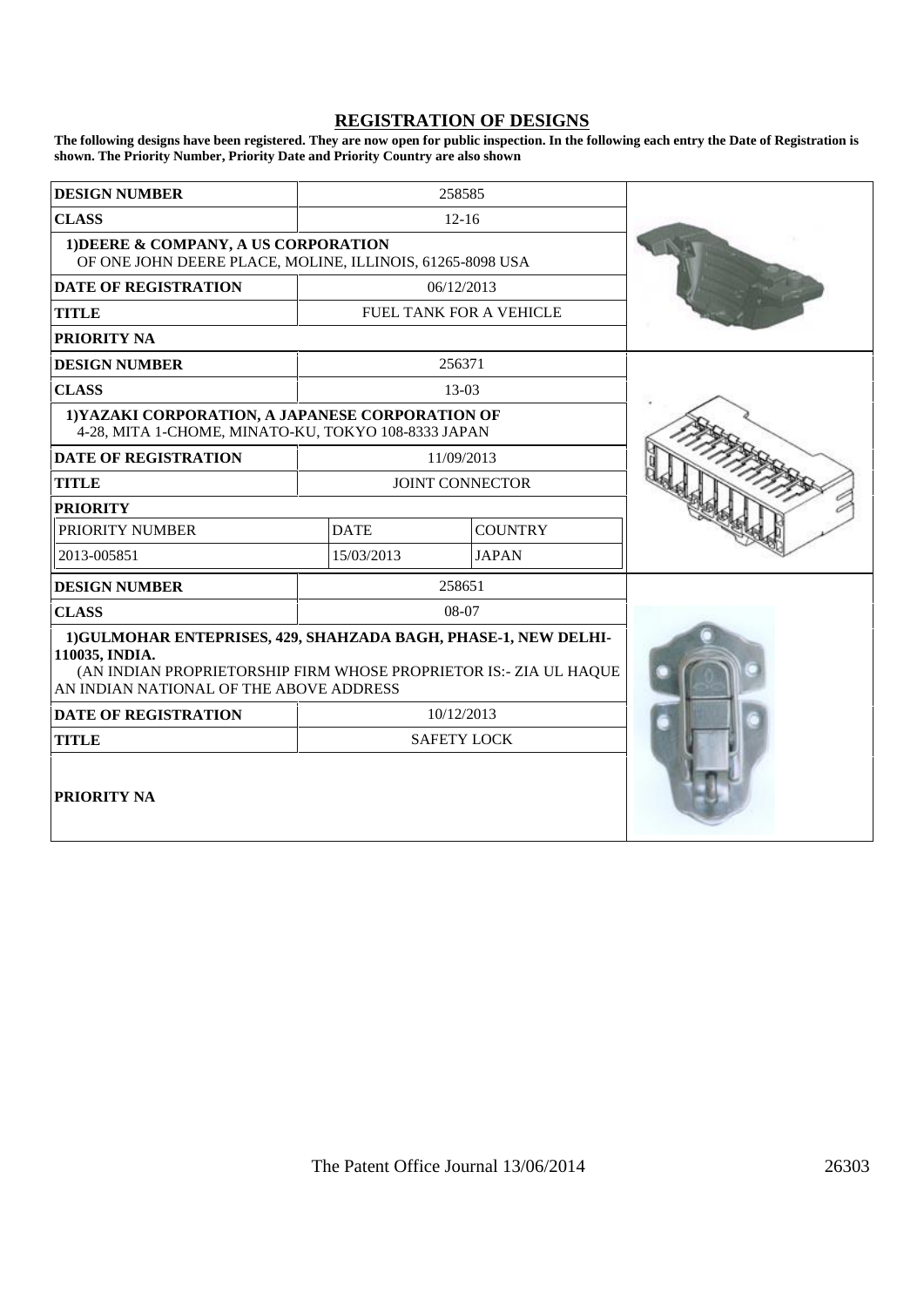## **REGISTRATION OF DESIGNS**

**The following designs have been registered. They are now open for public inspection. In the following each entry the Date of Registration is shown. The Priority Number, Priority Date and Priority Country are also shown**

| <b>DESIGN NUMBER</b>                                                                                                                                                                              | 258585      |                         |  |
|---------------------------------------------------------------------------------------------------------------------------------------------------------------------------------------------------|-------------|-------------------------|--|
| <b>CLASS</b>                                                                                                                                                                                      |             | $12 - 16$               |  |
| 1) DEERE & COMPANY, A US CORPORATION<br>OF ONE JOHN DEERE PLACE, MOLINE, ILLINOIS, 61265-8098 USA                                                                                                 |             |                         |  |
| <b>DATE OF REGISTRATION</b>                                                                                                                                                                       |             | 06/12/2013              |  |
| <b>TITLE</b>                                                                                                                                                                                      |             | FUEL TANK FOR A VEHICLE |  |
| <b>PRIORITY NA</b>                                                                                                                                                                                |             |                         |  |
| <b>DESIGN NUMBER</b>                                                                                                                                                                              |             | 256371                  |  |
| <b>CLASS</b>                                                                                                                                                                                      |             | 13-03                   |  |
| 1) YAZAKI CORPORATION, A JAPANESE CORPORATION OF<br>4-28, MITA 1-CHOME, MINATO-KU, TOKYO 108-8333 JAPAN                                                                                           |             |                         |  |
| <b>DATE OF REGISTRATION</b>                                                                                                                                                                       | 11/09/2013  |                         |  |
| <b>TITLE</b>                                                                                                                                                                                      |             | <b>JOINT CONNECTOR</b>  |  |
| <b>PRIORITY</b>                                                                                                                                                                                   |             |                         |  |
| PRIORITY NUMBER                                                                                                                                                                                   | <b>DATE</b> | <b>COUNTRY</b>          |  |
| 2013-005851                                                                                                                                                                                       | 15/03/2013  | <b>JAPAN</b>            |  |
| <b>DESIGN NUMBER</b>                                                                                                                                                                              |             | 258651                  |  |
| <b>CLASS</b>                                                                                                                                                                                      |             | $08-07$                 |  |
| 1) GULMOHAR ENTEPRISES, 429, SHAHZADA BAGH, PHASE-1, NEW DELHI-<br>110035, INDIA.<br>(AN INDIAN PROPRIETORSHIP FIRM WHOSE PROPRIETOR IS:- ZIA UL HAQUE<br>AN INDIAN NATIONAL OF THE ABOVE ADDRESS |             |                         |  |
| <b>DATE OF REGISTRATION</b>                                                                                                                                                                       |             | 10/12/2013              |  |
| <b>TITLE</b><br><b>SAFETY LOCK</b>                                                                                                                                                                |             |                         |  |
| <b>PRIORITY NA</b>                                                                                                                                                                                |             |                         |  |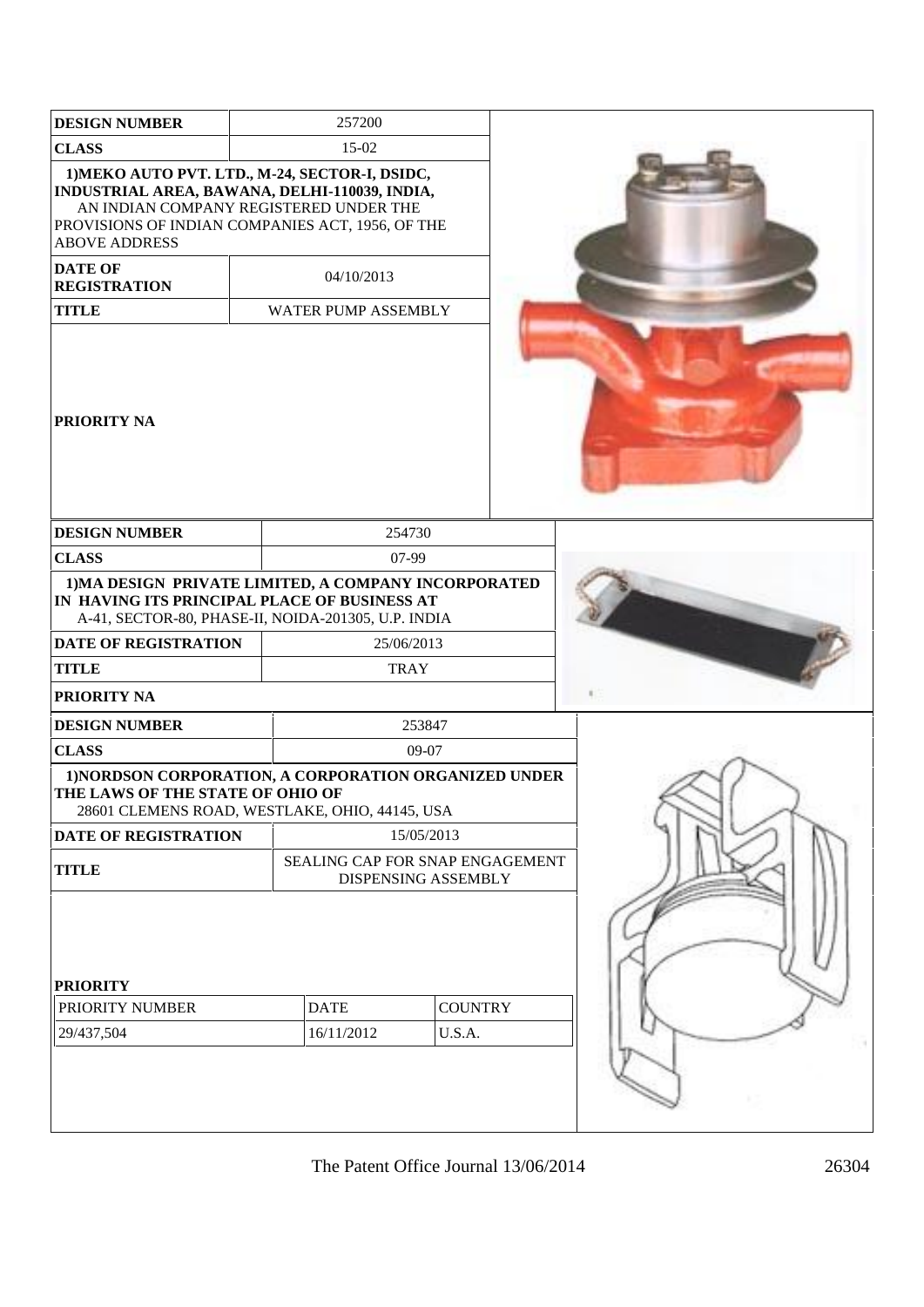| <b>DESIGN NUMBER</b>                                                                                                                                                                                                  |  | 257200                                                                            |                          |  |
|-----------------------------------------------------------------------------------------------------------------------------------------------------------------------------------------------------------------------|--|-----------------------------------------------------------------------------------|--------------------------|--|
| <b>CLASS</b>                                                                                                                                                                                                          |  | 15-02                                                                             |                          |  |
| 1) MEKO AUTO PVT. LTD., M-24, SECTOR-I, DSIDC,<br>INDUSTRIAL AREA, BAWANA, DELHI-110039, INDIA,<br>AN INDIAN COMPANY REGISTERED UNDER THE<br>PROVISIONS OF INDIAN COMPANIES ACT, 1956, OF THE<br><b>ABOVE ADDRESS</b> |  |                                                                                   |                          |  |
| <b>DATE OF</b><br><b>REGISTRATION</b>                                                                                                                                                                                 |  | 04/10/2013                                                                        |                          |  |
| <b>TITLE</b>                                                                                                                                                                                                          |  | WATER PUMP ASSEMBLY                                                               |                          |  |
| <b>PRIORITY NA</b>                                                                                                                                                                                                    |  |                                                                                   |                          |  |
| <b>DESIGN NUMBER</b>                                                                                                                                                                                                  |  | 254730                                                                            |                          |  |
| <b>CLASS</b>                                                                                                                                                                                                          |  | 07-99                                                                             |                          |  |
| IN HAVING ITS PRINCIPAL PLACE OF BUSINESS AT<br>A-41, SECTOR-80, PHASE-II, NOIDA-201305, U.P. INDIA<br><b>DATE OF REGISTRATION</b><br><b>TITLE</b>                                                                    |  | 1) MA DESIGN PRIVATE LIMITED, A COMPANY INCORPORATED<br>25/06/2013<br><b>TRAY</b> |                          |  |
| PRIORITY NA                                                                                                                                                                                                           |  |                                                                                   |                          |  |
| <b>DESIGN NUMBER</b>                                                                                                                                                                                                  |  | 253847                                                                            |                          |  |
| <b>CLASS</b>                                                                                                                                                                                                          |  | 09-07                                                                             |                          |  |
| 1) NORDSON CORPORATION, A CORPORATION ORGANIZED UNDER<br>THE LAWS OF THE STATE OF OHIO OF<br>28601 CLEMENS ROAD, WESTLAKE, OHIO, 44145, USA                                                                           |  |                                                                                   |                          |  |
| DATE OF REGISTRATION                                                                                                                                                                                                  |  |                                                                                   | 15/05/2013               |  |
| <b>TITLE</b>                                                                                                                                                                                                          |  | SEALING CAP FOR SNAP ENGAGEMENT<br>DISPENSING ASSEMBLY                            |                          |  |
| <b>PRIORITY</b><br>PRIORITY NUMBER<br>29/437,504                                                                                                                                                                      |  | <b>DATE</b><br>16/11/2012                                                         | <b>COUNTRY</b><br>U.S.A. |  |
|                                                                                                                                                                                                                       |  |                                                                                   |                          |  |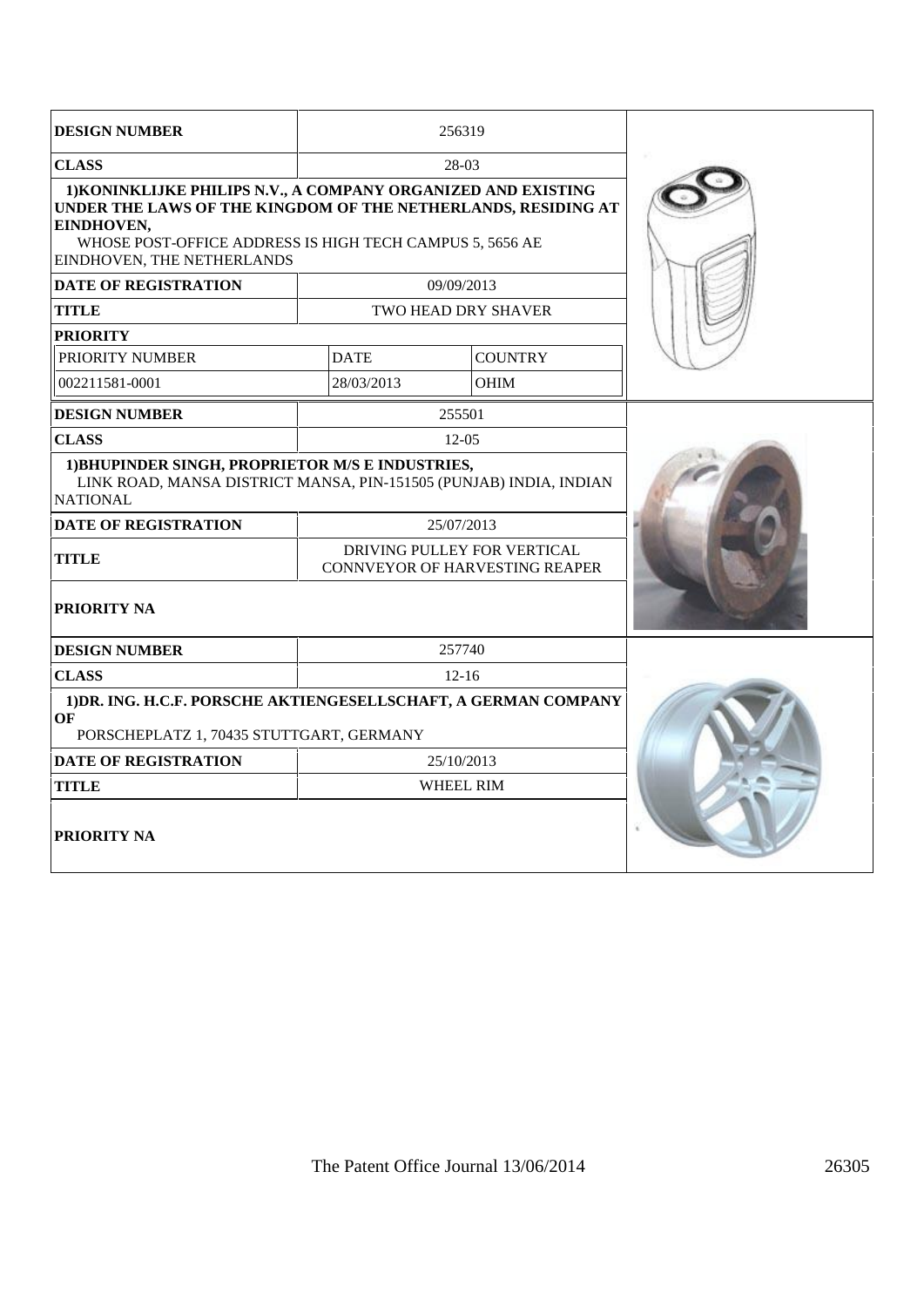| <b>DESIGN NUMBER</b>                                                                                                                                                                                                                   | 256319                                                               |                            |  |
|----------------------------------------------------------------------------------------------------------------------------------------------------------------------------------------------------------------------------------------|----------------------------------------------------------------------|----------------------------|--|
| <b>CLASS</b>                                                                                                                                                                                                                           | 28-03                                                                |                            |  |
| 1) KONINKLIJKE PHILIPS N.V., A COMPANY ORGANIZED AND EXISTING<br>UNDER THE LAWS OF THE KINGDOM OF THE NETHERLANDS, RESIDING AT<br>EINDHOVEN,<br>WHOSE POST-OFFICE ADDRESS IS HIGH TECH CAMPUS 5, 5656 AE<br>EINDHOVEN, THE NETHERLANDS |                                                                      |                            |  |
| <b>DATE OF REGISTRATION</b>                                                                                                                                                                                                            |                                                                      | 09/09/2013                 |  |
| <b>TITLE</b>                                                                                                                                                                                                                           |                                                                      | <b>TWO HEAD DRY SHAVER</b> |  |
| <b>PRIORITY</b>                                                                                                                                                                                                                        |                                                                      |                            |  |
| PRIORITY NUMBER                                                                                                                                                                                                                        | <b>DATE</b>                                                          | <b>COUNTRY</b>             |  |
| 002211581-0001                                                                                                                                                                                                                         | 28/03/2013                                                           | <b>OHIM</b>                |  |
| <b>DESIGN NUMBER</b>                                                                                                                                                                                                                   |                                                                      | 255501                     |  |
| <b>CLASS</b>                                                                                                                                                                                                                           |                                                                      | $12-0.5$                   |  |
| 1) BHUPINDER SINGH, PROPRIETOR M/S E INDUSTRIES,<br>LINK ROAD, MANSA DISTRICT MANSA, PIN-151505 (PUNJAB) INDIA, INDIAN<br><b>NATIONAL</b>                                                                                              |                                                                      |                            |  |
| <b>DATE OF REGISTRATION</b>                                                                                                                                                                                                            | 25/07/2013                                                           |                            |  |
| <b>TITLE</b>                                                                                                                                                                                                                           | DRIVING PULLEY FOR VERTICAL<br><b>CONNVEYOR OF HARVESTING REAPER</b> |                            |  |
| <b>PRIORITY NA</b>                                                                                                                                                                                                                     |                                                                      |                            |  |
| <b>DESIGN NUMBER</b>                                                                                                                                                                                                                   |                                                                      | 257740                     |  |
| <b>CLASS</b>                                                                                                                                                                                                                           |                                                                      | $12 - 16$                  |  |
| 1) DR. ING. H.C.F. PORSCHE AKTIENGESELLSCHAFT, A GERMAN COMPANY<br>OF<br>PORSCHEPLATZ 1, 70435 STUTTGART, GERMANY                                                                                                                      |                                                                      |                            |  |
| 25/10/2013<br><b>DATE OF REGISTRATION</b>                                                                                                                                                                                              |                                                                      |                            |  |
| <b>TITLE</b><br>WHEEL RIM                                                                                                                                                                                                              |                                                                      |                            |  |
| <b>PRIORITY NA</b>                                                                                                                                                                                                                     |                                                                      |                            |  |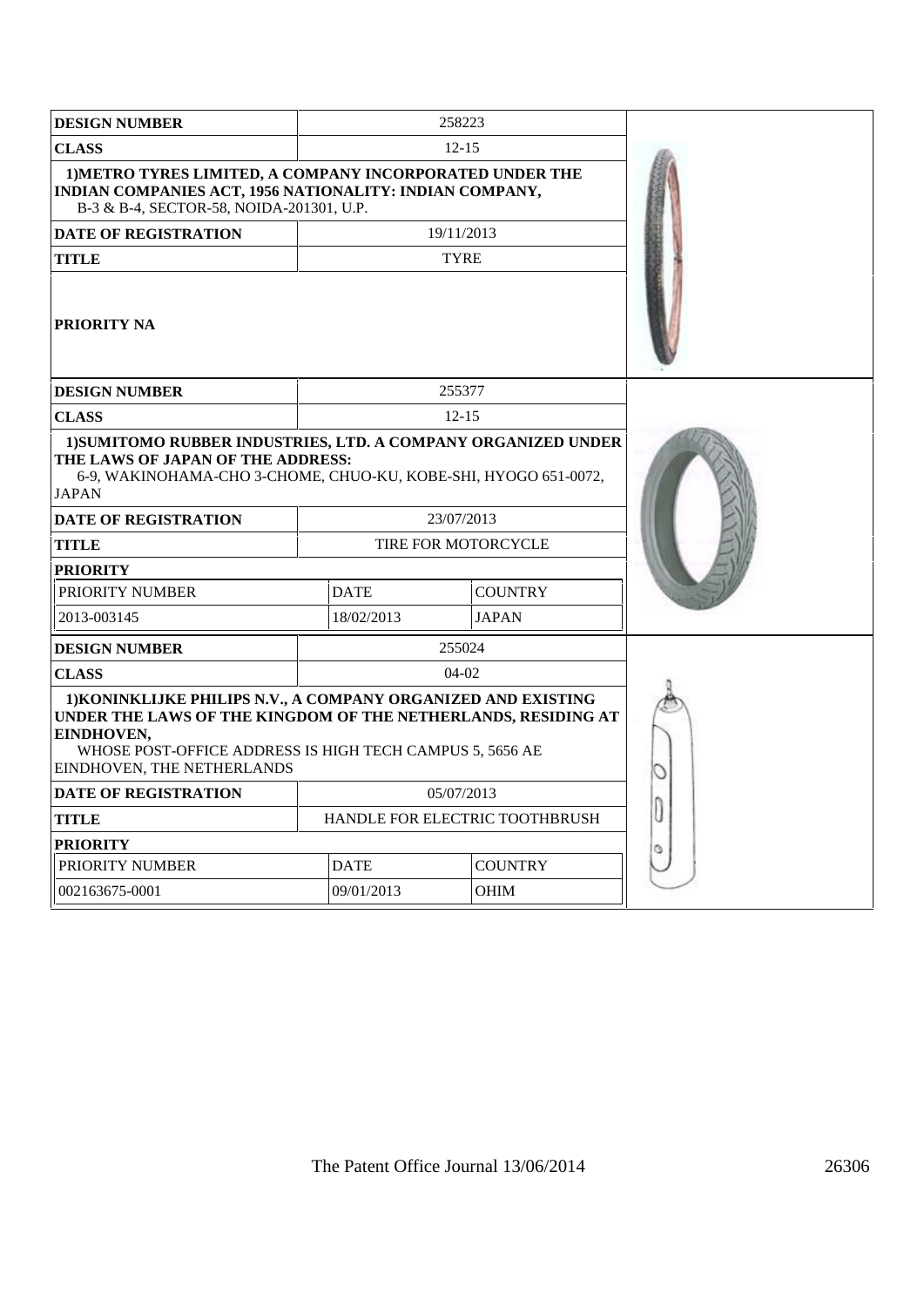| <b>DESIGN NUMBER</b>                                                                                                                                                                                                                   |             | 258223                         |  |
|----------------------------------------------------------------------------------------------------------------------------------------------------------------------------------------------------------------------------------------|-------------|--------------------------------|--|
| <b>CLASS</b>                                                                                                                                                                                                                           | $12 - 15$   |                                |  |
| 1) METRO TYRES LIMITED, A COMPANY INCORPORATED UNDER THE<br>INDIAN COMPANIES ACT, 1956 NATIONALITY: INDIAN COMPANY,<br>B-3 & B-4, SECTOR-58, NOIDA-201301, U.P.                                                                        |             |                                |  |
| <b>DATE OF REGISTRATION</b>                                                                                                                                                                                                            |             | 19/11/2013                     |  |
| <b>TITLE</b>                                                                                                                                                                                                                           |             | <b>TYRE</b>                    |  |
| PRIORITY NA                                                                                                                                                                                                                            |             |                                |  |
| <b>DESIGN NUMBER</b>                                                                                                                                                                                                                   |             | 255377                         |  |
| <b>CLASS</b>                                                                                                                                                                                                                           |             | $12 - 15$                      |  |
| 1) SUMITOMO RUBBER INDUSTRIES, LTD. A COMPANY ORGANIZED UNDER<br>THE LAWS OF JAPAN OF THE ADDRESS:<br>6-9, WAKINOHAMA-CHO 3-CHOME, CHUO-KU, KOBE-SHI, HYOGO 651-0072,<br><b>JAPAN</b>                                                  |             |                                |  |
| <b>DATE OF REGISTRATION</b>                                                                                                                                                                                                            |             | 23/07/2013                     |  |
| <b>TITLE</b>                                                                                                                                                                                                                           |             | TIRE FOR MOTORCYCLE            |  |
| <b>PRIORITY</b>                                                                                                                                                                                                                        |             |                                |  |
| PRIORITY NUMBER                                                                                                                                                                                                                        | <b>DATE</b> | <b>COUNTRY</b>                 |  |
| 2013-003145                                                                                                                                                                                                                            | 18/02/2013  | <b>JAPAN</b>                   |  |
| <b>DESIGN NUMBER</b>                                                                                                                                                                                                                   |             | 255024                         |  |
| <b>CLASS</b>                                                                                                                                                                                                                           |             | 04-02                          |  |
| 1) KONINKLIJKE PHILIPS N.V., A COMPANY ORGANIZED AND EXISTING<br>UNDER THE LAWS OF THE KINGDOM OF THE NETHERLANDS, RESIDING AT<br>EINDHOVEN.<br>WHOSE POST-OFFICE ADDRESS IS HIGH TECH CAMPUS 5, 5656 AE<br>EINDHOVEN, THE NETHERLANDS |             |                                |  |
| <b>DATE OF REGISTRATION</b>                                                                                                                                                                                                            |             | 05/07/2013                     |  |
| TITLE                                                                                                                                                                                                                                  |             | HANDLE FOR ELECTRIC TOOTHBRUSH |  |
| <b>PRIORITY</b>                                                                                                                                                                                                                        |             |                                |  |
| PRIORITY NUMBER                                                                                                                                                                                                                        | <b>DATE</b> | <b>COUNTRY</b>                 |  |
| 002163675-0001                                                                                                                                                                                                                         | 09/01/2013  | <b>OHIM</b>                    |  |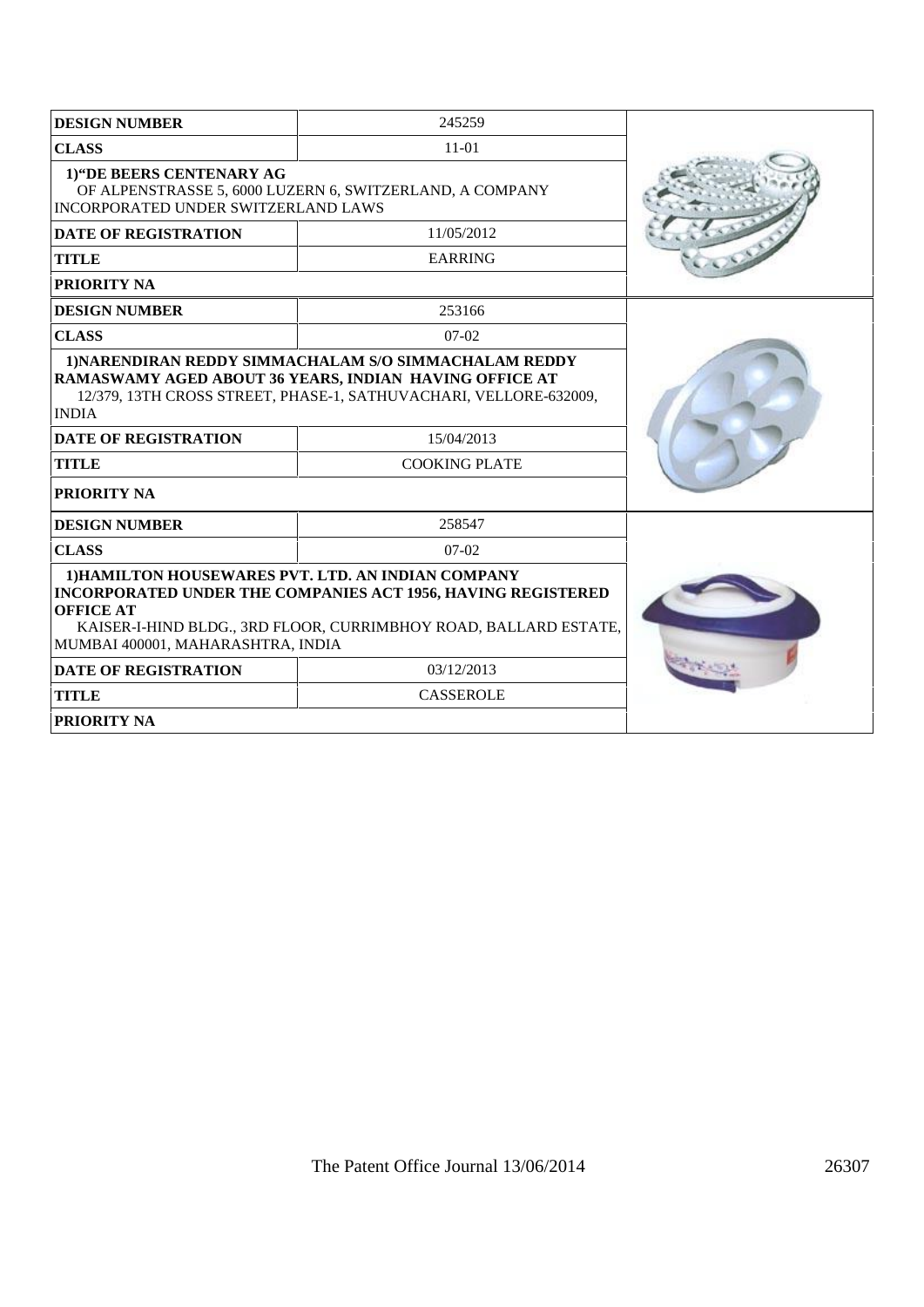| <b>DESIGN NUMBER</b>                                                                                                                                                                                                                                               | 245259           |  |  |
|--------------------------------------------------------------------------------------------------------------------------------------------------------------------------------------------------------------------------------------------------------------------|------------------|--|--|
| <b>CLASS</b>                                                                                                                                                                                                                                                       | $11-01$          |  |  |
| 1) "DE BEERS CENTENARY AG<br>OF ALPENSTRASSE 5, 6000 LUZERN 6, SWITZERLAND, A COMPANY<br>INCORPORATED UNDER SWITZERLAND LAWS                                                                                                                                       |                  |  |  |
| <b>DATE OF REGISTRATION</b>                                                                                                                                                                                                                                        | 11/05/2012       |  |  |
| <b>TITLE</b>                                                                                                                                                                                                                                                       | <b>EARRING</b>   |  |  |
| <b>PRIORITY NA</b>                                                                                                                                                                                                                                                 |                  |  |  |
| <b>DESIGN NUMBER</b>                                                                                                                                                                                                                                               | 253166           |  |  |
| <b>CLASS</b>                                                                                                                                                                                                                                                       | $07-02$          |  |  |
| 1) NARENDIRAN REDDY SIMMACHALAM S/O SIMMACHALAM REDDY<br>RAMASWAMY AGED ABOUT 36 YEARS, INDIAN HAVING OFFICE AT<br>12/379, 13TH CROSS STREET, PHASE-1, SATHUVACHARI, VELLORE-632009,<br><b>INDIA</b><br><b>DATE OF REGISTRATION</b><br><b>TITLE</b><br>PRIORITY NA |                  |  |  |
| <b>DESIGN NUMBER</b>                                                                                                                                                                                                                                               | 258547           |  |  |
| <b>CLASS</b>                                                                                                                                                                                                                                                       | $07-02$          |  |  |
| 1) HAMILTON HOUSEWARES PVT. LTD. AN INDIAN COMPANY<br>INCORPORATED UNDER THE COMPANIES ACT 1956, HAVING REGISTERED<br><b>OFFICE AT</b><br>KAISER-I-HIND BLDG., 3RD FLOOR, CURRIMBHOY ROAD, BALLARD ESTATE,<br>MUMBAI 400001, MAHARASHTRA, INDIA                    |                  |  |  |
| <b>DATE OF REGISTRATION</b>                                                                                                                                                                                                                                        | 03/12/2013       |  |  |
| <b>TITLE</b>                                                                                                                                                                                                                                                       | <b>CASSEROLE</b> |  |  |
| <b>PRIORITY NA</b>                                                                                                                                                                                                                                                 |                  |  |  |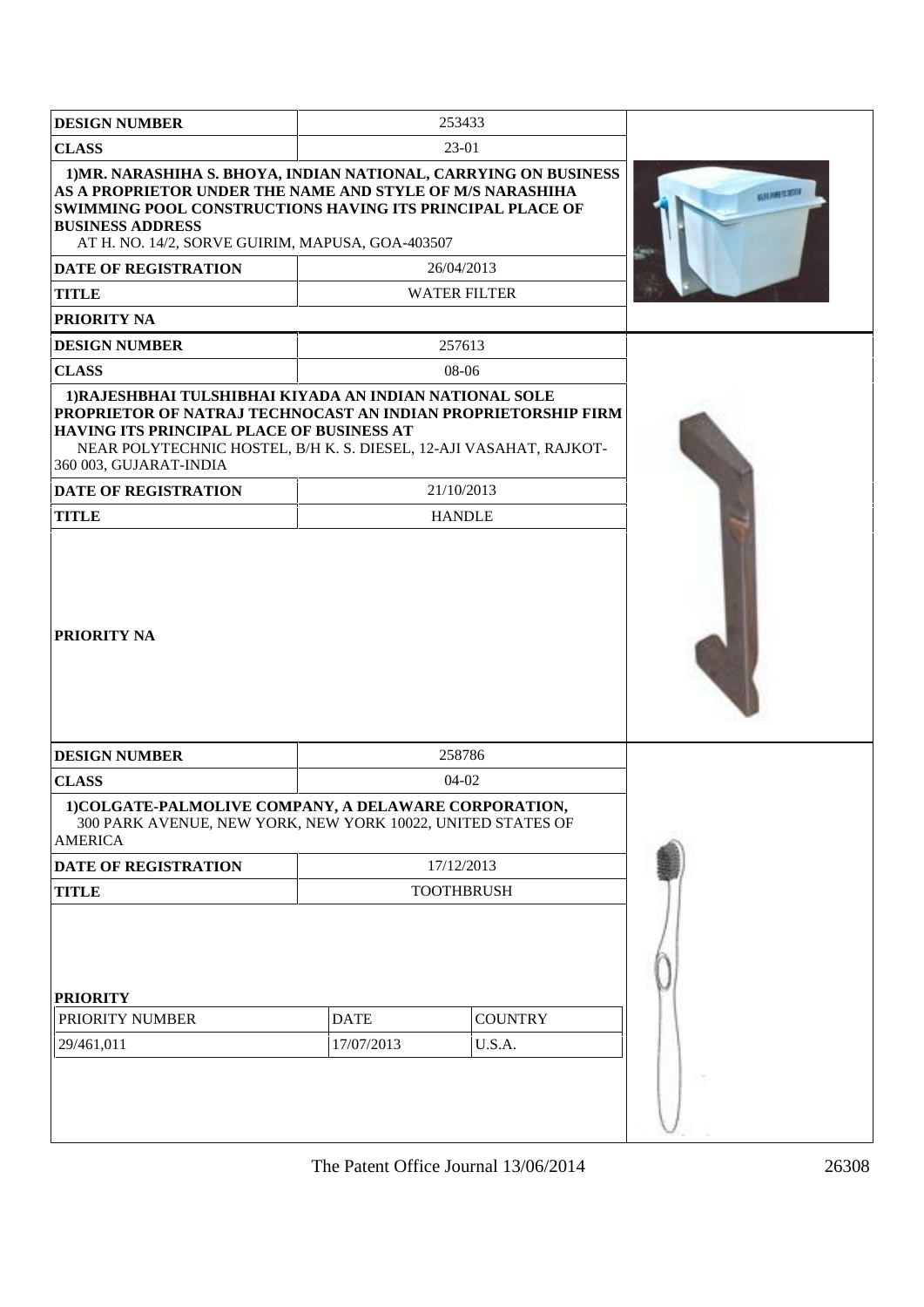| <b>DESIGN NUMBER</b>                                                                                                                                                                                                                                                             |                           | 253433                   |  |
|----------------------------------------------------------------------------------------------------------------------------------------------------------------------------------------------------------------------------------------------------------------------------------|---------------------------|--------------------------|--|
|                                                                                                                                                                                                                                                                                  |                           |                          |  |
| <b>CLASS</b>                                                                                                                                                                                                                                                                     |                           | 23-01                    |  |
| 1) MR. NARASHIHA S. BHOYA, INDIAN NATIONAL, CARRYING ON BUSINESS<br>AS A PROPRIETOR UNDER THE NAME AND STYLE OF M/S NARASHIHA<br><b>SWIMMING POOL CONSTRUCTIONS HAVING ITS PRINCIPAL PLACE OF</b><br><b>BUSINESS ADDRESS</b><br>AT H. NO. 14/2, SORVE GUIRIM, MAPUSA, GOA-403507 | <b>AMAN USA</b>           |                          |  |
| <b>DATE OF REGISTRATION</b>                                                                                                                                                                                                                                                      |                           | 26/04/2013               |  |
| <b>TITLE</b>                                                                                                                                                                                                                                                                     |                           | <b>WATER FILTER</b>      |  |
| <b>PRIORITY NA</b>                                                                                                                                                                                                                                                               |                           |                          |  |
| <b>DESIGN NUMBER</b>                                                                                                                                                                                                                                                             |                           | 257613                   |  |
| <b>CLASS</b>                                                                                                                                                                                                                                                                     |                           | 08-06                    |  |
| 1) RAJESHBHAI TULSHIBHAI KIYADA AN INDIAN NATIONAL SOLE<br>PROPRIETOR OF NATRAJ TECHNOCAST AN INDIAN PROPRIETORSHIP FIRM<br><b>HAVING ITS PRINCIPAL PLACE OF BUSINESS AT</b><br>NEAR POLYTECHNIC HOSTEL, B/H K. S. DIESEL, 12-AJI VASAHAT, RAJKOT-<br>360 003, GUJARAT-INDIA     |                           |                          |  |
| <b>DATE OF REGISTRATION</b>                                                                                                                                                                                                                                                      |                           | 21/10/2013               |  |
| <b>TITLE</b>                                                                                                                                                                                                                                                                     |                           | <b>HANDLE</b>            |  |
| <b>PRIORITY NA</b>                                                                                                                                                                                                                                                               |                           |                          |  |
| <b>DESIGN NUMBER</b>                                                                                                                                                                                                                                                             |                           | 258786                   |  |
| <b>CLASS</b>                                                                                                                                                                                                                                                                     |                           | 04-02                    |  |
| 1) COLGATE-PALMOLIVE COMPANY, A DELAWARE CORPORATION,<br>300 PARK AVENUE, NEW YORK, NEW YORK 10022, UNITED STATES OF<br><b>AMERICA</b>                                                                                                                                           |                           |                          |  |
| DATE OF REGISTRATION                                                                                                                                                                                                                                                             |                           | 17/12/2013               |  |
| <b>TITLE</b>                                                                                                                                                                                                                                                                     |                           | <b>TOOTHBRUSH</b>        |  |
| <b>PRIORITY</b><br>PRIORITY NUMBER<br>29/461,011                                                                                                                                                                                                                                 | <b>DATE</b><br>17/07/2013 | <b>COUNTRY</b><br>U.S.A. |  |
|                                                                                                                                                                                                                                                                                  |                           |                          |  |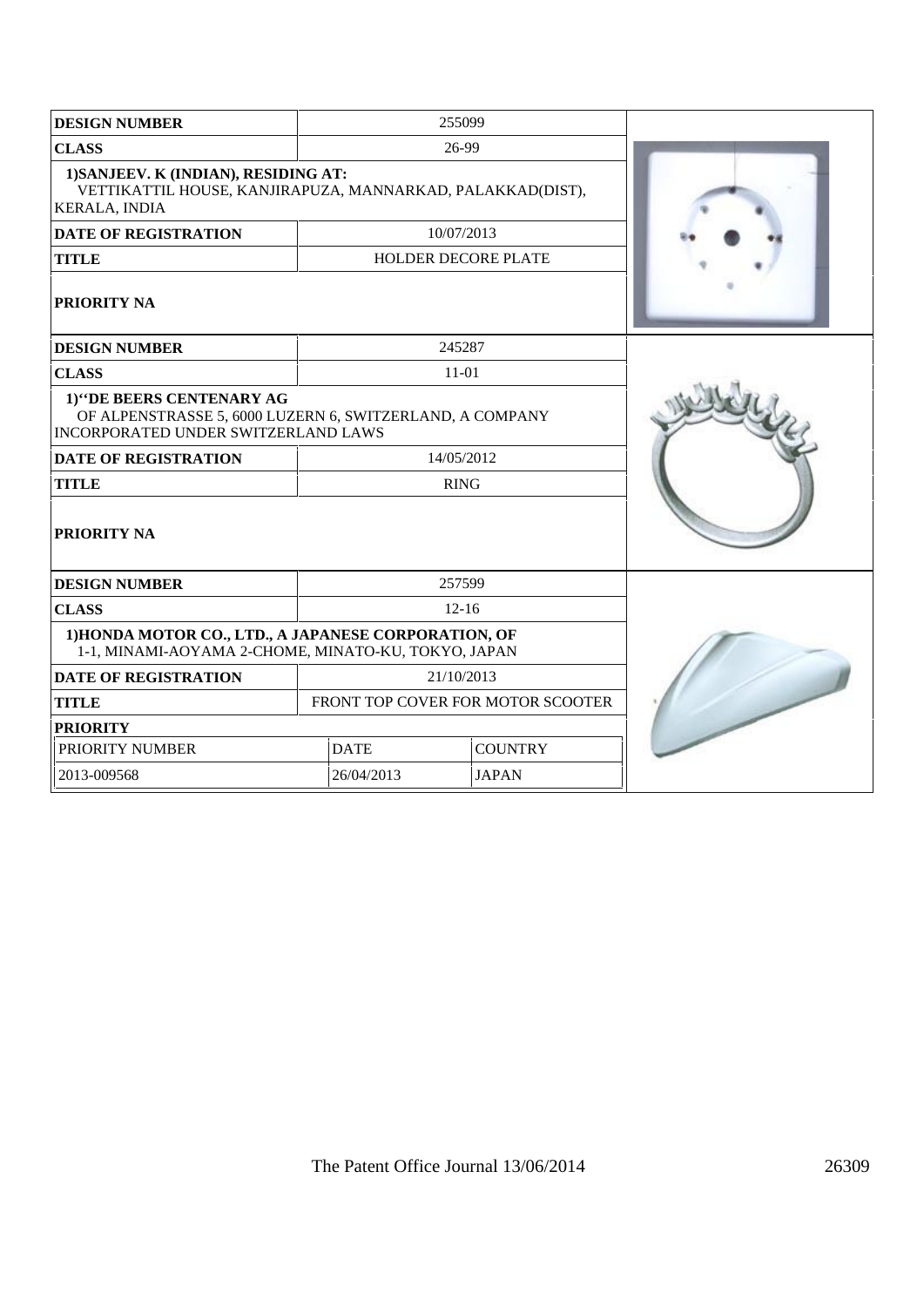| <b>DESIGN NUMBER</b>                                                                                                        |                                   | 255099                     |  |
|-----------------------------------------------------------------------------------------------------------------------------|-----------------------------------|----------------------------|--|
| <b>CLASS</b>                                                                                                                | 26-99                             |                            |  |
| 1) SANJEEV. K (INDIAN), RESIDING AT:<br>VETTIKATTIL HOUSE, KANJIRAPUZA, MANNARKAD, PALAKKAD(DIST),<br><b>KERALA, INDIA</b>  |                                   |                            |  |
| <b>DATE OF REGISTRATION</b>                                                                                                 |                                   | 10/07/2013                 |  |
| <b>TITLE</b>                                                                                                                |                                   | <b>HOLDER DECORE PLATE</b> |  |
| <b>PRIORITY NA</b>                                                                                                          |                                   |                            |  |
| <b>DESIGN NUMBER</b>                                                                                                        |                                   | 245287                     |  |
| <b>CLASS</b>                                                                                                                |                                   | $11 - 01$                  |  |
| 1)"DE BEERS CENTENARY AG<br>OF ALPENSTRASSE 5, 6000 LUZERN 6, SWITZERLAND, A COMPANY<br>INCORPORATED UNDER SWITZERLAND LAWS |                                   |                            |  |
| <b>DATE OF REGISTRATION</b>                                                                                                 |                                   | 14/05/2012                 |  |
| <b>TITLE</b>                                                                                                                | <b>RING</b>                       |                            |  |
| <b>PRIORITY NA</b>                                                                                                          |                                   |                            |  |
| <b>DESIGN NUMBER</b>                                                                                                        |                                   | 257599                     |  |
| <b>CLASS</b>                                                                                                                | $12 - 16$                         |                            |  |
| 1) HONDA MOTOR CO., LTD., A JAPANESE CORPORATION, OF<br>1-1, MINAMI-AOYAMA 2-CHOME, MINATO-KU, TOKYO, JAPAN                 |                                   |                            |  |
| <b>DATE OF REGISTRATION</b>                                                                                                 |                                   | 21/10/2013                 |  |
| <b>TITLE</b>                                                                                                                | FRONT TOP COVER FOR MOTOR SCOOTER |                            |  |
| <b>PRIORITY</b>                                                                                                             |                                   |                            |  |
| PRIORITY NUMBER                                                                                                             | <b>DATE</b>                       | <b>COUNTRY</b>             |  |
| 2013-009568                                                                                                                 | 26/04/2013                        | <b>JAPAN</b>               |  |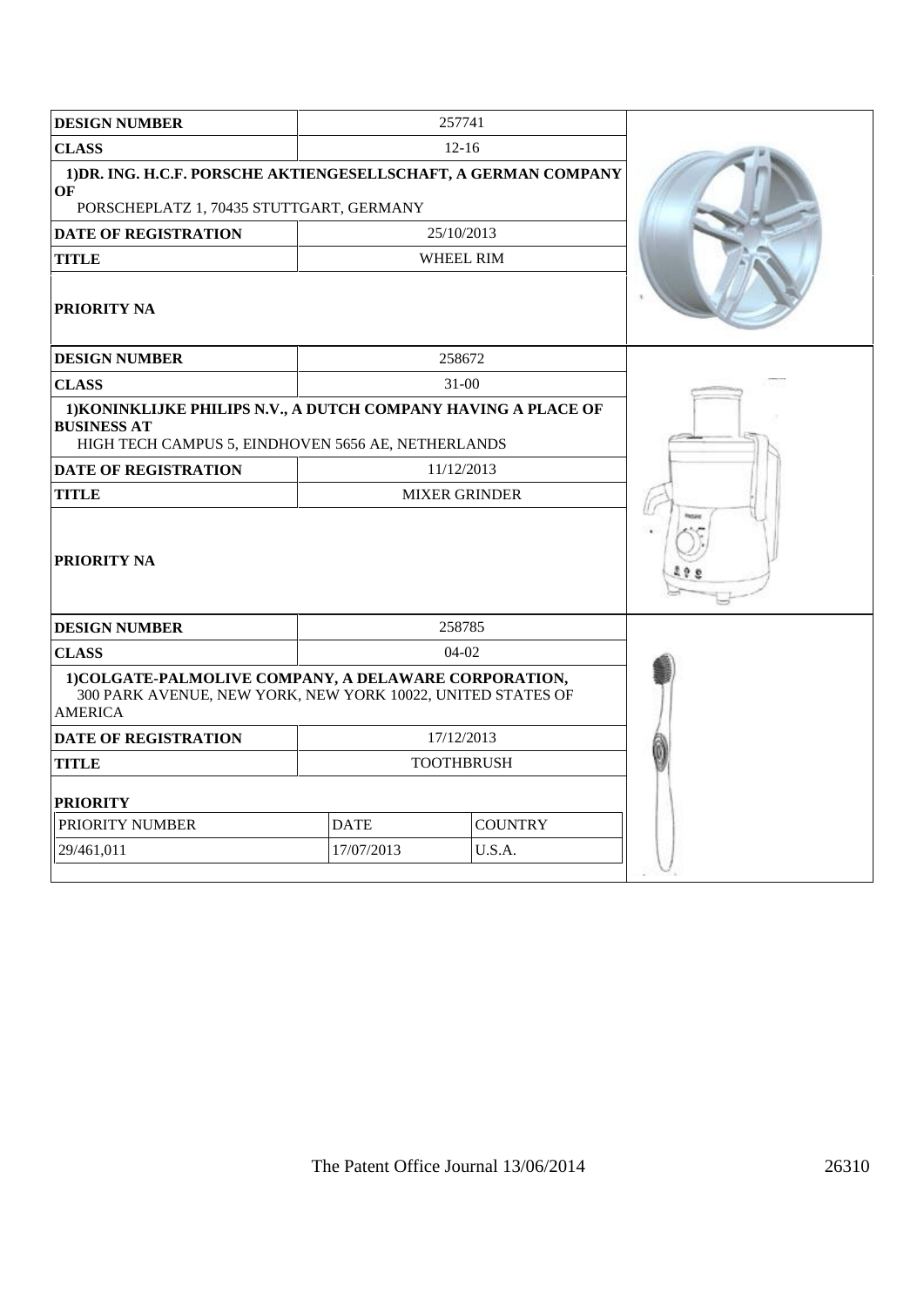| <b>DESIGN NUMBER</b>                                                                                                                       |                   | 257741           |  |
|--------------------------------------------------------------------------------------------------------------------------------------------|-------------------|------------------|--|
| <b>CLASS</b>                                                                                                                               | $12 - 16$         |                  |  |
| 1) DR. ING. H.C.F. PORSCHE AKTIENGESELLSCHAFT, A GERMAN COMPANY<br>OF<br>PORSCHEPLATZ 1, 70435 STUTTGART, GERMANY                          |                   |                  |  |
| <b>DATE OF REGISTRATION</b>                                                                                                                | 25/10/2013        |                  |  |
| <b>TITLE</b>                                                                                                                               |                   | <b>WHEEL RIM</b> |  |
| <b>PRIORITY NA</b>                                                                                                                         |                   |                  |  |
| <b>DESIGN NUMBER</b>                                                                                                                       |                   | 258672           |  |
| <b>CLASS</b>                                                                                                                               |                   | $31 - 00$        |  |
| 1) KONINKLIJKE PHILIPS N.V., A DUTCH COMPANY HAVING A PLACE OF<br><b>BUSINESS AT</b><br>HIGH TECH CAMPUS 5, EINDHOVEN 5656 AE, NETHERLANDS |                   |                  |  |
| <b>DATE OF REGISTRATION</b>                                                                                                                | 11/12/2013        |                  |  |
| <b>TITLE</b><br><b>MIXER GRINDER</b>                                                                                                       |                   |                  |  |
| <b>PRIORITY NA</b>                                                                                                                         |                   |                  |  |
| <b>DESIGN NUMBER</b>                                                                                                                       |                   | 258785           |  |
| <b>CLASS</b>                                                                                                                               |                   | 04-02            |  |
| 1) COLGATE-PALMOLIVE COMPANY, A DELAWARE CORPORATION,<br>300 PARK AVENUE, NEW YORK, NEW YORK 10022, UNITED STATES OF<br><b>AMERICA</b>     |                   |                  |  |
| <b>DATE OF REGISTRATION</b>                                                                                                                |                   | 17/12/2013       |  |
| <b>TITLE</b>                                                                                                                               | <b>TOOTHBRUSH</b> |                  |  |
| <b>PRIORITY</b>                                                                                                                            |                   |                  |  |
| PRIORITY NUMBER                                                                                                                            | <b>DATE</b>       | <b>COUNTRY</b>   |  |
| 29/461,011                                                                                                                                 | 17/07/2013        | U.S.A.           |  |
|                                                                                                                                            |                   |                  |  |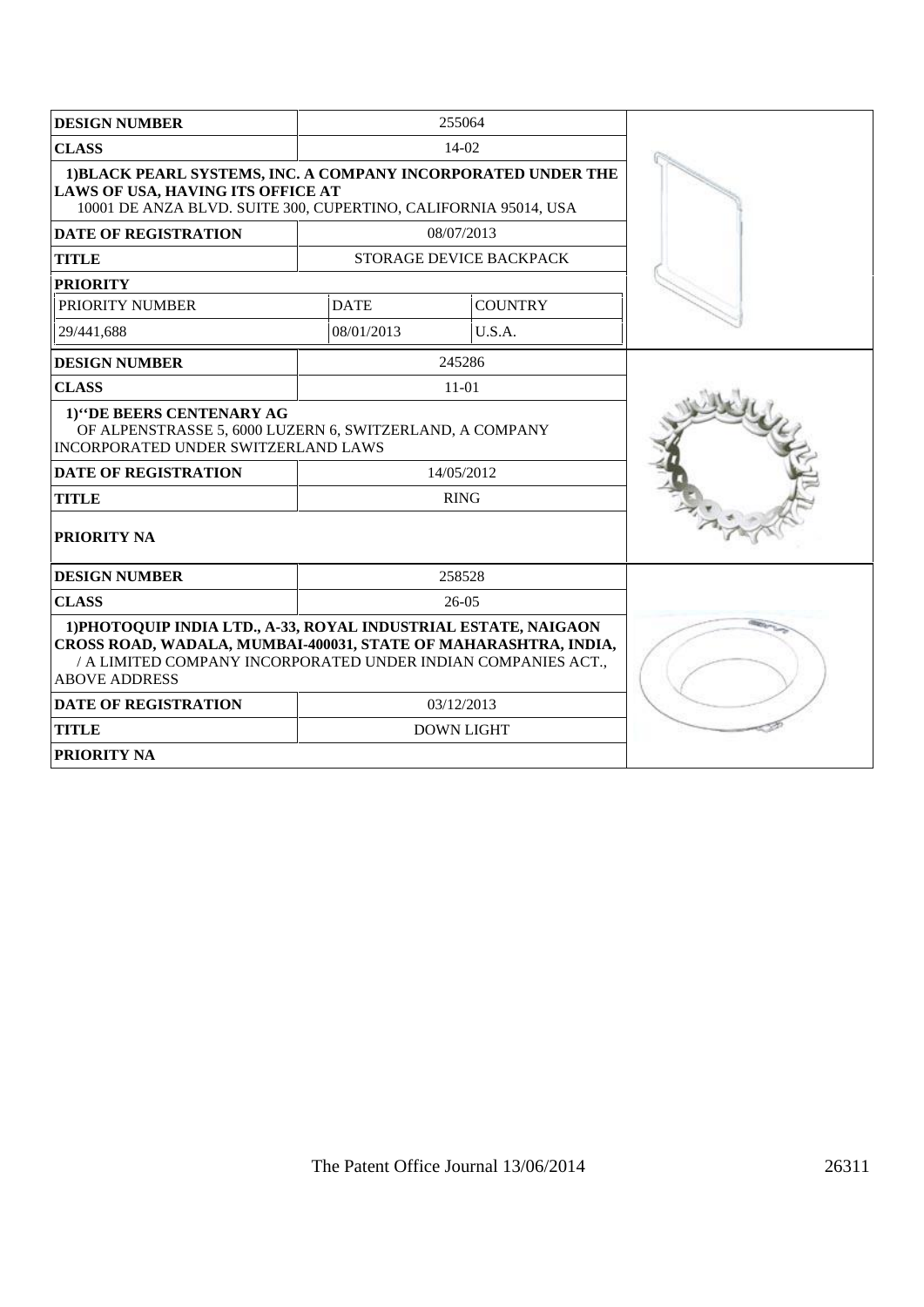| <b>DESIGN NUMBER</b>                                                                                                                                                                                                        | 255064            |                         |  |
|-----------------------------------------------------------------------------------------------------------------------------------------------------------------------------------------------------------------------------|-------------------|-------------------------|--|
| <b>CLASS</b>                                                                                                                                                                                                                |                   | $14-02$                 |  |
| 1) BLACK PEARL SYSTEMS, INC. A COMPANY INCORPORATED UNDER THE<br><b>LAWS OF USA, HAVING ITS OFFICE AT</b><br>10001 DE ANZA BLVD. SUITE 300, CUPERTINO, CALIFORNIA 95014, USA                                                |                   |                         |  |
| <b>DATE OF REGISTRATION</b>                                                                                                                                                                                                 |                   | 08/07/2013              |  |
| <b>TITLE</b>                                                                                                                                                                                                                |                   | STORAGE DEVICE BACKPACK |  |
| <b>PRIORITY</b>                                                                                                                                                                                                             |                   |                         |  |
| PRIORITY NUMBER                                                                                                                                                                                                             | <b>DATE</b>       | <b>COUNTRY</b>          |  |
| 29/441,688                                                                                                                                                                                                                  | 08/01/2013        | U.S.A.                  |  |
| <b>DESIGN NUMBER</b>                                                                                                                                                                                                        |                   | 245286                  |  |
| <b>CLASS</b>                                                                                                                                                                                                                |                   | 11-01                   |  |
| 1)"DE BEERS CENTENARY AG<br>OF ALPENSTRASSE 5, 6000 LUZERN 6, SWITZERLAND, A COMPANY<br><b>INCORPORATED UNDER SWITZERLAND LAWS</b>                                                                                          |                   |                         |  |
| <b>DATE OF REGISTRATION</b>                                                                                                                                                                                                 |                   | 14/05/2012              |  |
| <b>TITLE</b>                                                                                                                                                                                                                |                   | <b>RING</b>             |  |
| <b>PRIORITY NA</b>                                                                                                                                                                                                          |                   |                         |  |
| <b>DESIGN NUMBER</b>                                                                                                                                                                                                        |                   | 258528                  |  |
| <b>CLASS</b>                                                                                                                                                                                                                | $26-05$           |                         |  |
| 1) PHOTOQUIP INDIA LTD., A-33, ROYAL INDUSTRIAL ESTATE, NAIGAON<br>CROSS ROAD, WADALA, MUMBAI-400031, STATE OF MAHARASHTRA, INDIA,<br>/ A LIMITED COMPANY INCORPORATED UNDER INDIAN COMPANIES ACT.,<br><b>ABOVE ADDRESS</b> |                   |                         |  |
| 03/12/2013<br><b>DATE OF REGISTRATION</b>                                                                                                                                                                                   |                   |                         |  |
| <b>TITLE</b>                                                                                                                                                                                                                | <b>DOWN LIGHT</b> |                         |  |
| <b>PRIORITY NA</b>                                                                                                                                                                                                          |                   |                         |  |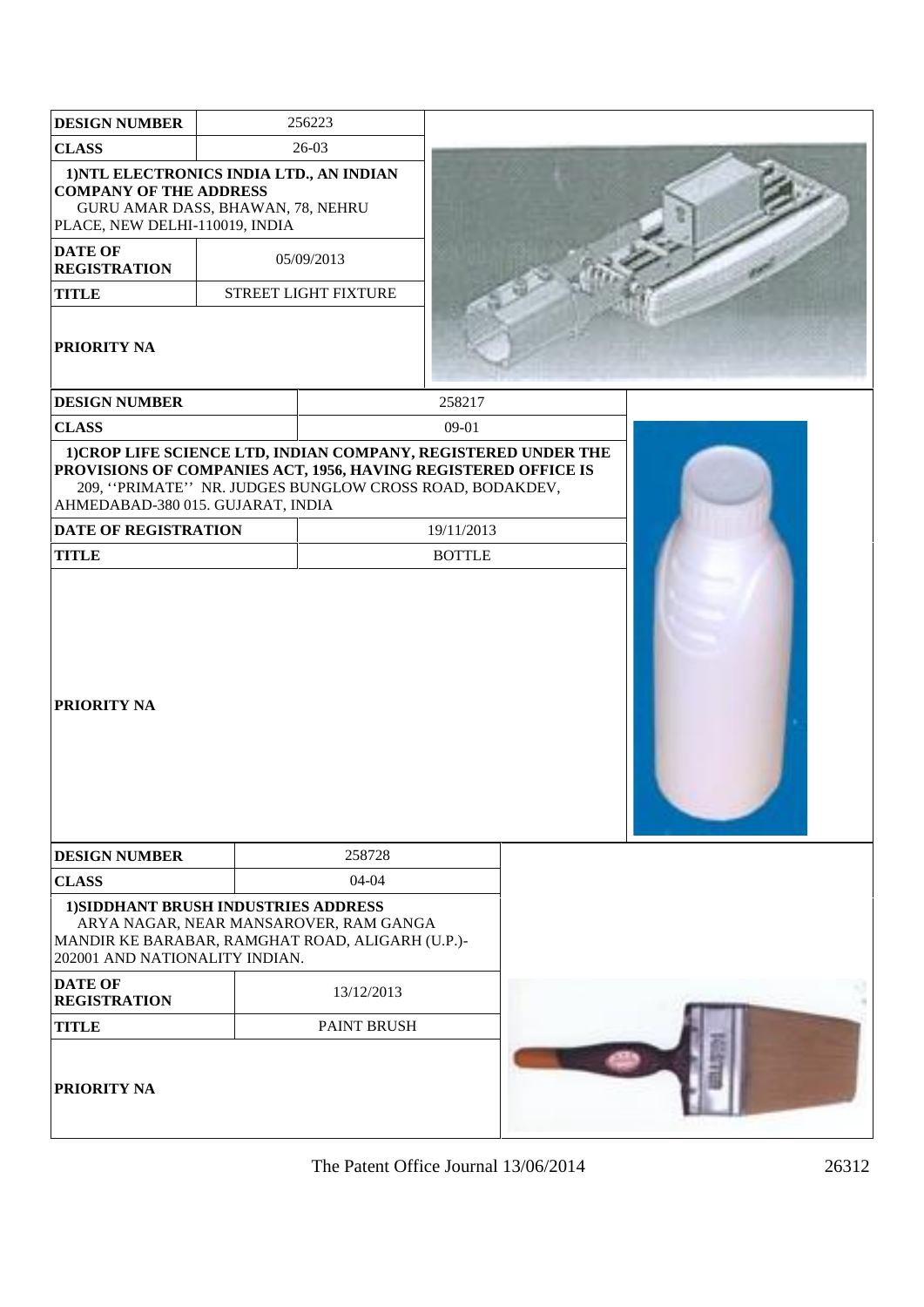| <b>DESIGN NUMBER</b>                                                                                                                                                                                                                                     | 256223                      |               |  |  |
|----------------------------------------------------------------------------------------------------------------------------------------------------------------------------------------------------------------------------------------------------------|-----------------------------|---------------|--|--|
| <b>CLASS</b>                                                                                                                                                                                                                                             | $26-03$                     |               |  |  |
| 1) NTL ELECTRONICS INDIA LTD., AN INDIAN<br><b>COMPANY OF THE ADDRESS</b><br>GURU AMAR DASS, BHAWAN, 78, NEHRU<br>PLACE, NEW DELHI-110019, INDIA                                                                                                         |                             |               |  |  |
| <b>DATE OF</b><br><b>REGISTRATION</b>                                                                                                                                                                                                                    | 05/09/2013                  |               |  |  |
| <b>TITLE</b>                                                                                                                                                                                                                                             | <b>STREET LIGHT FIXTURE</b> |               |  |  |
| <b>PRIORITY NA</b>                                                                                                                                                                                                                                       |                             |               |  |  |
| <b>DESIGN NUMBER</b>                                                                                                                                                                                                                                     |                             | 258217        |  |  |
| <b>CLASS</b>                                                                                                                                                                                                                                             |                             | 09-01         |  |  |
| 1) CROP LIFE SCIENCE LTD, INDIAN COMPANY, REGISTERED UNDER THE<br>PROVISIONS OF COMPANIES ACT, 1956, HAVING REGISTERED OFFICE IS<br>209, "PRIMATE" NR. JUDGES BUNGLOW CROSS ROAD, BODAKDEV,<br>AHMEDABAD-380 015. GUJARAT, INDIA<br>DATE OF REGISTRATION |                             | 19/11/2013    |  |  |
| <b>TITLE</b>                                                                                                                                                                                                                                             |                             | <b>BOTTLE</b> |  |  |
| <b>PRIORITY NA</b>                                                                                                                                                                                                                                       |                             |               |  |  |
| <b>DESIGN NUMBER</b>                                                                                                                                                                                                                                     | 258728                      |               |  |  |
| <b>CLASS</b>                                                                                                                                                                                                                                             | $04 - 04$                   |               |  |  |
| 1) SIDDHANT BRUSH INDUSTRIES ADDRESS<br>ARYA NAGAR, NEAR MANSAROVER, RAM GANGA<br>MANDIR KE BARABAR, RAMGHAT ROAD, ALIGARH (U.P.)-<br>202001 AND NATIONALITY INDIAN.                                                                                     |                             |               |  |  |
| <b>DATE OF</b><br><b>REGISTRATION</b>                                                                                                                                                                                                                    | 13/12/2013                  |               |  |  |
| <b>TITLE</b>                                                                                                                                                                                                                                             | PAINT BRUSH                 |               |  |  |
| <b>PRIORITY NA</b>                                                                                                                                                                                                                                       |                             |               |  |  |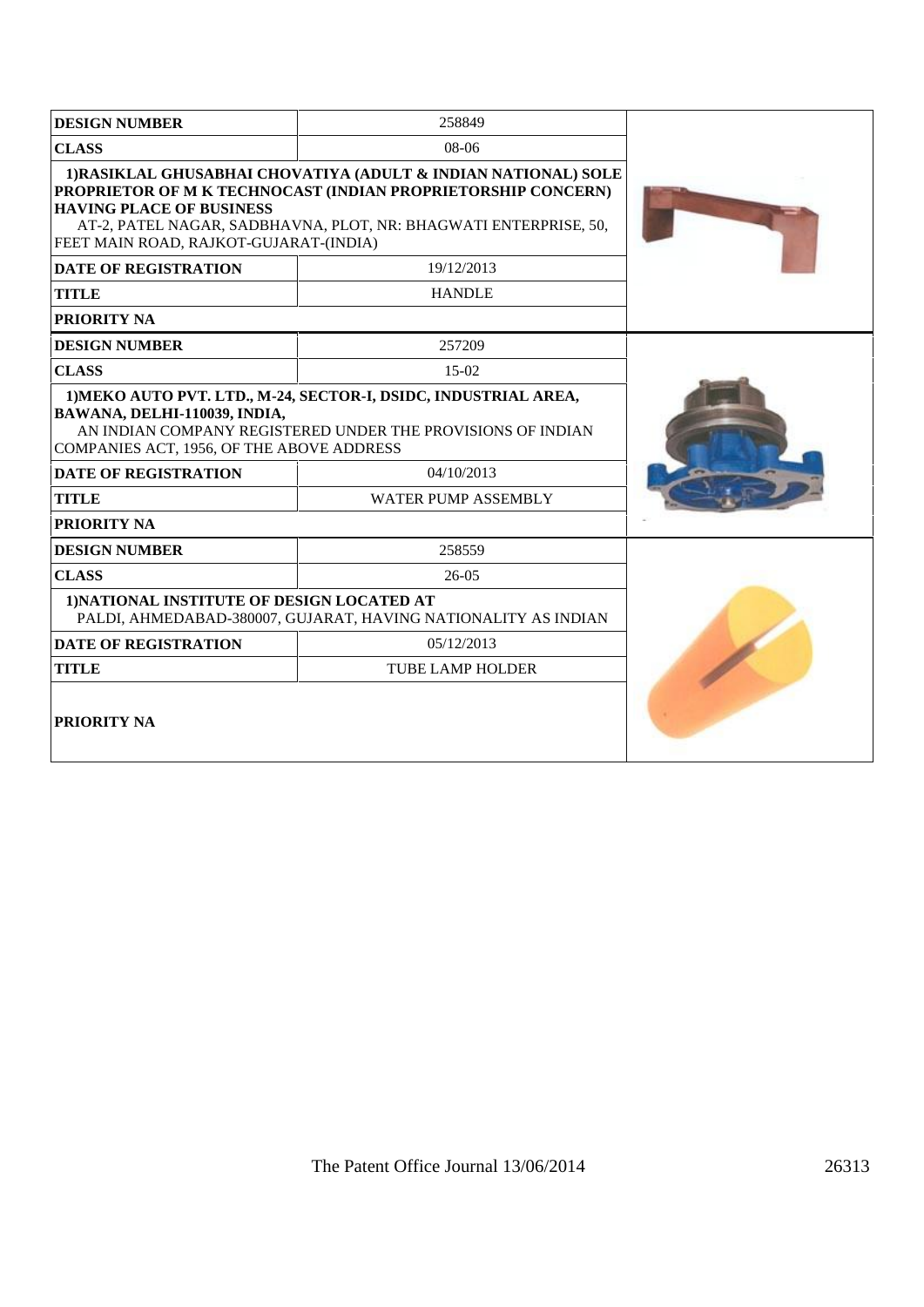| <b>DESIGN NUMBER</b>                                                                                                                                                                                                                                                            | 258849                                                                                                                         |  |
|---------------------------------------------------------------------------------------------------------------------------------------------------------------------------------------------------------------------------------------------------------------------------------|--------------------------------------------------------------------------------------------------------------------------------|--|
| <b>CLASS</b>                                                                                                                                                                                                                                                                    | $08-06$                                                                                                                        |  |
| 1) RASIKLAL GHUSABHAI CHOVATIYA (ADULT & INDIAN NATIONAL) SOLE<br>PROPRIETOR OF M K TECHNOCAST (INDIAN PROPRIETORSHIP CONCERN)<br><b>HAVING PLACE OF BUSINESS</b><br>AT-2, PATEL NAGAR, SADBHAVNA, PLOT, NR: BHAGWATI ENTERPRISE, 50,<br>FEET MAIN ROAD, RAJKOT-GUJARAT-(INDIA) |                                                                                                                                |  |
| <b>DATE OF REGISTRATION</b>                                                                                                                                                                                                                                                     | 19/12/2013                                                                                                                     |  |
| <b>TITLE</b>                                                                                                                                                                                                                                                                    | <b>HANDLE</b>                                                                                                                  |  |
| PRIORITY NA                                                                                                                                                                                                                                                                     |                                                                                                                                |  |
| <b>DESIGN NUMBER</b>                                                                                                                                                                                                                                                            | 257209                                                                                                                         |  |
| <b>CLASS</b>                                                                                                                                                                                                                                                                    | $15-02$                                                                                                                        |  |
| BAWANA, DELHI-110039, INDIA,<br>COMPANIES ACT, 1956, OF THE ABOVE ADDRESS                                                                                                                                                                                                       | 1) MEKO AUTO PVT. LTD., M-24, SECTOR-I, DSIDC, INDUSTRIAL AREA,<br>AN INDIAN COMPANY REGISTERED UNDER THE PROVISIONS OF INDIAN |  |
| <b>DATE OF REGISTRATION</b>                                                                                                                                                                                                                                                     | 04/10/2013                                                                                                                     |  |
| <b>TITLE</b>                                                                                                                                                                                                                                                                    | <b>WATER PUMP ASSEMBLY</b>                                                                                                     |  |
| <b>PRIORITY NA</b>                                                                                                                                                                                                                                                              |                                                                                                                                |  |
| <b>DESIGN NUMBER</b>                                                                                                                                                                                                                                                            | 258559                                                                                                                         |  |
| <b>CLASS</b>                                                                                                                                                                                                                                                                    | $26-05$                                                                                                                        |  |
| 1) NATIONAL INSTITUTE OF DESIGN LOCATED AT                                                                                                                                                                                                                                      | PALDI, AHMEDABAD-380007, GUJARAT, HAVING NATIONALITY AS INDIAN                                                                 |  |
| <b>DATE OF REGISTRATION</b>                                                                                                                                                                                                                                                     |                                                                                                                                |  |
| <b>TITLE</b>                                                                                                                                                                                                                                                                    |                                                                                                                                |  |
| <b>PRIORITY NA</b>                                                                                                                                                                                                                                                              |                                                                                                                                |  |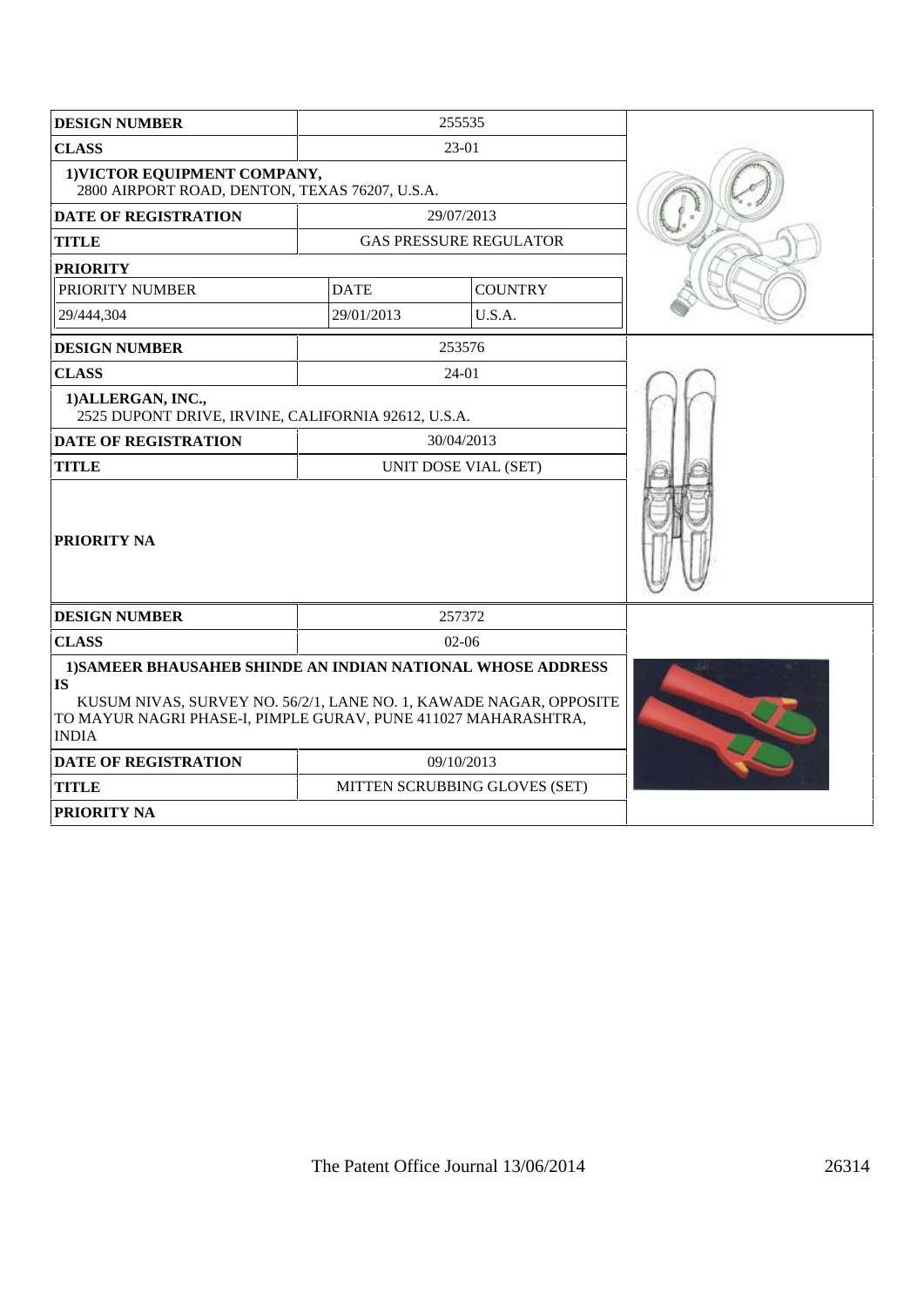| <b>DESIGN NUMBER</b>                                                                                                                                                                                                             | 255535                        |                               |  |
|----------------------------------------------------------------------------------------------------------------------------------------------------------------------------------------------------------------------------------|-------------------------------|-------------------------------|--|
| <b>CLASS</b>                                                                                                                                                                                                                     | 23-01                         |                               |  |
| 1) VICTOR EQUIPMENT COMPANY,<br>2800 AIRPORT ROAD, DENTON, TEXAS 76207, U.S.A.                                                                                                                                                   |                               |                               |  |
| <b>DATE OF REGISTRATION</b>                                                                                                                                                                                                      | 29/07/2013                    |                               |  |
| <b>TITLE</b>                                                                                                                                                                                                                     | <b>GAS PRESSURE REGULATOR</b> |                               |  |
| <b>PRIORITY</b>                                                                                                                                                                                                                  |                               |                               |  |
| PRIORITY NUMBER                                                                                                                                                                                                                  | <b>DATE</b>                   | <b>COUNTRY</b>                |  |
| 29/444,304                                                                                                                                                                                                                       | 29/01/2013                    | U.S.A.                        |  |
| <b>DESIGN NUMBER</b>                                                                                                                                                                                                             |                               | 253576                        |  |
| <b>CLASS</b>                                                                                                                                                                                                                     |                               | 24-01                         |  |
| 1) ALLERGAN, INC.,<br>2525 DUPONT DRIVE, IRVINE, CALIFORNIA 92612, U.S.A.                                                                                                                                                        |                               |                               |  |
| <b>DATE OF REGISTRATION</b>                                                                                                                                                                                                      |                               | 30/04/2013                    |  |
| <b>TITLE</b>                                                                                                                                                                                                                     |                               | UNIT DOSE VIAL (SET)          |  |
| <b>PRIORITY NA</b>                                                                                                                                                                                                               |                               |                               |  |
| <b>DESIGN NUMBER</b>                                                                                                                                                                                                             |                               | 257372                        |  |
| <b>CLASS</b>                                                                                                                                                                                                                     |                               | $02-06$                       |  |
| 1) SAMEER BHAUSAHEB SHINDE AN INDIAN NATIONAL WHOSE ADDRESS<br><b>IS</b><br>KUSUM NIVAS, SURVEY NO. 56/2/1, LANE NO. 1, KAWADE NAGAR, OPPOSITE<br>TO MAYUR NAGRI PHASE-I, PIMPLE GURAV, PUNE 411027 MAHARASHTRA,<br><b>INDIA</b> |                               |                               |  |
| <b>DATE OF REGISTRATION</b>                                                                                                                                                                                                      |                               | 09/10/2013                    |  |
| <b>TITLE</b>                                                                                                                                                                                                                     |                               | MITTEN SCRUBBING GLOVES (SET) |  |
| <b>PRIORITY NA</b>                                                                                                                                                                                                               |                               |                               |  |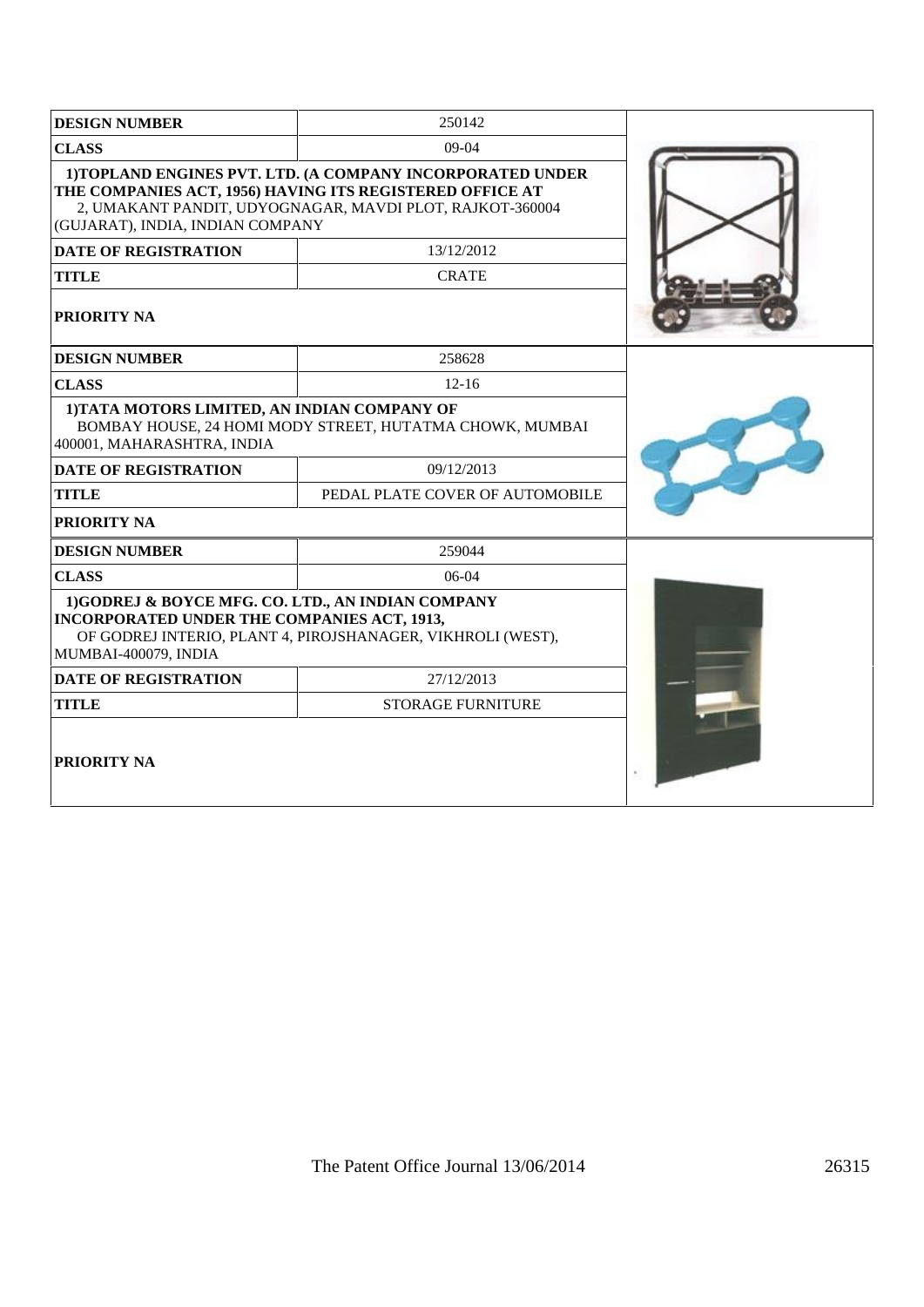| <b>DESIGN NUMBER</b>                                                                                                            | 250142                                                                                                                                                                             |  |
|---------------------------------------------------------------------------------------------------------------------------------|------------------------------------------------------------------------------------------------------------------------------------------------------------------------------------|--|
| <b>CLASS</b>                                                                                                                    | $09-04$                                                                                                                                                                            |  |
| (GUJARAT), INDIA, INDIAN COMPANY                                                                                                | 1) TOPLAND ENGINES PVT. LTD. (A COMPANY INCORPORATED UNDER<br>THE COMPANIES ACT, 1956) HAVING ITS REGISTERED OFFICE AT<br>2, UMAKANT PANDIT, UDYOGNAGAR, MAVDI PLOT, RAJKOT-360004 |  |
| <b>DATE OF REGISTRATION</b>                                                                                                     | 13/12/2012                                                                                                                                                                         |  |
| <b>TITLE</b>                                                                                                                    | <b>CRATE</b>                                                                                                                                                                       |  |
| <b>PRIORITY NA</b>                                                                                                              |                                                                                                                                                                                    |  |
| <b>DESIGN NUMBER</b>                                                                                                            | 258628                                                                                                                                                                             |  |
| <b>CLASS</b>                                                                                                                    | $12 - 16$                                                                                                                                                                          |  |
| 1) TATA MOTORS LIMITED, AN INDIAN COMPANY OF<br>400001, MAHARASHTRA, INDIA                                                      | BOMBAY HOUSE, 24 HOMI MODY STREET, HUTATMA CHOWK, MUMBAI                                                                                                                           |  |
| <b>DATE OF REGISTRATION</b>                                                                                                     | 09/12/2013                                                                                                                                                                         |  |
| <b>TITLE</b>                                                                                                                    | PEDAL PLATE COVER OF AUTOMOBILE                                                                                                                                                    |  |
| <b>PRIORITY NA</b>                                                                                                              |                                                                                                                                                                                    |  |
| <b>DESIGN NUMBER</b>                                                                                                            | 259044                                                                                                                                                                             |  |
| <b>CLASS</b>                                                                                                                    | $06-04$                                                                                                                                                                            |  |
| 1)GODREJ & BOYCE MFG. CO. LTD., AN INDIAN COMPANY<br><b>INCORPORATED UNDER THE COMPANIES ACT, 1913,</b><br>MUMBAI-400079, INDIA | OF GODREJ INTERIO, PLANT 4, PIROJSHANAGER, VIKHROLI (WEST),                                                                                                                        |  |
| <b>DATE OF REGISTRATION</b>                                                                                                     | 27/12/2013                                                                                                                                                                         |  |
| <b>TITLE</b>                                                                                                                    | <b>STORAGE FURNITURE</b>                                                                                                                                                           |  |
| <b>PRIORITY NA</b>                                                                                                              |                                                                                                                                                                                    |  |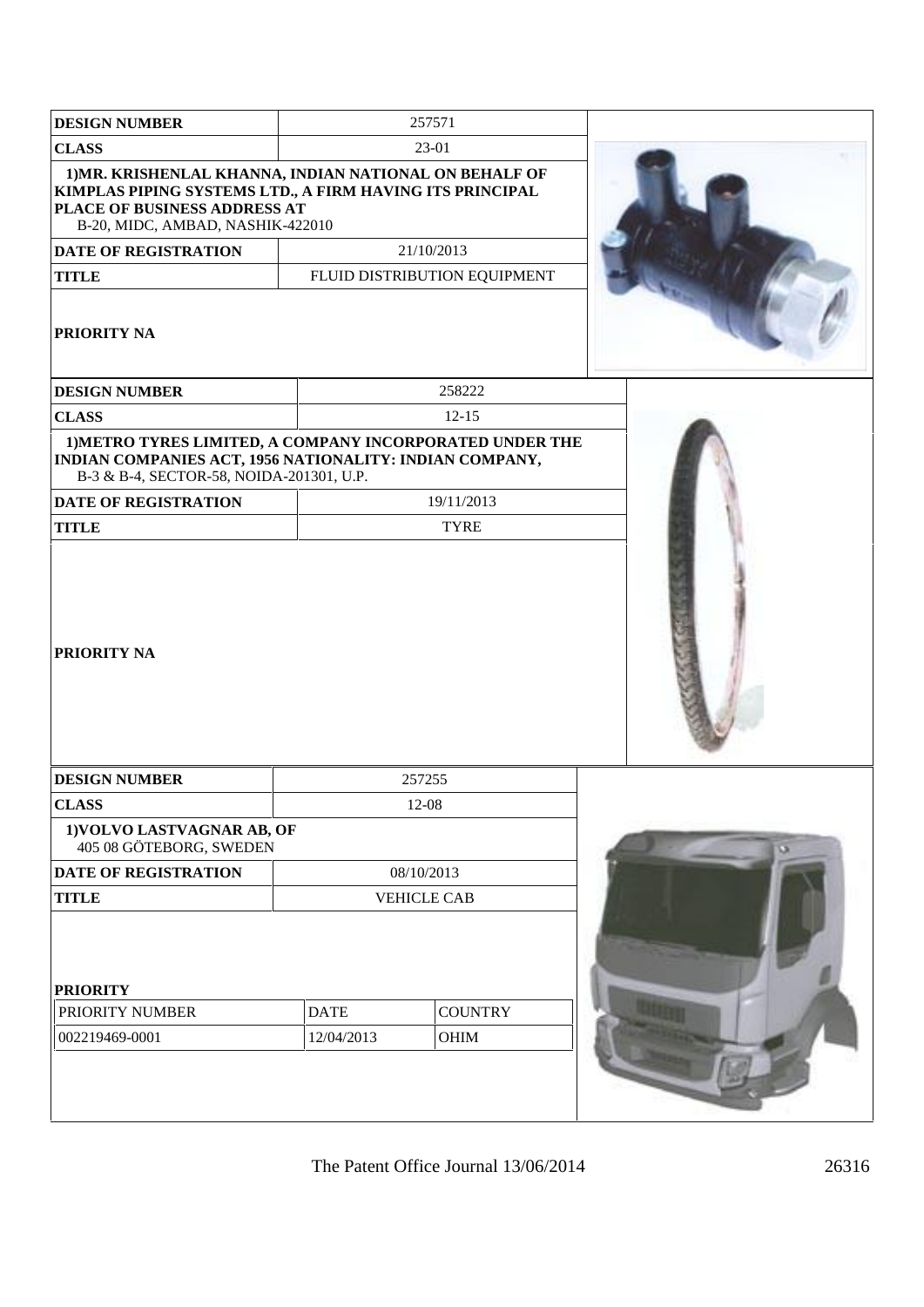| <b>DESIGN NUMBER</b>                                                                                                                                                                                                                                 |                           | 257571                                     |    |
|------------------------------------------------------------------------------------------------------------------------------------------------------------------------------------------------------------------------------------------------------|---------------------------|--------------------------------------------|----|
| <b>CLASS</b>                                                                                                                                                                                                                                         |                           | 23-01                                      |    |
| 1) MR. KRISHENLAL KHANNA, INDIAN NATIONAL ON BEHALF OF<br>KIMPLAS PIPING SYSTEMS LTD., A FIRM HAVING ITS PRINCIPAL<br>PLACE OF BUSINESS ADDRESS AT<br>B-20, MIDC, AMBAD, NASHIK-422010<br><b>DATE OF REGISTRATION</b><br><b>TITLE</b><br>PRIORITY NA |                           | 21/10/2013<br>FLUID DISTRIBUTION EQUIPMENT |    |
| <b>DESIGN NUMBER</b>                                                                                                                                                                                                                                 |                           | 258222                                     |    |
| <b>CLASS</b>                                                                                                                                                                                                                                         |                           | $12 - 15$                                  |    |
| 1) METRO TYRES LIMITED, A COMPANY INCORPORATED UNDER THE<br>INDIAN COMPANIES ACT, 1956 NATIONALITY: INDIAN COMPANY,<br>B-3 & B-4, SECTOR-58, NOIDA-201301, U.P.                                                                                      |                           |                                            |    |
| <b>DATE OF REGISTRATION</b>                                                                                                                                                                                                                          |                           | 19/11/2013                                 |    |
| <b>TITLE</b>                                                                                                                                                                                                                                         |                           | <b>TYRE</b>                                |    |
| PRIORITY NA                                                                                                                                                                                                                                          |                           |                                            |    |
| <b>DESIGN NUMBER</b>                                                                                                                                                                                                                                 |                           | 257255                                     |    |
| <b>CLASS</b>                                                                                                                                                                                                                                         |                           | 12-08                                      |    |
| 1) VOLVO LASTVAGNAR AB, OF<br>405 08 GÖTEBORG, SWEDEN                                                                                                                                                                                                |                           |                                            | ц. |
| DATE OF REGISTRATION                                                                                                                                                                                                                                 |                           | 08/10/2013                                 |    |
| <b>TITLE</b>                                                                                                                                                                                                                                         |                           | <b>VEHICLE CAB</b>                         |    |
| <b>PRIORITY</b><br>PRIORITY NUMBER<br>002219469-0001                                                                                                                                                                                                 | <b>DATE</b><br>12/04/2013 | <b>COUNTRY</b><br>OHIM                     |    |
|                                                                                                                                                                                                                                                      |                           |                                            |    |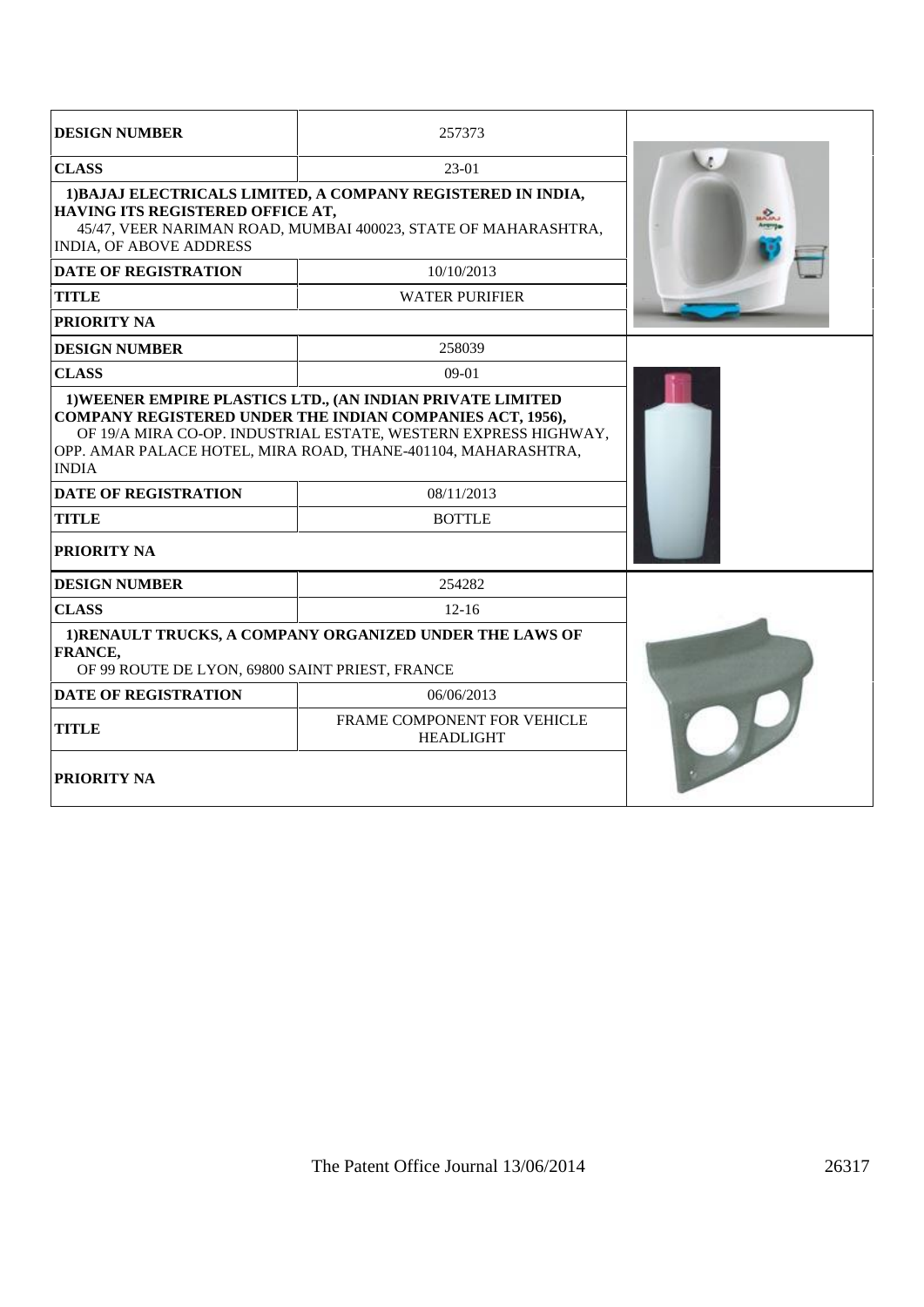| <b>DESIGN NUMBER</b>                                                                                                                                                                                                 | 257373                                                                                                                         |  |
|----------------------------------------------------------------------------------------------------------------------------------------------------------------------------------------------------------------------|--------------------------------------------------------------------------------------------------------------------------------|--|
| <b>CLASS</b>                                                                                                                                                                                                         | 23-01                                                                                                                          |  |
| HAVING ITS REGISTERED OFFICE AT,<br><b>INDIA, OF ABOVE ADDRESS</b>                                                                                                                                                   | 1) BAJAJ ELECTRICALS LIMITED, A COMPANY REGISTERED IN INDIA,<br>45/47, VEER NARIMAN ROAD, MUMBAI 400023, STATE OF MAHARASHTRA, |  |
| <b>DATE OF REGISTRATION</b>                                                                                                                                                                                          | 10/10/2013                                                                                                                     |  |
| <b>TITLE</b>                                                                                                                                                                                                         | <b>WATER PURIFIER</b>                                                                                                          |  |
| <b>PRIORITY NA</b>                                                                                                                                                                                                   |                                                                                                                                |  |
| <b>DESIGN NUMBER</b>                                                                                                                                                                                                 | 258039                                                                                                                         |  |
| <b>CLASS</b>                                                                                                                                                                                                         | $09-01$                                                                                                                        |  |
| <b>COMPANY REGISTERED UNDER THE INDIAN COMPANIES ACT, 1956),</b><br>OF 19/A MIRA CO-OP. INDUSTRIAL ESTATE, WESTERN EXPRESS HIGHWAY,<br>OPP. AMAR PALACE HOTEL, MIRA ROAD, THANE-401104, MAHARASHTRA,<br><b>INDIA</b> |                                                                                                                                |  |
| <b>DATE OF REGISTRATION</b>                                                                                                                                                                                          | 08/11/2013                                                                                                                     |  |
| <b>TITLE</b>                                                                                                                                                                                                         | <b>BOTTLE</b>                                                                                                                  |  |
| <b>PRIORITY NA</b>                                                                                                                                                                                                   |                                                                                                                                |  |
| <b>DESIGN NUMBER</b>                                                                                                                                                                                                 | 254282                                                                                                                         |  |
| <b>CLASS</b>                                                                                                                                                                                                         | $12 - 16$                                                                                                                      |  |
| 1) RENAULT TRUCKS, A COMPANY ORGANIZED UNDER THE LAWS OF<br><b>FRANCE,</b><br>OF 99 ROUTE DE LYON, 69800 SAINT PRIEST, FRANCE                                                                                        |                                                                                                                                |  |
| <b>DATE OF REGISTRATION</b>                                                                                                                                                                                          | 06/06/2013                                                                                                                     |  |
| <b>TITLE</b>                                                                                                                                                                                                         | FRAME COMPONENT FOR VEHICLE<br><b>HEADLIGHT</b>                                                                                |  |
| <b>PRIORITY NA</b>                                                                                                                                                                                                   |                                                                                                                                |  |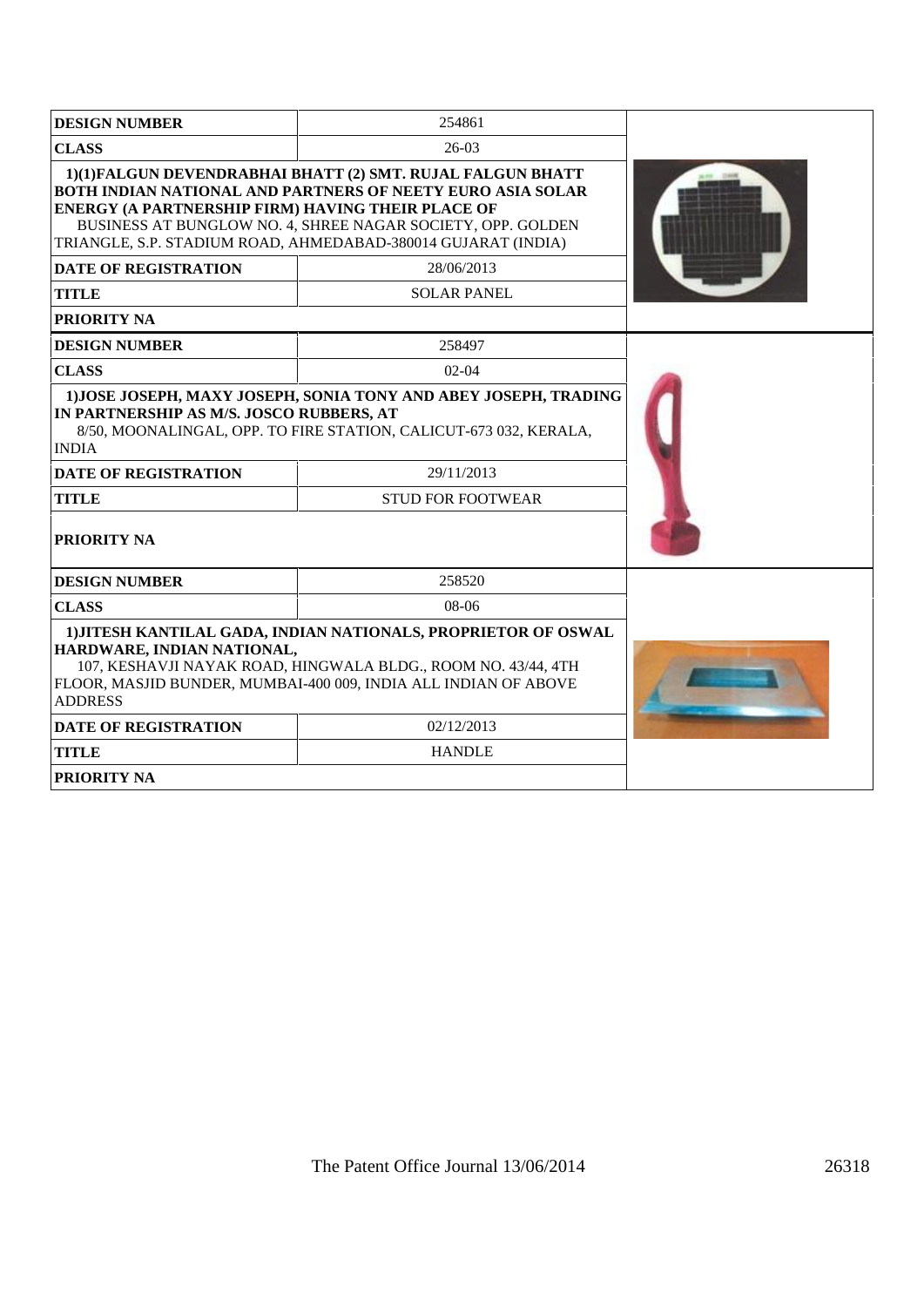| <b>DESIGN NUMBER</b>                                                                                                                                                                                                                               | 254861                                                                                                                                                                                                                                                          |  |
|----------------------------------------------------------------------------------------------------------------------------------------------------------------------------------------------------------------------------------------------------|-----------------------------------------------------------------------------------------------------------------------------------------------------------------------------------------------------------------------------------------------------------------|--|
| <b>CLASS</b>                                                                                                                                                                                                                                       | $26-03$                                                                                                                                                                                                                                                         |  |
| <b>ENERGY (A PARTNERSHIP FIRM) HAVING THEIR PLACE OF</b>                                                                                                                                                                                           | 1)(1)FALGUN DEVENDRABHAI BHATT (2) SMT. RUJAL FALGUN BHATT<br><b>BOTH INDIAN NATIONAL AND PARTNERS OF NEETY EURO ASIA SOLAR</b><br>BUSINESS AT BUNGLOW NO. 4, SHREE NAGAR SOCIETY, OPP. GOLDEN<br>TRIANGLE, S.P. STADIUM ROAD, AHMEDABAD-380014 GUJARAT (INDIA) |  |
| <b>DATE OF REGISTRATION</b>                                                                                                                                                                                                                        | 28/06/2013                                                                                                                                                                                                                                                      |  |
| <b>TITLE</b>                                                                                                                                                                                                                                       | <b>SOLAR PANEL</b>                                                                                                                                                                                                                                              |  |
| PRIORITY NA                                                                                                                                                                                                                                        |                                                                                                                                                                                                                                                                 |  |
| <b>DESIGN NUMBER</b>                                                                                                                                                                                                                               | 258497                                                                                                                                                                                                                                                          |  |
| <b>CLASS</b>                                                                                                                                                                                                                                       | $02-04$                                                                                                                                                                                                                                                         |  |
| IN PARTNERSHIP AS M/S. JOSCO RUBBERS, AT<br><b>INDIA</b><br><b>DATE OF REGISTRATION</b><br><b>TITLE</b><br><b>PRIORITY NA</b>                                                                                                                      | 8/50, MOONALINGAL, OPP. TO FIRE STATION, CALICUT-673 032, KERALA,<br>29/11/2013<br><b>STUD FOR FOOTWEAR</b>                                                                                                                                                     |  |
| <b>DESIGN NUMBER</b>                                                                                                                                                                                                                               | 258520                                                                                                                                                                                                                                                          |  |
| <b>CLASS</b>                                                                                                                                                                                                                                       | 08-06                                                                                                                                                                                                                                                           |  |
| 1) JITESH KANTILAL GADA, INDIAN NATIONALS, PROPRIETOR OF OSWAL<br>HARDWARE, INDIAN NATIONAL,<br>107, KESHAVJI NAYAK ROAD, HINGWALA BLDG., ROOM NO. 43/44, 4TH<br>FLOOR, MASJID BUNDER, MUMBAI-400 009, INDIA ALL INDIAN OF ABOVE<br><b>ADDRESS</b> |                                                                                                                                                                                                                                                                 |  |
| <b>DATE OF REGISTRATION</b>                                                                                                                                                                                                                        | 02/12/2013                                                                                                                                                                                                                                                      |  |
| <b>TITLE</b>                                                                                                                                                                                                                                       | <b>HANDLE</b>                                                                                                                                                                                                                                                   |  |
| <b>PRIORITY NA</b>                                                                                                                                                                                                                                 |                                                                                                                                                                                                                                                                 |  |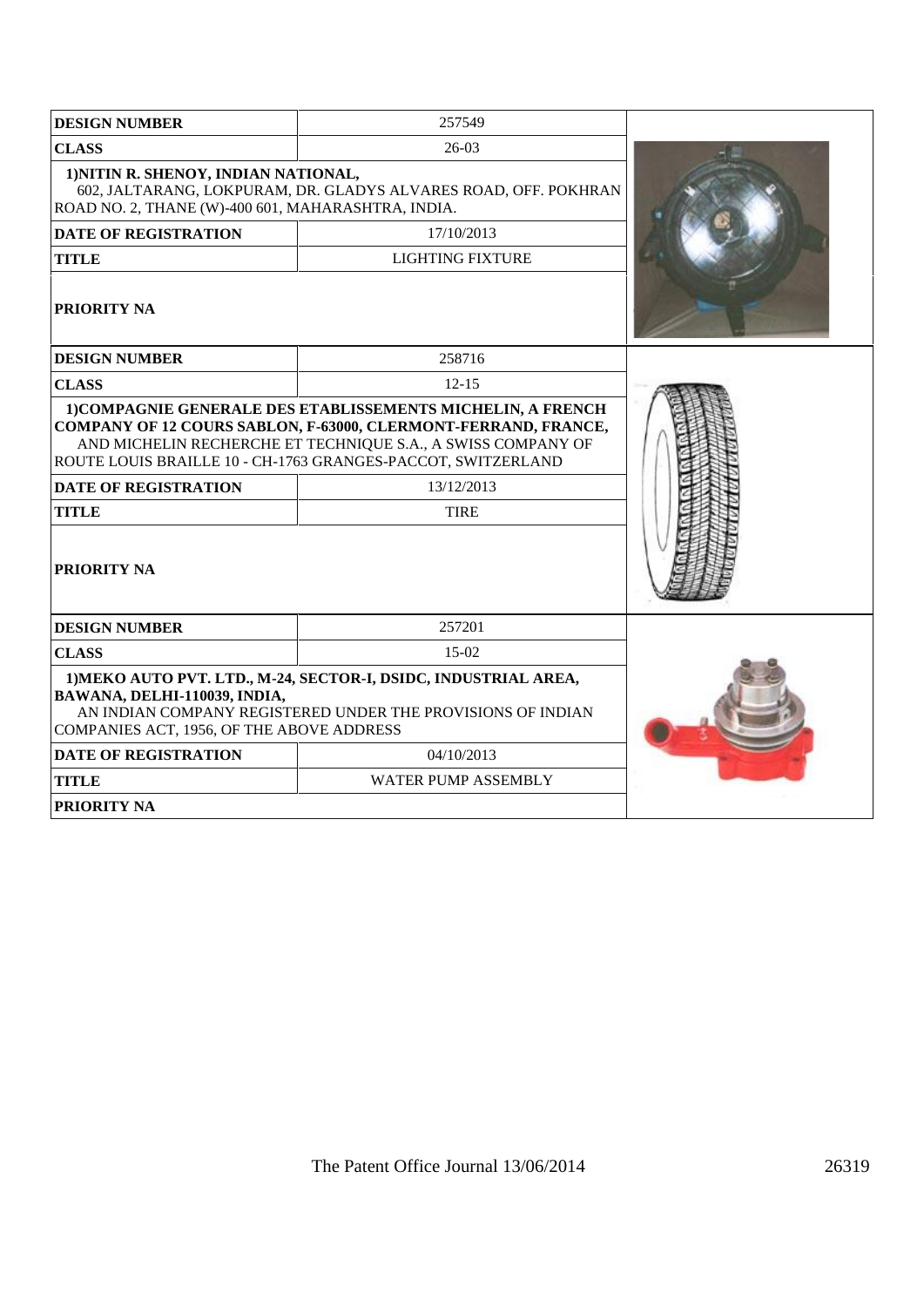| <b>DESIGN NUMBER</b>                                                                       | 257549                                                                                                                                                                                                                                                                                     |  |
|--------------------------------------------------------------------------------------------|--------------------------------------------------------------------------------------------------------------------------------------------------------------------------------------------------------------------------------------------------------------------------------------------|--|
| <b>CLASS</b>                                                                               | $26-03$                                                                                                                                                                                                                                                                                    |  |
| 1) NITIN R. SHENOY, INDIAN NATIONAL,<br>ROAD NO. 2, THANE (W)-400 601, MAHARASHTRA, INDIA. | 602, JALTARANG, LOKPURAM, DR. GLADYS ALVARES ROAD, OFF. POKHRAN                                                                                                                                                                                                                            |  |
| <b>DATE OF REGISTRATION</b>                                                                | 17/10/2013                                                                                                                                                                                                                                                                                 |  |
| <b>TITLE</b>                                                                               | <b>LIGHTING FIXTURE</b>                                                                                                                                                                                                                                                                    |  |
| <b>PRIORITY NA</b>                                                                         |                                                                                                                                                                                                                                                                                            |  |
| <b>DESIGN NUMBER</b>                                                                       | 258716                                                                                                                                                                                                                                                                                     |  |
| <b>CLASS</b>                                                                               | $12 - 15$                                                                                                                                                                                                                                                                                  |  |
| <b>DATE OF REGISTRATION</b><br><b>TITLE</b><br><b>PRIORITY NA</b>                          | 1) COMPAGNIE GENERALE DES ETABLISSEMENTS MICHELIN, A FRENCH<br>COMPANY OF 12 COURS SABLON, F-63000, CLERMONT-FERRAND, FRANCE,<br>AND MICHELIN RECHERCHE ET TECHNIQUE S.A., A SWISS COMPANY OF<br>ROUTE LOUIS BRAILLE 10 - CH-1763 GRANGES-PACCOT, SWITZERLAND<br>13/12/2013<br><b>TIRE</b> |  |
| <b>DESIGN NUMBER</b>                                                                       | 257201                                                                                                                                                                                                                                                                                     |  |
| <b>CLASS</b>                                                                               | 15-02                                                                                                                                                                                                                                                                                      |  |
| BAWANA, DELHI-110039, INDIA,<br>COMPANIES ACT, 1956, OF THE ABOVE ADDRESS                  | 1) MEKO AUTO PVT. LTD., M-24, SECTOR-I, DSIDC, INDUSTRIAL AREA,<br>AN INDIAN COMPANY REGISTERED UNDER THE PROVISIONS OF INDIAN                                                                                                                                                             |  |
| <b>DATE OF REGISTRATION</b>                                                                | 04/10/2013                                                                                                                                                                                                                                                                                 |  |
| <b>TITLE</b>                                                                               | WATER PUMP ASSEMBLY                                                                                                                                                                                                                                                                        |  |
| <b>PRIORITY NA</b>                                                                         |                                                                                                                                                                                                                                                                                            |  |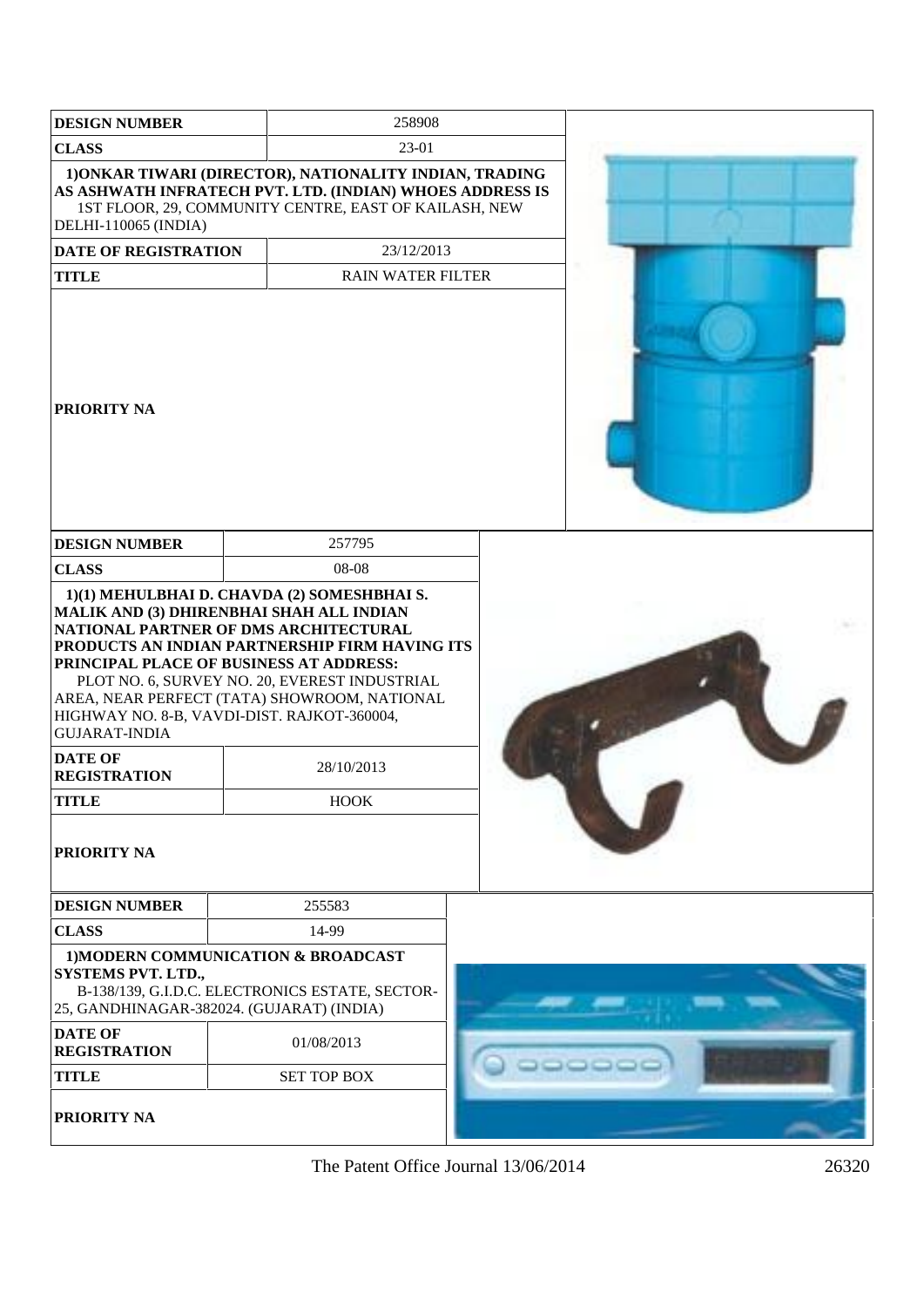| <b>DESIGN NUMBER</b>                                                                                                                                                                                                                                                                                                                                 | 258908                                                                                                           |  |  |        |  |  |
|------------------------------------------------------------------------------------------------------------------------------------------------------------------------------------------------------------------------------------------------------------------------------------------------------------------------------------------------------|------------------------------------------------------------------------------------------------------------------|--|--|--------|--|--|
| <b>CLASS</b>                                                                                                                                                                                                                                                                                                                                         | 23-01                                                                                                            |  |  |        |  |  |
| AS ASHWATH INFRATECH PVT. LTD. (INDIAN) WHOES ADDRESS IS<br>DELHI-110065 (INDIA)                                                                                                                                                                                                                                                                     | 1) ONKAR TIWARI (DIRECTOR), NATIONALITY INDIAN, TRADING<br>1ST FLOOR, 29, COMMUNITY CENTRE, EAST OF KAILASH, NEW |  |  |        |  |  |
| DATE OF REGISTRATION                                                                                                                                                                                                                                                                                                                                 | 23/12/2013                                                                                                       |  |  |        |  |  |
| <b>TITLE</b>                                                                                                                                                                                                                                                                                                                                         | <b>RAIN WATER FILTER</b>                                                                                         |  |  |        |  |  |
| <b>PRIORITY NA</b>                                                                                                                                                                                                                                                                                                                                   |                                                                                                                  |  |  |        |  |  |
| <b>DESIGN NUMBER</b>                                                                                                                                                                                                                                                                                                                                 | 257795                                                                                                           |  |  |        |  |  |
| <b>CLASS</b>                                                                                                                                                                                                                                                                                                                                         | 08-08                                                                                                            |  |  |        |  |  |
| 1)(1) MEHULBHAI D. CHAVDA (2) SOMESHBHAI S.<br>MALIK AND (3) DHIRENBHAI SHAH ALL INDIAN<br>NATIONAL PARTNER OF DMS ARCHITECTURAL<br>PRODUCTS AN INDIAN PARTNERSHIP FIRM HAVING ITS<br>PRINCIPAL PLACE OF BUSINESS AT ADDRESS:<br>AREA, NEAR PERFECT (TATA) SHOWROOM, NATIONAL<br>HIGHWAY NO. 8-B, VAVDI-DIST. RAJKOT-360004,<br><b>GUJARAT-INDIA</b> | PLOT NO. 6, SURVEY NO. 20, EVEREST INDUSTRIAL                                                                    |  |  |        |  |  |
| <b>DATE OF</b><br><b>REGISTRATION</b>                                                                                                                                                                                                                                                                                                                | 28/10/2013                                                                                                       |  |  |        |  |  |
| TITLE                                                                                                                                                                                                                                                                                                                                                | <b>HOOK</b>                                                                                                      |  |  |        |  |  |
| <b>PRIORITY NA</b>                                                                                                                                                                                                                                                                                                                                   |                                                                                                                  |  |  |        |  |  |
| <b>DESIGN NUMBER</b>                                                                                                                                                                                                                                                                                                                                 | 255583                                                                                                           |  |  |        |  |  |
| <b>CLASS</b>                                                                                                                                                                                                                                                                                                                                         | 14-99                                                                                                            |  |  |        |  |  |
| 1) MODERN COMMUNICATION & BROADCAST<br><b>SYSTEMS PVT. LTD.,</b><br>25, GANDHINAGAR-382024. (GUJARAT) (INDIA)                                                                                                                                                                                                                                        | B-138/139, G.I.D.C. ELECTRONICS ESTATE, SECTOR-                                                                  |  |  |        |  |  |
| <b>DATE OF</b><br><b>REGISTRATION</b>                                                                                                                                                                                                                                                                                                                | 01/08/2013                                                                                                       |  |  | 000000 |  |  |
| <b>TITLE</b>                                                                                                                                                                                                                                                                                                                                         | <b>SET TOP BOX</b>                                                                                               |  |  |        |  |  |
| <b>PRIORITY NA</b>                                                                                                                                                                                                                                                                                                                                   |                                                                                                                  |  |  |        |  |  |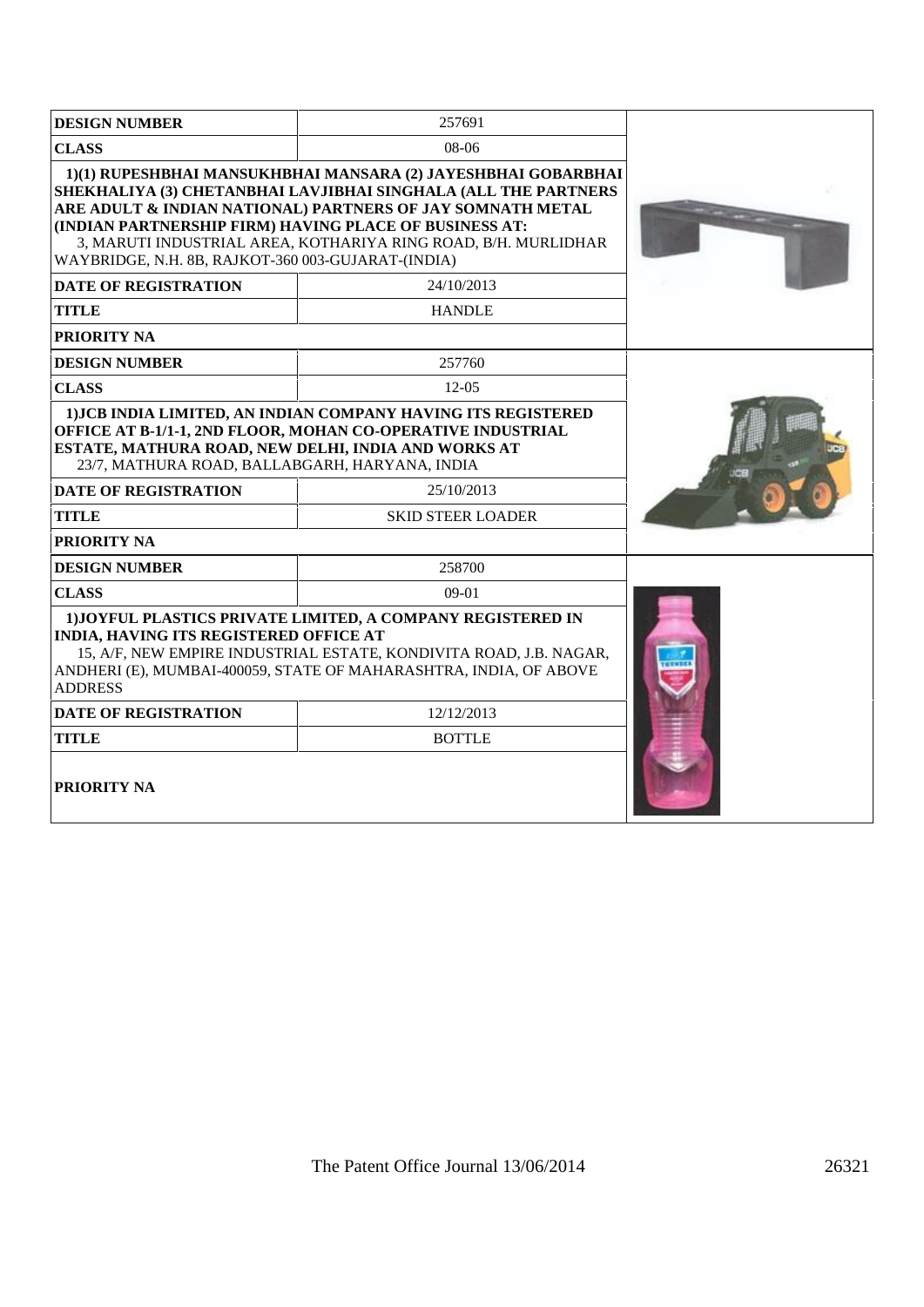| <b>DESIGN NUMBER</b>                                                                                                                                                                                                                                                 | 257691                                                                                                                                                                                                                                                          |  |
|----------------------------------------------------------------------------------------------------------------------------------------------------------------------------------------------------------------------------------------------------------------------|-----------------------------------------------------------------------------------------------------------------------------------------------------------------------------------------------------------------------------------------------------------------|--|
| <b>CLASS</b>                                                                                                                                                                                                                                                         | 08-06                                                                                                                                                                                                                                                           |  |
| (INDIAN PARTNERSHIP FIRM) HAVING PLACE OF BUSINESS AT:<br>WAYBRIDGE, N.H. 8B, RAJKOT-360 003-GUJARAT-(INDIA)                                                                                                                                                         | 1)(1) RUPESHBHAI MANSUKHBHAI MANSARA (2) JAYESHBHAI GOBARBHAI<br>SHEKHALIYA (3) CHETANBHAI LAVJIBHAI SINGHALA (ALL THE PARTNERS<br>ARE ADULT & INDIAN NATIONAL) PARTNERS OF JAY SOMNATH METAL<br>3, MARUTI INDUSTRIAL AREA, KOTHARIYA RING ROAD, B/H. MURLIDHAR |  |
| <b>DATE OF REGISTRATION</b>                                                                                                                                                                                                                                          | 24/10/2013                                                                                                                                                                                                                                                      |  |
| <b>TITLE</b>                                                                                                                                                                                                                                                         | <b>HANDLE</b>                                                                                                                                                                                                                                                   |  |
| PRIORITY NA                                                                                                                                                                                                                                                          |                                                                                                                                                                                                                                                                 |  |
| <b>DESIGN NUMBER</b>                                                                                                                                                                                                                                                 | 257760                                                                                                                                                                                                                                                          |  |
| <b>CLASS</b>                                                                                                                                                                                                                                                         | $12-0.5$                                                                                                                                                                                                                                                        |  |
| 1) JCB INDIA LIMITED, AN INDIAN COMPANY HAVING ITS REGISTERED<br>OFFICE AT B-1/1-1, 2ND FLOOR, MOHAN CO-OPERATIVE INDUSTRIAL<br>ESTATE, MATHURA ROAD, NEW DELHI, INDIA AND WORKS AT<br>23/7, MATHURA ROAD, BALLABGARH, HARYANA, INDIA<br><b>DATE OF REGISTRATION</b> |                                                                                                                                                                                                                                                                 |  |
| <b>TITLE</b>                                                                                                                                                                                                                                                         | <b>SKID STEER LOADER</b>                                                                                                                                                                                                                                        |  |
| <b>PRIORITY NA</b>                                                                                                                                                                                                                                                   |                                                                                                                                                                                                                                                                 |  |
| <b>DESIGN NUMBER</b>                                                                                                                                                                                                                                                 | 258700                                                                                                                                                                                                                                                          |  |
| <b>CLASS</b>                                                                                                                                                                                                                                                         | $09-01$                                                                                                                                                                                                                                                         |  |
| <b>INDIA, HAVING ITS REGISTERED OFFICE AT</b><br><b>ADDRESS</b>                                                                                                                                                                                                      | 1) JOYFUL PLASTICS PRIVATE LIMITED, A COMPANY REGISTERED IN<br>15, A/F, NEW EMPIRE INDUSTRIAL ESTATE, KONDIVITA ROAD, J.B. NAGAR,<br>ANDHERI (E), MUMBAI-400059, STATE OF MAHARASHTRA, INDIA, OF ABOVE                                                          |  |
| <b>DATE OF REGISTRATION</b>                                                                                                                                                                                                                                          | 12/12/2013                                                                                                                                                                                                                                                      |  |
| <b>TITLE</b>                                                                                                                                                                                                                                                         | <b>BOTTLE</b>                                                                                                                                                                                                                                                   |  |
| <b>PRIORITY NA</b>                                                                                                                                                                                                                                                   |                                                                                                                                                                                                                                                                 |  |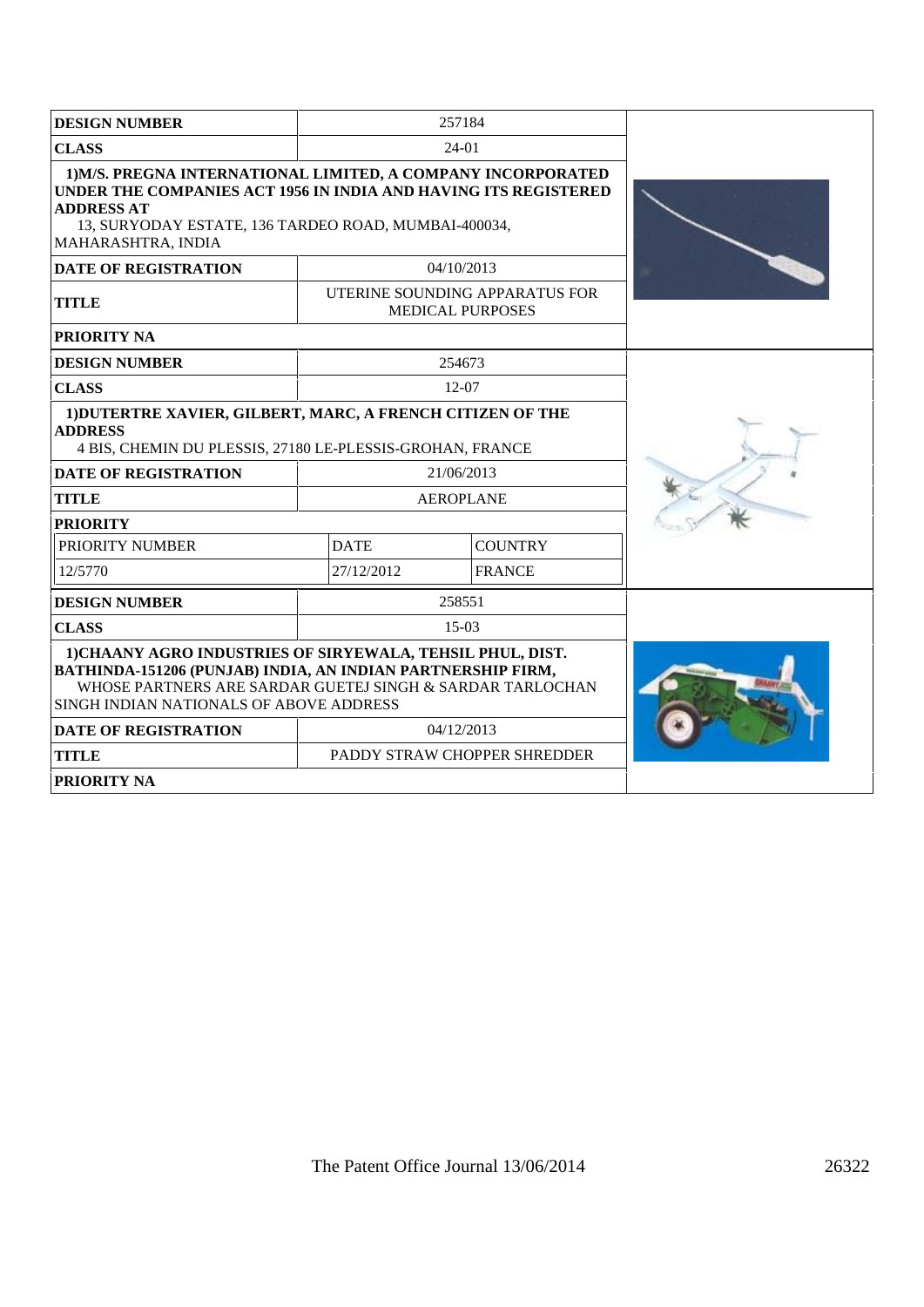| <b>DESIGN NUMBER</b>                                                                                                                                                                                                               |             | 257184                                                    |  |
|------------------------------------------------------------------------------------------------------------------------------------------------------------------------------------------------------------------------------------|-------------|-----------------------------------------------------------|--|
| <b>CLASS</b>                                                                                                                                                                                                                       |             | $24-01$                                                   |  |
| 1) M/S. PREGNA INTERNATIONAL LIMITED, A COMPANY INCORPORATED<br>UNDER THE COMPANIES ACT 1956 IN INDIA AND HAVING ITS REGISTERED<br><b>ADDRESS AT</b><br>13, SURYODAY ESTATE, 136 TARDEO ROAD, MUMBAI-400034,<br>MAHARASHTRA, INDIA |             |                                                           |  |
| <b>DATE OF REGISTRATION</b>                                                                                                                                                                                                        | 04/10/2013  |                                                           |  |
| <b>TITLE</b>                                                                                                                                                                                                                       |             | UTERINE SOUNDING APPARATUS FOR<br><b>MEDICAL PURPOSES</b> |  |
| <b>PRIORITY NA</b>                                                                                                                                                                                                                 |             |                                                           |  |
| <b>DESIGN NUMBER</b>                                                                                                                                                                                                               |             | 254673                                                    |  |
| <b>CLASS</b>                                                                                                                                                                                                                       |             | $12-07$                                                   |  |
| 1) DUTERTRE XAVIER, GILBERT, MARC, A FRENCH CITIZEN OF THE<br><b>ADDRESS</b><br>4 BIS, CHEMIN DU PLESSIS, 27180 LE-PLESSIS-GROHAN, FRANCE                                                                                          |             |                                                           |  |
| <b>DATE OF REGISTRATION</b>                                                                                                                                                                                                        |             | 21/06/2013                                                |  |
| <b>TITLE</b>                                                                                                                                                                                                                       |             | <b>AEROPLANE</b>                                          |  |
| <b>PRIORITY</b>                                                                                                                                                                                                                    |             |                                                           |  |
| PRIORITY NUMBER                                                                                                                                                                                                                    | <b>DATE</b> | <b>COUNTRY</b>                                            |  |
| 12/5770                                                                                                                                                                                                                            | 27/12/2012  | <b>FRANCE</b>                                             |  |
| <b>DESIGN NUMBER</b>                                                                                                                                                                                                               |             | 258551                                                    |  |
| <b>CLASS</b>                                                                                                                                                                                                                       |             | $15-03$                                                   |  |
| 1) CHAANY AGRO INDUSTRIES OF SIRYEWALA, TEHSIL PHUL, DIST.<br>BATHINDA-151206 (PUNJAB) INDIA, AN INDIAN PARTNERSHIP FIRM,<br>WHOSE PARTNERS ARE SARDAR GUETEJ SINGH & SARDAR TARLOCHAN<br>SINGH INDIAN NATIONALS OF ABOVE ADDRESS  |             |                                                           |  |
| <b>DATE OF REGISTRATION</b>                                                                                                                                                                                                        |             | 04/12/2013                                                |  |
| <b>TITLE</b>                                                                                                                                                                                                                       |             | PADDY STRAW CHOPPER SHREDDER                              |  |
| <b>PRIORITY NA</b>                                                                                                                                                                                                                 |             |                                                           |  |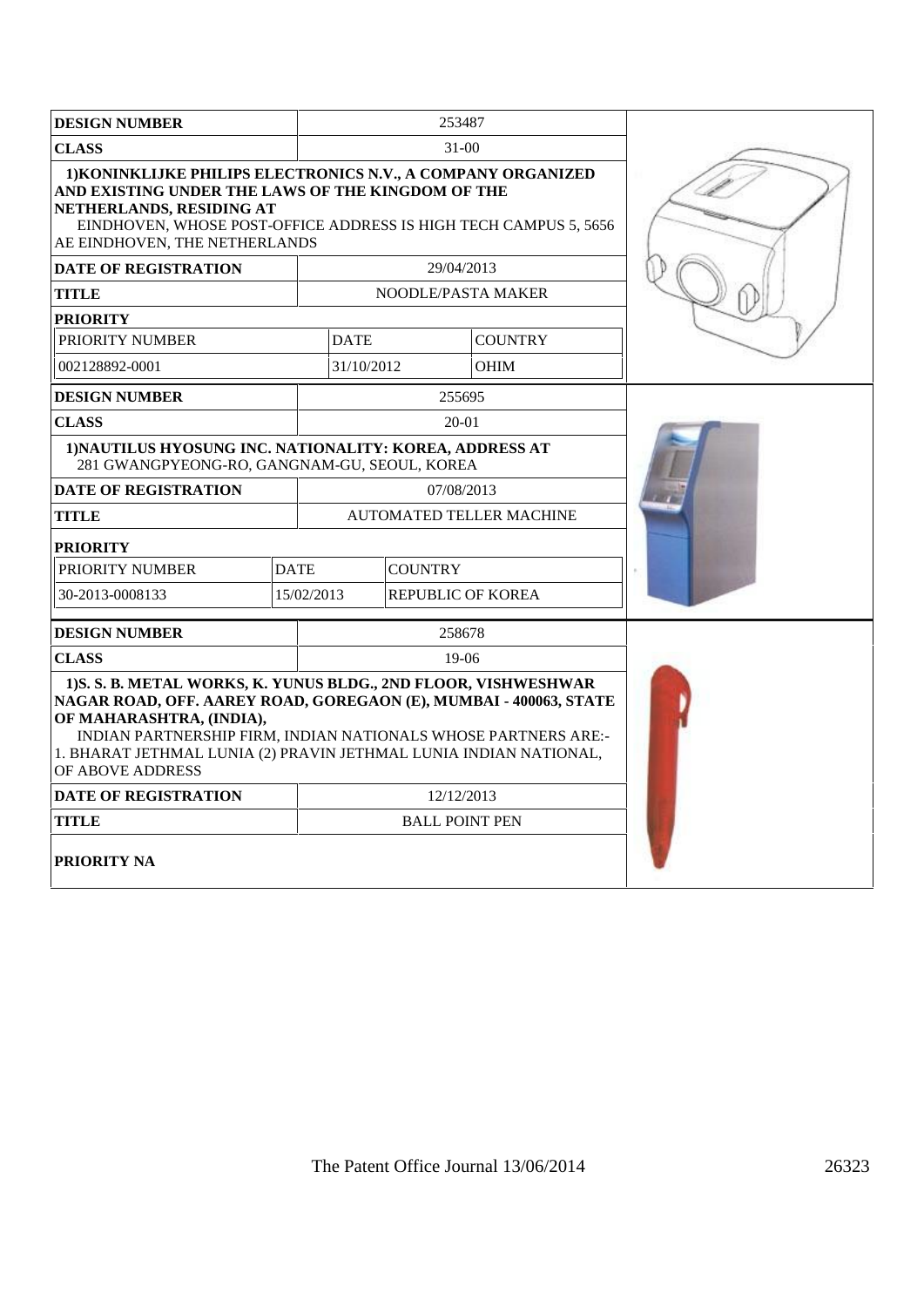| <b>DESIGN NUMBER</b>                                                                                                                                                                                                                                                                                                        |             | 253487                          |                |  |
|-----------------------------------------------------------------------------------------------------------------------------------------------------------------------------------------------------------------------------------------------------------------------------------------------------------------------------|-------------|---------------------------------|----------------|--|
| <b>CLASS</b>                                                                                                                                                                                                                                                                                                                |             | $31 - 00$                       |                |  |
| 1) KONINKLIJKE PHILIPS ELECTRONICS N.V., A COMPANY ORGANIZED<br>AND EXISTING UNDER THE LAWS OF THE KINGDOM OF THE<br>NETHERLANDS, RESIDING AT<br>EINDHOVEN, WHOSE POST-OFFICE ADDRESS IS HIGH TECH CAMPUS 5, 5656<br>AE EINDHOVEN, THE NETHERLANDS                                                                          |             |                                 |                |  |
| <b>DATE OF REGISTRATION</b>                                                                                                                                                                                                                                                                                                 |             | 29/04/2013                      |                |  |
| <b>TITLE</b>                                                                                                                                                                                                                                                                                                                |             | <b>NOODLE/PASTA MAKER</b>       |                |  |
| <b>PRIORITY</b>                                                                                                                                                                                                                                                                                                             |             |                                 |                |  |
| PRIORITY NUMBER                                                                                                                                                                                                                                                                                                             |             | <b>DATE</b>                     | <b>COUNTRY</b> |  |
| 002128892-0001                                                                                                                                                                                                                                                                                                              |             | 31/10/2012                      | <b>OHIM</b>    |  |
| <b>DESIGN NUMBER</b>                                                                                                                                                                                                                                                                                                        |             | 255695                          |                |  |
| <b>CLASS</b>                                                                                                                                                                                                                                                                                                                |             | 20-01                           |                |  |
| 1) NAUTILUS HYOSUNG INC. NATIONALITY: KOREA, ADDRESS AT<br>281 GWANGPYEONG-RO, GANGNAM-GU, SEOUL, KOREA                                                                                                                                                                                                                     |             |                                 |                |  |
| <b>DATE OF REGISTRATION</b>                                                                                                                                                                                                                                                                                                 |             | 07/08/2013                      |                |  |
| <b>TITLE</b>                                                                                                                                                                                                                                                                                                                |             | <b>AUTOMATED TELLER MACHINE</b> |                |  |
| <b>PRIORITY</b>                                                                                                                                                                                                                                                                                                             |             |                                 |                |  |
| PRIORITY NUMBER                                                                                                                                                                                                                                                                                                             | <b>DATE</b> | <b>COUNTRY</b>                  |                |  |
| 30-2013-0008133                                                                                                                                                                                                                                                                                                             | 15/02/2013  | <b>REPUBLIC OF KOREA</b>        |                |  |
| <b>DESIGN NUMBER</b>                                                                                                                                                                                                                                                                                                        |             | 258678                          |                |  |
| <b>CLASS</b>                                                                                                                                                                                                                                                                                                                |             | $19-06$                         |                |  |
| 1) S. S. B. METAL WORKS, K. YUNUS BLDG., 2ND FLOOR, VISHWESHWAR<br>NAGAR ROAD, OFF. AAREY ROAD, GOREGAON (E), MUMBAI - 400063, STATE<br>OF MAHARASHTRA, (INDIA),<br>INDIAN PARTNERSHIP FIRM, INDIAN NATIONALS WHOSE PARTNERS ARE:-<br>1. BHARAT JETHMAL LUNIA (2) PRAVIN JETHMAL LUNIA INDIAN NATIONAL,<br>OF ABOVE ADDRESS |             |                                 |                |  |
| <b>DATE OF REGISTRATION</b>                                                                                                                                                                                                                                                                                                 |             | 12/12/2013                      |                |  |
| <b>TITLE</b>                                                                                                                                                                                                                                                                                                                |             | <b>BALL POINT PEN</b>           |                |  |
| <b>PRIORITY NA</b>                                                                                                                                                                                                                                                                                                          |             |                                 |                |  |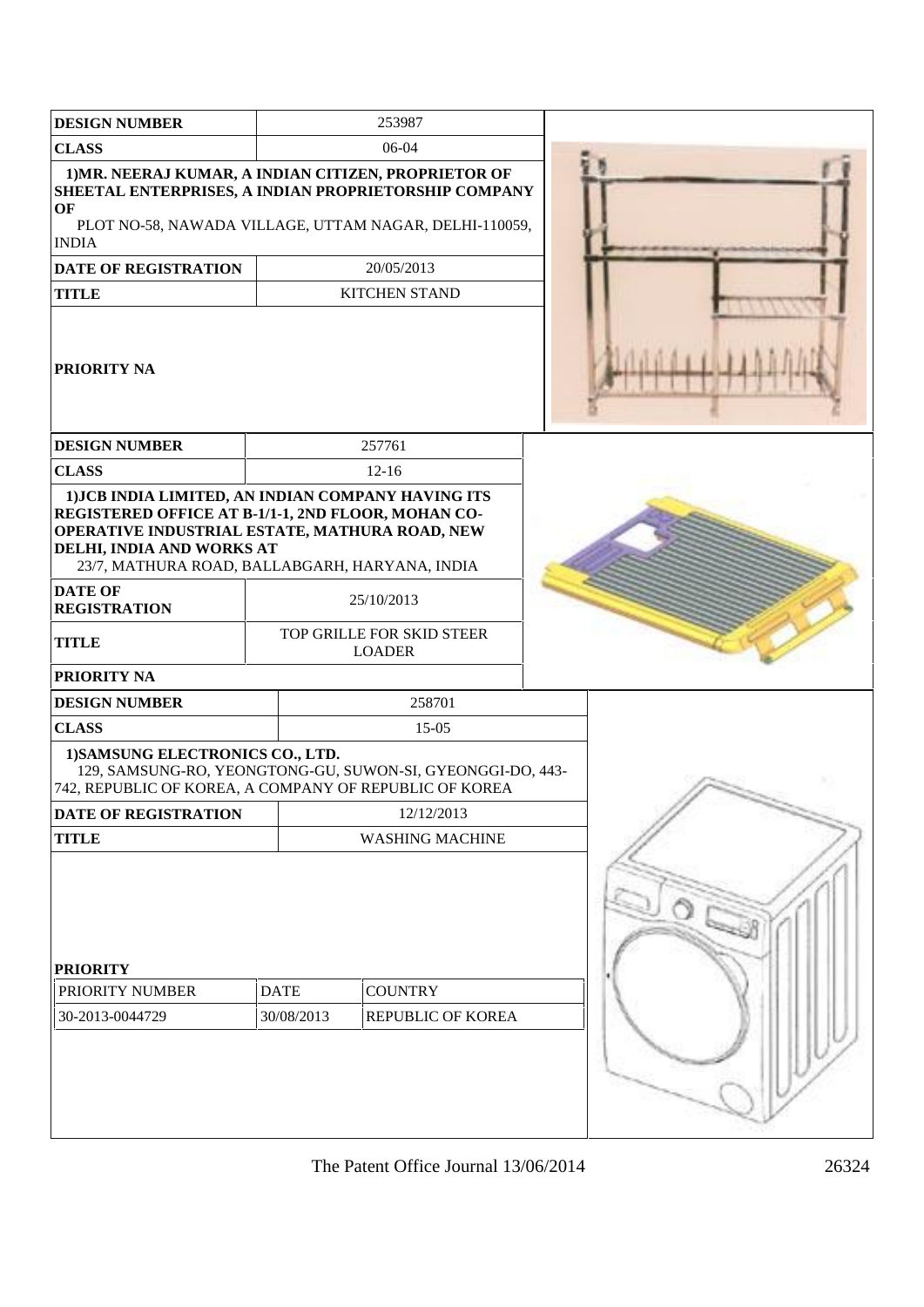| <b>DESIGN NUMBER</b>                                                                                                                                                                                                                      |                           | 253987                                     |  |
|-------------------------------------------------------------------------------------------------------------------------------------------------------------------------------------------------------------------------------------------|---------------------------|--------------------------------------------|--|
| <b>CLASS</b>                                                                                                                                                                                                                              |                           | 06-04                                      |  |
| 1) MR. NEERAJ KUMAR, A INDIAN CITIZEN, PROPRIETOR OF<br>SHEETAL ENTERPRISES, A INDIAN PROPRIETORSHIP COMPANY<br>OF<br>PLOT NO-58, NAWADA VILLAGE, UTTAM NAGAR, DELHI-110059,<br><b>INDIA</b>                                              |                           |                                            |  |
| <b>DATE OF REGISTRATION</b>                                                                                                                                                                                                               |                           | 20/05/2013                                 |  |
| <b>TITLE</b>                                                                                                                                                                                                                              |                           | <b>KITCHEN STAND</b>                       |  |
| PRIORITY NA                                                                                                                                                                                                                               |                           |                                            |  |
| <b>DESIGN NUMBER</b>                                                                                                                                                                                                                      |                           | 257761                                     |  |
| <b>CLASS</b>                                                                                                                                                                                                                              |                           | $12-16$                                    |  |
| 1) JCB INDIA LIMITED, AN INDIAN COMPANY HAVING ITS<br>REGISTERED OFFICE AT B-1/1-1, 2ND FLOOR, MOHAN CO-<br>OPERATIVE INDUSTRIAL ESTATE, MATHURA ROAD, NEW<br>DELHI, INDIA AND WORKS AT<br>23/7, MATHURA ROAD, BALLABGARH, HARYANA, INDIA |                           |                                            |  |
| <b>DATE OF</b><br><b>REGISTRATION</b>                                                                                                                                                                                                     |                           | 25/10/2013                                 |  |
| <b>TITLE</b>                                                                                                                                                                                                                              |                           | TOP GRILLE FOR SKID STEER<br><b>LOADER</b> |  |
| PRIORITY NA                                                                                                                                                                                                                               |                           |                                            |  |
| <b>DESIGN NUMBER</b>                                                                                                                                                                                                                      |                           | 258701                                     |  |
| <b>CLASS</b>                                                                                                                                                                                                                              |                           | $15-05$                                    |  |
| 1) SAMSUNG ELECTRONICS CO., LTD.<br>129, SAMSUNG-RO, YEONGTONG-GU, SUWON-SI, GYEONGGI-DO, 443-<br>742, REPUBLIC OF KOREA, A COMPANY OF REPUBLIC OF KOREA                                                                                  |                           |                                            |  |
| DATE OF REGISTRATION                                                                                                                                                                                                                      |                           | 12/12/2013                                 |  |
| <b>TITLE</b>                                                                                                                                                                                                                              |                           | <b>WASHING MACHINE</b>                     |  |
| <b>PRIORITY</b><br>PRIORITY NUMBER<br>30-2013-0044729                                                                                                                                                                                     | <b>DATE</b><br>30/08/2013 | <b>COUNTRY</b><br>REPUBLIC OF KOREA        |  |
|                                                                                                                                                                                                                                           |                           |                                            |  |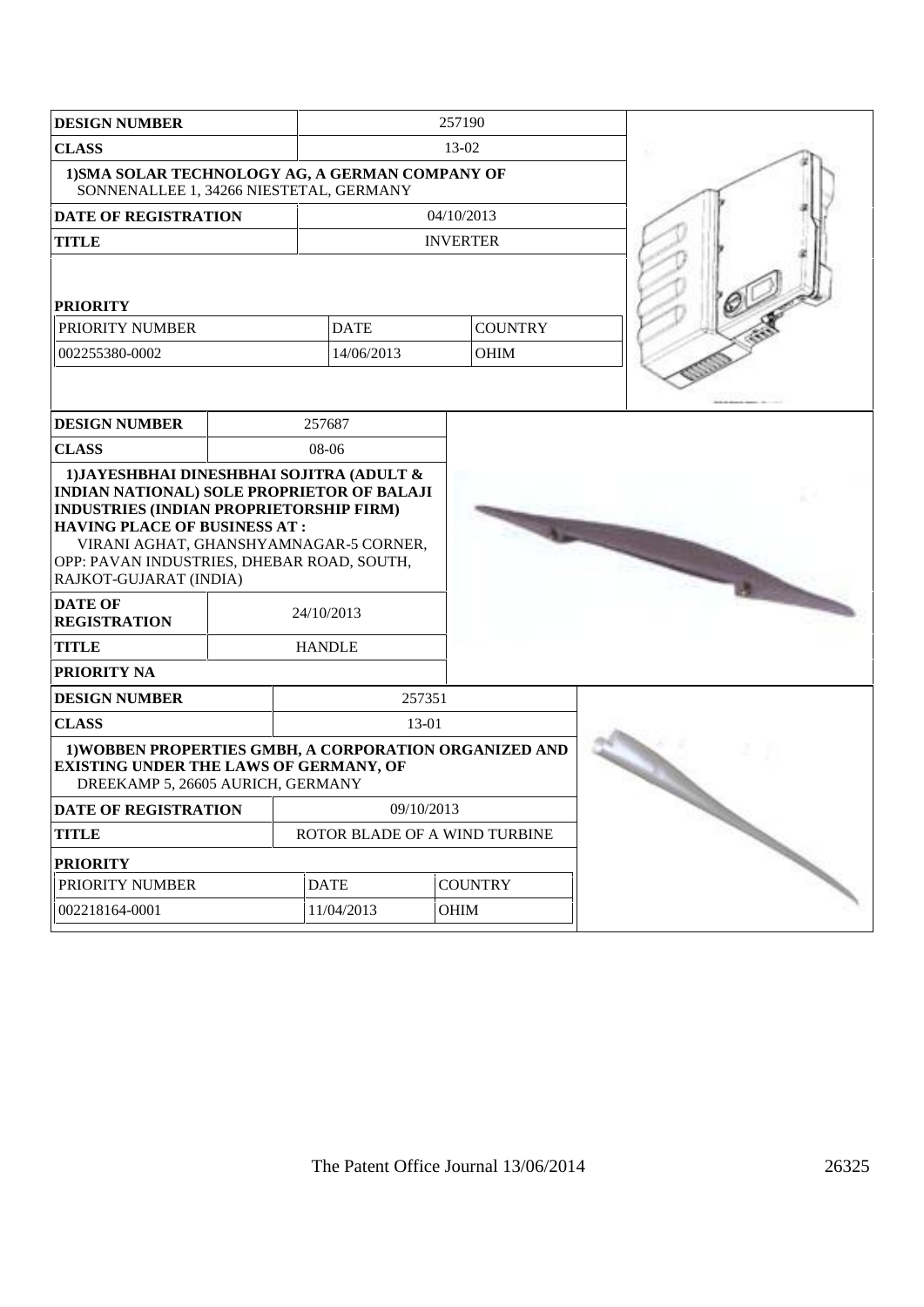| <b>CLASS</b><br>13-02<br>1) SMA SOLAR TECHNOLOGY AG, A GERMAN COMPANY OF<br>SONNENALLEE 1, 34266 NIESTETAL, GERMANY<br>04/10/2013<br><b>DATE OF REGISTRATION</b><br><b>TITLE</b><br><b>INVERTER</b><br><b>PRIORITY</b><br>PRIORITY NUMBER<br><b>DATE</b><br><b>COUNTRY</b> |  |
|----------------------------------------------------------------------------------------------------------------------------------------------------------------------------------------------------------------------------------------------------------------------------|--|
|                                                                                                                                                                                                                                                                            |  |
|                                                                                                                                                                                                                                                                            |  |
|                                                                                                                                                                                                                                                                            |  |
|                                                                                                                                                                                                                                                                            |  |
|                                                                                                                                                                                                                                                                            |  |
| 002255380-0002<br>14/06/2013<br><b>OHIM</b>                                                                                                                                                                                                                                |  |
|                                                                                                                                                                                                                                                                            |  |
| 257687<br><b>DESIGN NUMBER</b>                                                                                                                                                                                                                                             |  |
| <b>CLASS</b><br>08-06                                                                                                                                                                                                                                                      |  |
| INDUSTRIES (INDIAN PROPRIETORSHIP FIRM)<br><b>HAVING PLACE OF BUSINESS AT:</b><br>VIRANI AGHAT, GHANSHYAMNAGAR-5 CORNER,<br>OPP: PAVAN INDUSTRIES, DHEBAR ROAD, SOUTH,<br>RAJKOT-GUJARAT (INDIA)<br><b>DATE OF</b><br>24/10/2013                                           |  |
| <b>REGISTRATION</b>                                                                                                                                                                                                                                                        |  |
| <b>HANDLE</b><br><b>TITLE</b>                                                                                                                                                                                                                                              |  |
| <b>PRIORITY NA</b>                                                                                                                                                                                                                                                         |  |
| 257351<br><b>DESIGN NUMBER</b>                                                                                                                                                                                                                                             |  |
| <b>CLASS</b><br>$13-01$                                                                                                                                                                                                                                                    |  |
| 1) WOBBEN PROPERTIES GMBH, A CORPORATION ORGANIZED AND<br><b>EXISTING UNDER THE LAWS OF GERMANY, OF</b><br>DREEKAMP 5, 26605 AURICH, GERMANY                                                                                                                               |  |
| <b>DATE OF REGISTRATION</b><br>09/10/2013                                                                                                                                                                                                                                  |  |
| <b>TITLE</b><br>ROTOR BLADE OF A WIND TURBINE                                                                                                                                                                                                                              |  |
| <b>PRIORITY</b>                                                                                                                                                                                                                                                            |  |
| <b>DATE</b><br><b>COUNTRY</b><br>PRIORITY NUMBER                                                                                                                                                                                                                           |  |
|                                                                                                                                                                                                                                                                            |  |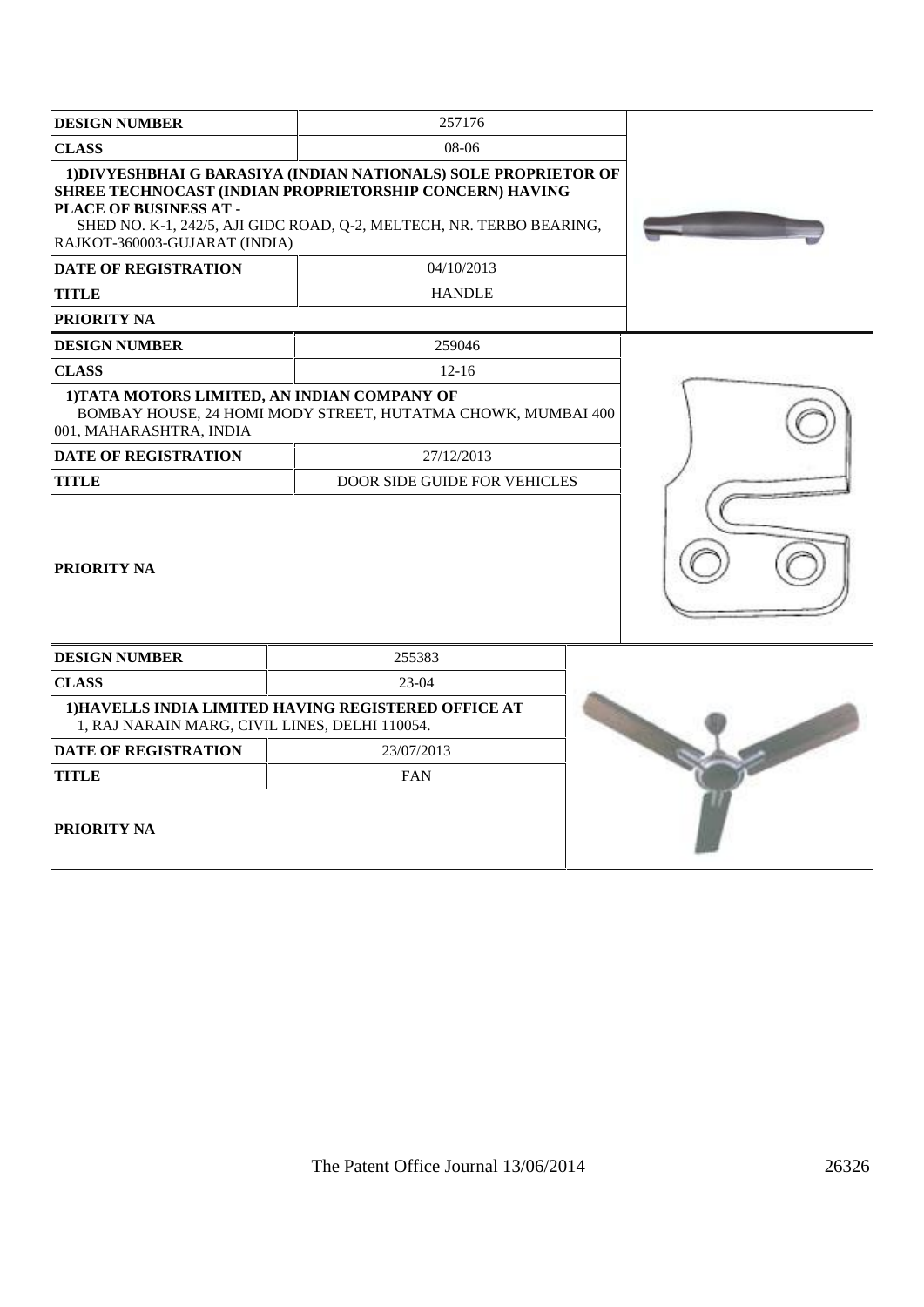| <b>DESIGN NUMBER</b>                                                                                          | 257176                                                                                                                                                                                                                            |  |
|---------------------------------------------------------------------------------------------------------------|-----------------------------------------------------------------------------------------------------------------------------------------------------------------------------------------------------------------------------------|--|
| <b>CLASS</b>                                                                                                  | 08-06                                                                                                                                                                                                                             |  |
| <b>PLACE OF BUSINESS AT -</b><br>RAJKOT-360003-GUJARAT (INDIA)<br><b>DATE OF REGISTRATION</b><br><b>TITLE</b> | 1) DIVYESHBHAI G BARASIYA (INDIAN NATIONALS) SOLE PROPRIETOR OF<br>SHREE TECHNOCAST (INDIAN PROPRIETORSHIP CONCERN) HAVING<br>SHED NO. K-1, 242/5, AJI GIDC ROAD, Q-2, MELTECH, NR. TERBO BEARING,<br>04/10/2013<br><b>HANDLE</b> |  |
| <b>PRIORITY NA</b>                                                                                            |                                                                                                                                                                                                                                   |  |
| <b>DESIGN NUMBER</b>                                                                                          | 259046                                                                                                                                                                                                                            |  |
| <b>CLASS</b><br>1) TATA MOTORS LIMITED, AN INDIAN COMPANY OF<br>001, MAHARASHTRA, INDIA                       | $12 - 16$<br>BOMBAY HOUSE, 24 HOMI MODY STREET, HUTATMA CHOWK, MUMBAI 400                                                                                                                                                         |  |
| DATE OF REGISTRATION                                                                                          | 27/12/2013                                                                                                                                                                                                                        |  |
| <b>TITLE</b>                                                                                                  | <b>DOOR SIDE GUIDE FOR VEHICLES</b>                                                                                                                                                                                               |  |
| <b>PRIORITY NA</b>                                                                                            |                                                                                                                                                                                                                                   |  |
| <b>DESIGN NUMBER</b>                                                                                          | 255383                                                                                                                                                                                                                            |  |
| <b>CLASS</b>                                                                                                  | $23-04$                                                                                                                                                                                                                           |  |
| 1, RAJ NARAIN MARG, CIVIL LINES, DELHI 110054.                                                                | 1) HAVELLS INDIA LIMITED HAVING REGISTERED OFFICE AT                                                                                                                                                                              |  |
| <b>DATE OF REGISTRATION</b>                                                                                   | 23/07/2013                                                                                                                                                                                                                        |  |
| <b>TITLE</b>                                                                                                  | <b>FAN</b>                                                                                                                                                                                                                        |  |
| <b>PRIORITY NA</b>                                                                                            |                                                                                                                                                                                                                                   |  |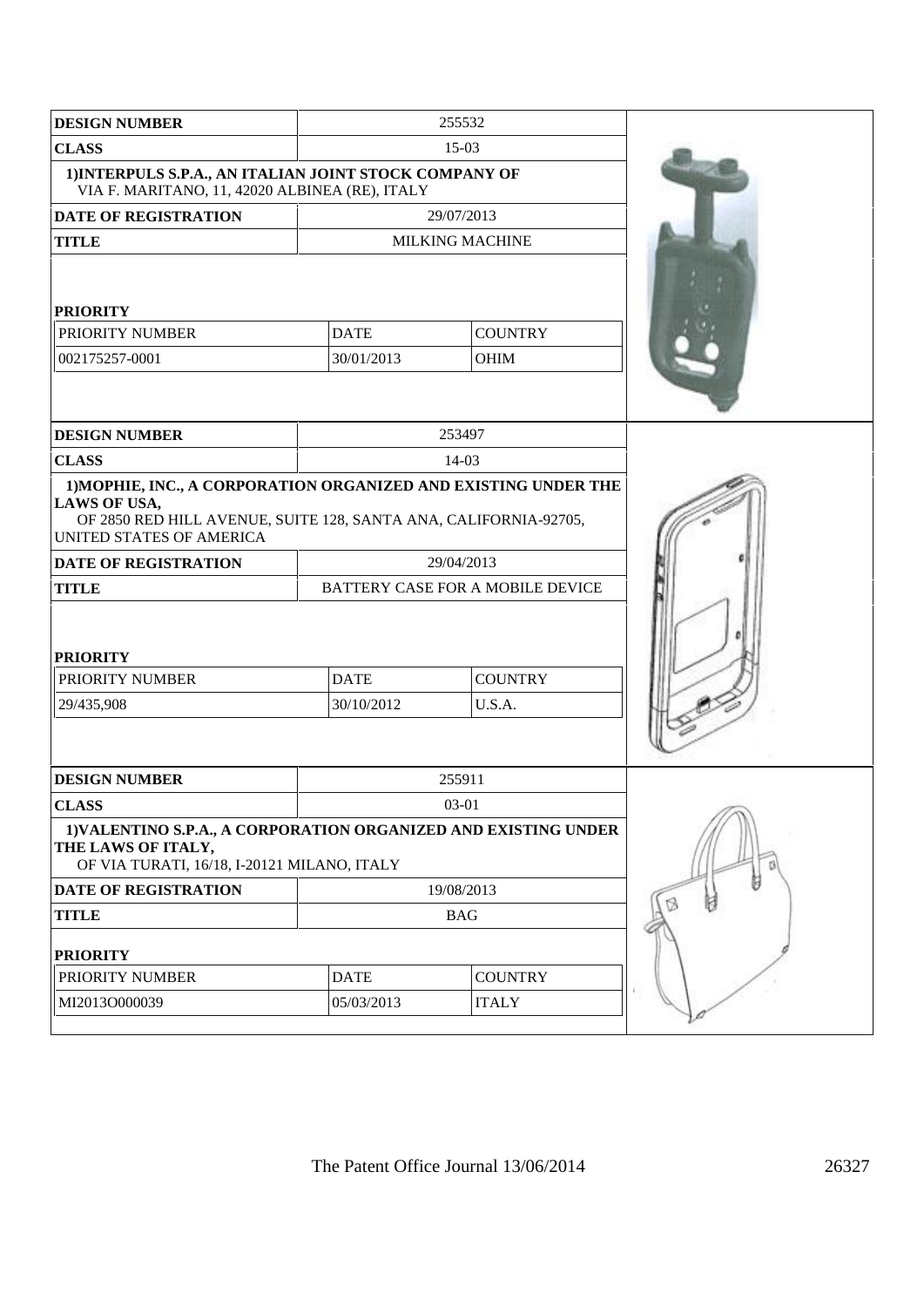| <b>DESIGN NUMBER</b>                                                                                                                                                            |                           | 255532                           |  |
|---------------------------------------------------------------------------------------------------------------------------------------------------------------------------------|---------------------------|----------------------------------|--|
| <b>CLASS</b>                                                                                                                                                                    |                           | $15-03$                          |  |
| 1) INTERPULS S.P.A., AN ITALIAN JOINT STOCK COMPANY OF<br>VIA F. MARITANO, 11, 42020 ALBINEA (RE), ITALY                                                                        |                           |                                  |  |
| DATE OF REGISTRATION                                                                                                                                                            |                           | 29/07/2013                       |  |
| <b>TITLE</b>                                                                                                                                                                    |                           | <b>MILKING MACHINE</b>           |  |
| <b>PRIORITY</b><br>PRIORITY NUMBER                                                                                                                                              |                           |                                  |  |
| 002175257-0001                                                                                                                                                                  | <b>DATE</b><br>30/01/2013 | <b>COUNTRY</b><br>OHIM           |  |
| <b>DESIGN NUMBER</b>                                                                                                                                                            |                           | 253497                           |  |
| <b>CLASS</b>                                                                                                                                                                    |                           | 14-03                            |  |
|                                                                                                                                                                                 |                           |                                  |  |
| 1) MOPHIE, INC., A CORPORATION ORGANIZED AND EXISTING UNDER THE<br>LAWS OF USA,<br>OF 2850 RED HILL AVENUE, SUITE 128, SANTA ANA, CALIFORNIA-92705,<br>UNITED STATES OF AMERICA |                           |                                  |  |
| <b>DATE OF REGISTRATION</b>                                                                                                                                                     |                           | 29/04/2013                       |  |
| <b>TITLE</b>                                                                                                                                                                    |                           | BATTERY CASE FOR A MOBILE DEVICE |  |
| <b>PRIORITY</b>                                                                                                                                                                 |                           |                                  |  |
| PRIORITY NUMBER                                                                                                                                                                 | <b>DATE</b>               | <b>COUNTRY</b>                   |  |
| 29/435,908                                                                                                                                                                      | 30/10/2012<br>U.S.A.      |                                  |  |
|                                                                                                                                                                                 |                           |                                  |  |
| <b>DESIGN NUMBER</b>                                                                                                                                                            |                           | 255911                           |  |
| <b>CLASS</b>                                                                                                                                                                    |                           | 03-01                            |  |
| 1) VALENTINO S.P.A., A CORPORATION ORGANIZED AND EXISTING UNDER<br>THE LAWS OF ITALY,<br>OF VIA TURATI, 16/18, I-20121 MILANO, ITALY                                            |                           |                                  |  |
| <b>DATE OF REGISTRATION</b>                                                                                                                                                     |                           | 19/08/2013                       |  |
| <b>TITLE</b>                                                                                                                                                                    |                           | <b>BAG</b>                       |  |
| <b>PRIORITY</b>                                                                                                                                                                 |                           |                                  |  |
| PRIORITY NUMBER                                                                                                                                                                 | <b>DATE</b>               | <b>COUNTRY</b>                   |  |
| MI2013O000039                                                                                                                                                                   | 05/03/2013                | <b>ITALY</b>                     |  |
|                                                                                                                                                                                 |                           |                                  |  |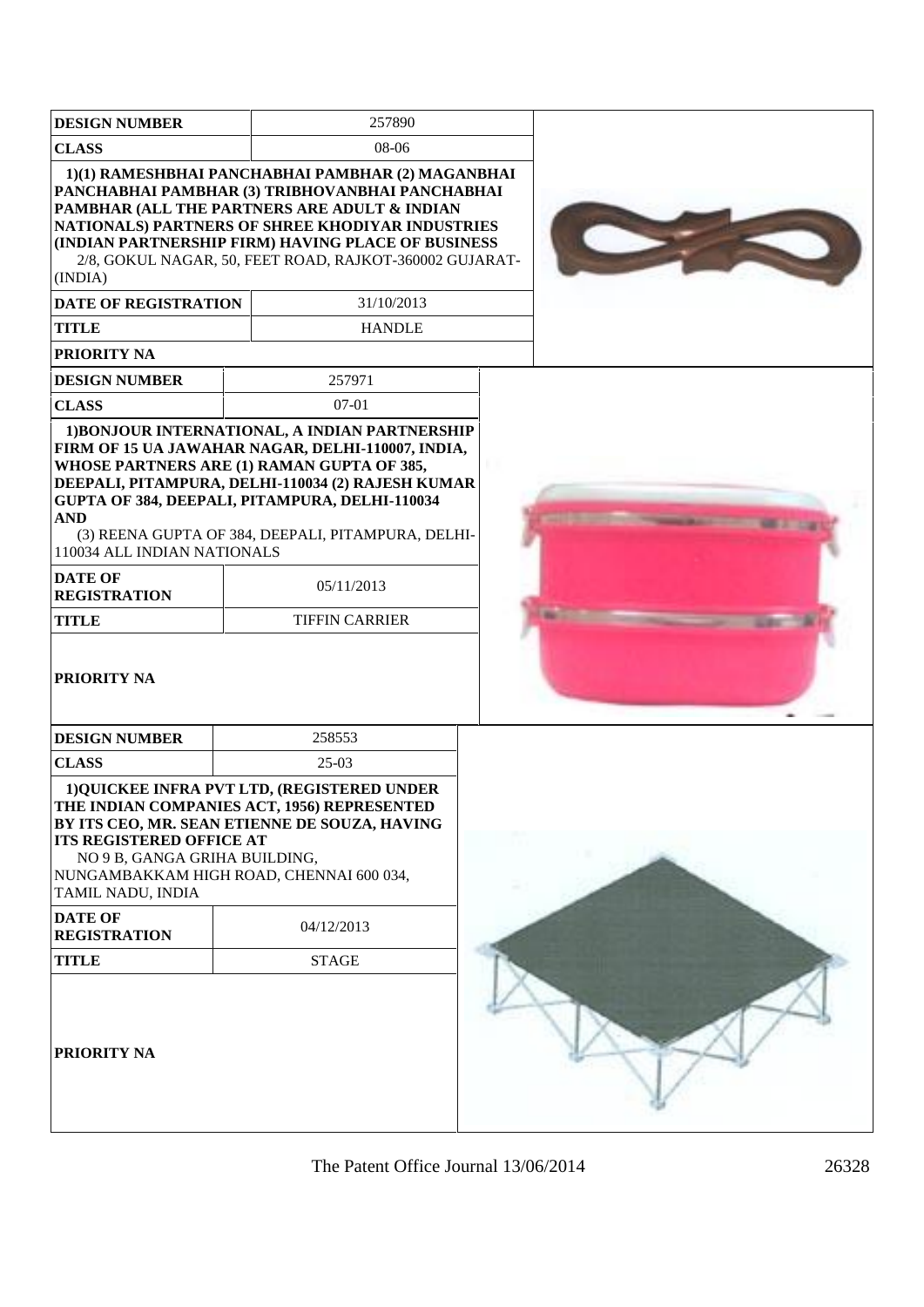| <b>DESIGN NUMBER</b>                                                                                                           | 257890                                                                                                                                                                                                                                                                                                                                  |  |
|--------------------------------------------------------------------------------------------------------------------------------|-----------------------------------------------------------------------------------------------------------------------------------------------------------------------------------------------------------------------------------------------------------------------------------------------------------------------------------------|--|
| <b>CLASS</b>                                                                                                                   | $08-06$                                                                                                                                                                                                                                                                                                                                 |  |
| (INDIA)<br>DATE OF REGISTRATION                                                                                                | 1)(1) RAMESHBHAI PANCHABHAI PAMBHAR (2) MAGANBHAI<br>PANCHABHAI PAMBHAR (3) TRIBHOVANBHAI PANCHABHAI<br>PAMBHAR (ALL THE PARTNERS ARE ADULT & INDIAN<br>NATIONALS) PARTNERS OF SHREE KHODIYAR INDUSTRIES<br>(INDIAN PARTNERSHIP FIRM) HAVING PLACE OF BUSINESS<br>2/8, GOKUL NAGAR, 50, FEET ROAD, RAJKOT-360002 GUJARAT-<br>31/10/2013 |  |
| <b>TITLE</b>                                                                                                                   | <b>HANDLE</b>                                                                                                                                                                                                                                                                                                                           |  |
| <b>PRIORITY NA</b>                                                                                                             |                                                                                                                                                                                                                                                                                                                                         |  |
| <b>DESIGN NUMBER</b>                                                                                                           | 257971                                                                                                                                                                                                                                                                                                                                  |  |
| <b>CLASS</b>                                                                                                                   | $07-01$                                                                                                                                                                                                                                                                                                                                 |  |
| <b>AND</b><br>110034 ALL INDIAN NATIONALS                                                                                      | 1) BONJOUR INTERNATIONAL, A INDIAN PARTNERSHIP<br>FIRM OF 15 UA JAWAHAR NAGAR, DELHI-110007, INDIA,<br>WHOSE PARTNERS ARE (1) RAMAN GUPTA OF 385,<br>DEEPALI, PITAMPURA, DELHI-110034 (2) RAJESH KUMAR<br>GUPTA OF 384, DEEPALI, PITAMPURA, DELHI-110034<br>(3) REENA GUPTA OF 384, DEEPALI, PITAMPURA, DELHI-                          |  |
| <b>DATE OF</b><br><b>REGISTRATION</b>                                                                                          | 05/11/2013                                                                                                                                                                                                                                                                                                                              |  |
| <b>TITLE</b>                                                                                                                   | <b>TIFFIN CARRIER</b>                                                                                                                                                                                                                                                                                                                   |  |
| <b>PRIORITY NA</b>                                                                                                             |                                                                                                                                                                                                                                                                                                                                         |  |
| <b>DESIGN NUMBER</b>                                                                                                           | 258553                                                                                                                                                                                                                                                                                                                                  |  |
| <b>CLASS</b>                                                                                                                   | $25-03$                                                                                                                                                                                                                                                                                                                                 |  |
| <b>ITS REGISTERED OFFICE AT</b><br>NO 9 B, GANGA GRIHA BUILDING,<br>TAMIL NADU, INDIA<br><b>DATE OF</b><br><b>REGISTRATION</b> | 1) QUICKEE INFRA PVT LTD, (REGISTERED UNDER<br>THE INDIAN COMPANIES ACT, 1956) REPRESENTED<br>BY ITS CEO, MR. SEAN ETIENNE DE SOUZA, HAVING<br>NUNGAMBAKKAM HIGH ROAD, CHENNAI 600 034,<br>04/12/2013                                                                                                                                   |  |
| <b>TITLE</b>                                                                                                                   | <b>STAGE</b>                                                                                                                                                                                                                                                                                                                            |  |
| PRIORITY NA                                                                                                                    |                                                                                                                                                                                                                                                                                                                                         |  |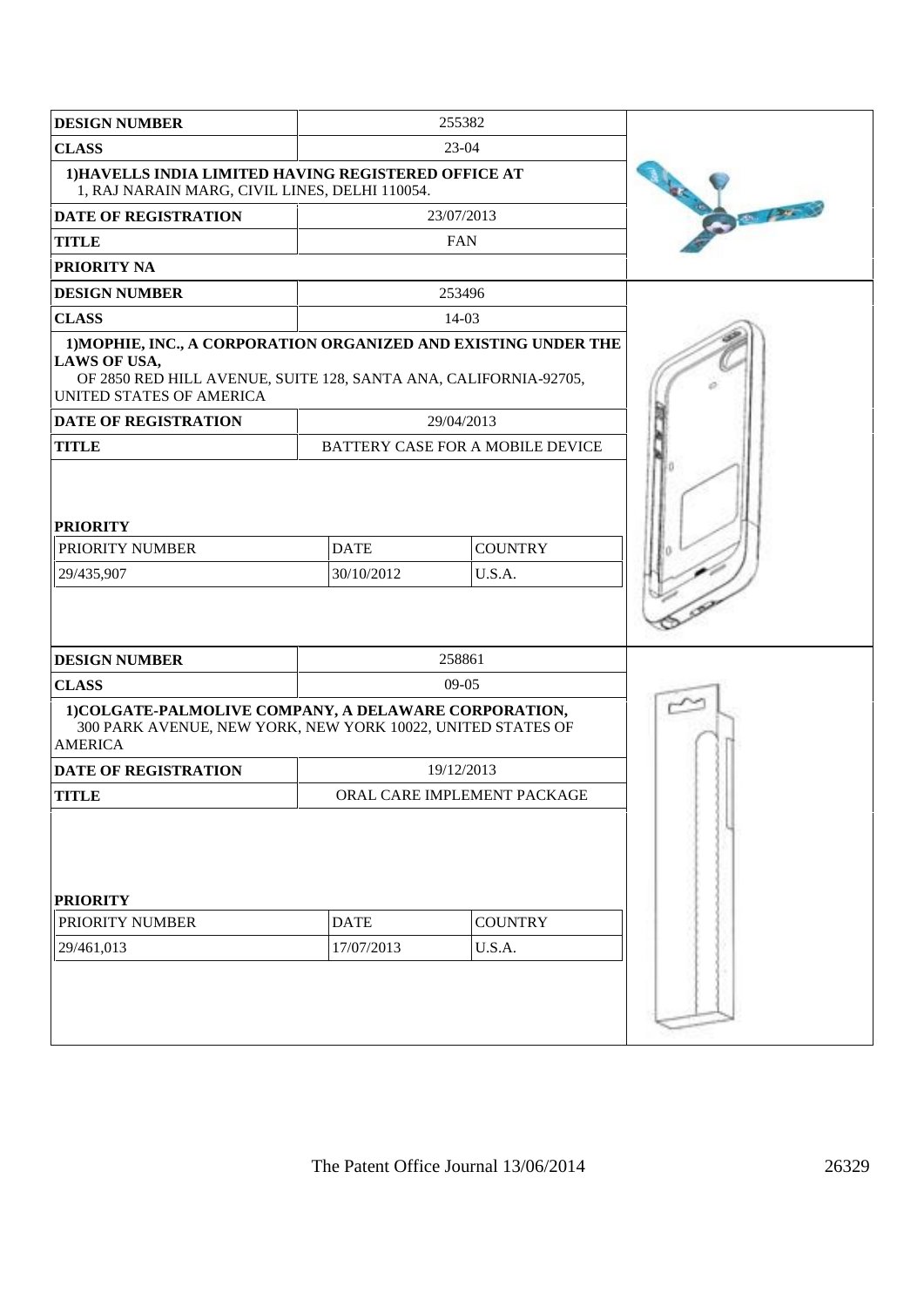| <b>DESIGN NUMBER</b>                                                                                                                                                                   |                           | 255382                           |                   |
|----------------------------------------------------------------------------------------------------------------------------------------------------------------------------------------|---------------------------|----------------------------------|-------------------|
| <b>CLASS</b>                                                                                                                                                                           |                           | 23-04                            |                   |
| 1) HAVELLS INDIA LIMITED HAVING REGISTERED OFFICE AT<br>1, RAJ NARAIN MARG, CIVIL LINES, DELHI 110054.                                                                                 |                           |                                  |                   |
| <b>DATE OF REGISTRATION</b>                                                                                                                                                            |                           | 23/07/2013                       | <b>RESILIANCE</b> |
| <b>TITLE</b>                                                                                                                                                                           |                           | <b>FAN</b>                       |                   |
| PRIORITY NA                                                                                                                                                                            |                           |                                  |                   |
| <b>DESIGN NUMBER</b>                                                                                                                                                                   |                           | 253496                           |                   |
| <b>CLASS</b>                                                                                                                                                                           |                           | 14-03                            |                   |
| 1) MOPHIE, INC., A CORPORATION ORGANIZED AND EXISTING UNDER THE<br><b>LAWS OF USA,</b><br>OF 2850 RED HILL AVENUE, SUITE 128, SANTA ANA, CALIFORNIA-92705,<br>UNITED STATES OF AMERICA |                           |                                  |                   |
| <b>DATE OF REGISTRATION</b>                                                                                                                                                            |                           | 29/04/2013                       |                   |
| <b>TITLE</b>                                                                                                                                                                           |                           | BATTERY CASE FOR A MOBILE DEVICE |                   |
| <b>PRIORITY</b>                                                                                                                                                                        |                           |                                  |                   |
| PRIORITY NUMBER                                                                                                                                                                        | <b>DATE</b>               | <b>COUNTRY</b>                   |                   |
| 29/435,907                                                                                                                                                                             | 30/10/2012<br>U.S.A.      |                                  |                   |
|                                                                                                                                                                                        |                           |                                  |                   |
| <b>DESIGN NUMBER</b>                                                                                                                                                                   | 258861                    |                                  |                   |
| <b>CLASS</b>                                                                                                                                                                           |                           | $09-05$                          |                   |
| 1) COLGATE-PALMOLIVE COMPANY, A DELAWARE CORPORATION,<br>300 PARK AVENUE, NEW YORK, NEW YORK 10022, UNITED STATES OF<br><b>AMERICA</b>                                                 |                           |                                  |                   |
| <b>DATE OF REGISTRATION</b>                                                                                                                                                            |                           | 19/12/2013                       |                   |
| <b>TITLE</b>                                                                                                                                                                           |                           | ORAL CARE IMPLEMENT PACKAGE      |                   |
| <b>PRIORITY</b><br>PRIORITY NUMBER<br>29/461,013                                                                                                                                       | <b>DATE</b><br>17/07/2013 | <b>COUNTRY</b><br>U.S.A.         |                   |
|                                                                                                                                                                                        |                           |                                  |                   |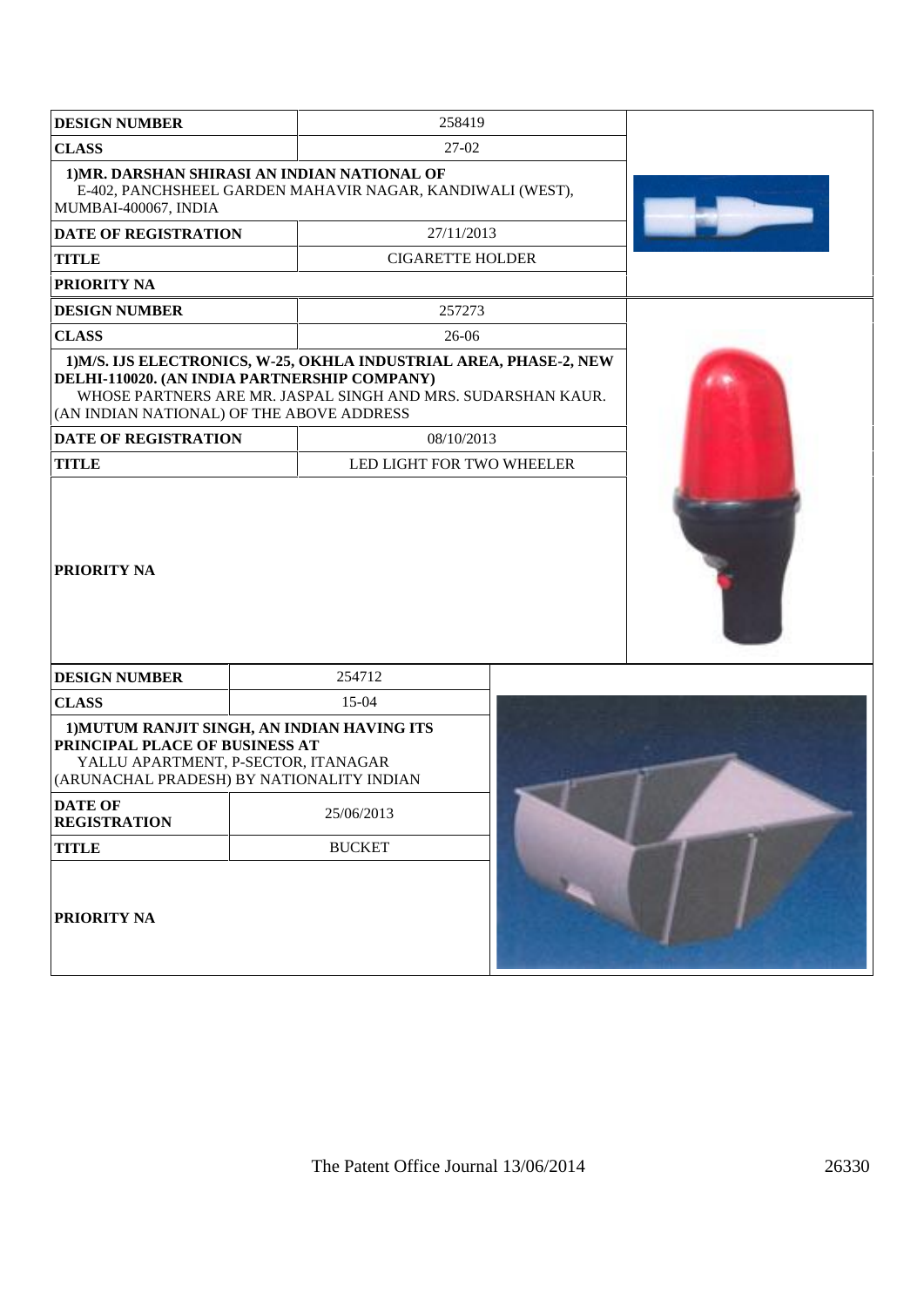| <b>DESIGN NUMBER</b>                                                                                                                                              | 258419                                                       |  |  |
|-------------------------------------------------------------------------------------------------------------------------------------------------------------------|--------------------------------------------------------------|--|--|
| <b>CLASS</b>                                                                                                                                                      | 27-02                                                        |  |  |
| 1) MR. DARSHAN SHIRASI AN INDIAN NATIONAL OF<br>MUMBAI-400067, INDIA                                                                                              | E-402, PANCHSHEEL GARDEN MAHAVIR NAGAR, KANDIWALI (WEST),    |  |  |
| <b>DATE OF REGISTRATION</b>                                                                                                                                       | 27/11/2013                                                   |  |  |
| <b>TITLE</b>                                                                                                                                                      | <b>CIGARETTE HOLDER</b>                                      |  |  |
| PRIORITY NA                                                                                                                                                       |                                                              |  |  |
| <b>DESIGN NUMBER</b>                                                                                                                                              | 257273                                                       |  |  |
| <b>CLASS</b>                                                                                                                                                      | 26-06                                                        |  |  |
| 1) M/S. IJS ELECTRONICS, W-25, OKHLA INDUSTRIAL AREA, PHASE-2, NEW<br>DELHI-110020. (AN INDIA PARTNERSHIP COMPANY)<br>(AN INDIAN NATIONAL) OF THE ABOVE ADDRESS   | WHOSE PARTNERS ARE MR. JASPAL SINGH AND MRS. SUDARSHAN KAUR. |  |  |
| <b>DATE OF REGISTRATION</b>                                                                                                                                       | 08/10/2013                                                   |  |  |
| <b>TITLE</b>                                                                                                                                                      | LED LIGHT FOR TWO WHEELER                                    |  |  |
| <b>PRIORITY NA</b>                                                                                                                                                |                                                              |  |  |
| <b>DESIGN NUMBER</b>                                                                                                                                              | 254712                                                       |  |  |
| <b>CLASS</b>                                                                                                                                                      | 15-04                                                        |  |  |
| 1) MUTUM RANJIT SINGH, AN INDIAN HAVING ITS<br>PRINCIPAL PLACE OF BUSINESS AT<br>YALLU APARTMENT, P-SECTOR, ITANAGAR<br>(ARUNACHAL PRADESH) BY NATIONALITY INDIAN |                                                              |  |  |
| <b>DATE OF</b><br><b>REGISTRATION</b>                                                                                                                             | 25/06/2013                                                   |  |  |
| <b>TITLE</b>                                                                                                                                                      | <b>BUCKET</b>                                                |  |  |
| PRIORITY NA                                                                                                                                                       |                                                              |  |  |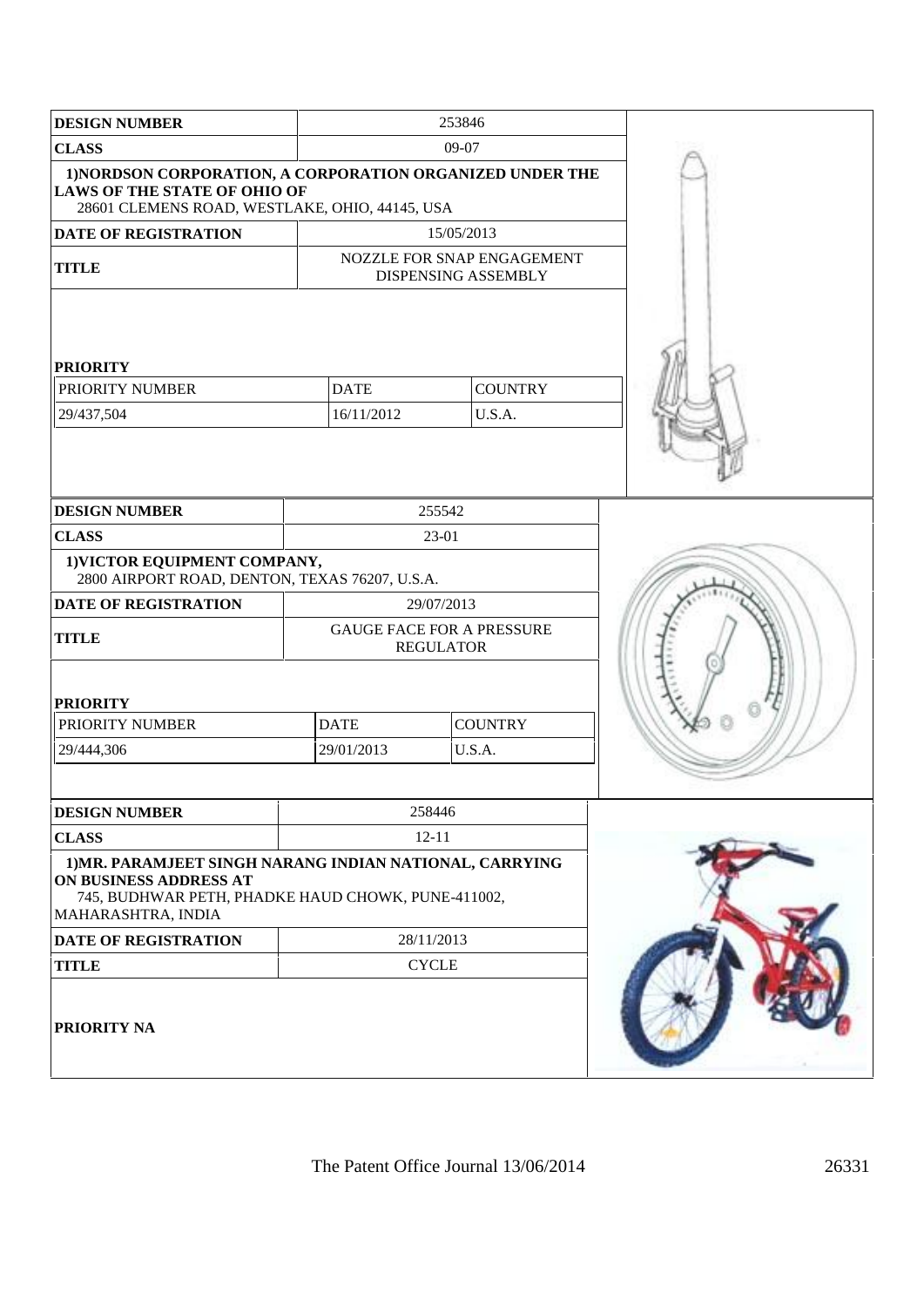| <b>DESIGN NUMBER</b>                                                                                                                                          |                           | 253846                                               |  |
|---------------------------------------------------------------------------------------------------------------------------------------------------------------|---------------------------|------------------------------------------------------|--|
| <b>CLASS</b>                                                                                                                                                  |                           | 09-07                                                |  |
| 1) NORDSON CORPORATION, A CORPORATION ORGANIZED UNDER THE<br><b>LAWS OF THE STATE OF OHIO OF</b><br>28601 CLEMENS ROAD, WESTLAKE, OHIO, 44145, USA            |                           |                                                      |  |
| <b>DATE OF REGISTRATION</b>                                                                                                                                   |                           | 15/05/2013                                           |  |
| <b>TITLE</b>                                                                                                                                                  |                           | NOZZLE FOR SNAP ENGAGEMENT<br>DISPENSING ASSEMBLY    |  |
| <b>PRIORITY</b><br>PRIORITY NUMBER<br>29/437,504                                                                                                              | <b>DATE</b><br>16/11/2012 | <b>COUNTRY</b><br>U.S.A.                             |  |
|                                                                                                                                                               |                           |                                                      |  |
| <b>DESIGN NUMBER</b>                                                                                                                                          |                           | 255542                                               |  |
| <b>CLASS</b>                                                                                                                                                  |                           | 23-01                                                |  |
| 1) VICTOR EQUIPMENT COMPANY,<br>2800 AIRPORT ROAD, DENTON, TEXAS 76207, U.S.A.                                                                                |                           |                                                      |  |
| <b>DATE OF REGISTRATION</b>                                                                                                                                   | 29/07/2013                |                                                      |  |
| <b>TITLE</b>                                                                                                                                                  |                           | <b>GAUGE FACE FOR A PRESSURE</b><br><b>REGULATOR</b> |  |
| <b>PRIORITY</b>                                                                                                                                               |                           |                                                      |  |
| PRIORITY NUMBER                                                                                                                                               | <b>DATE</b>               | <b>COUNTRY</b>                                       |  |
| 29/444,306                                                                                                                                                    | 29/01/2013<br>U.S.A.      |                                                      |  |
| <b>DESIGN NUMBER</b>                                                                                                                                          |                           | 258446                                               |  |
| <b>CLASS</b>                                                                                                                                                  |                           | $12 - 11$                                            |  |
| 1) MR. PARAMJEET SINGH NARANG INDIAN NATIONAL, CARRYING<br>ON BUSINESS ADDRESS AT<br>745, BUDHWAR PETH, PHADKE HAUD CHOWK, PUNE-411002,<br>MAHARASHTRA, INDIA |                           |                                                      |  |
| <b>DATE OF REGISTRATION</b>                                                                                                                                   |                           | 28/11/2013                                           |  |
| <b>TITLE</b>                                                                                                                                                  |                           | <b>CYCLE</b>                                         |  |
| <b>PRIORITY NA</b>                                                                                                                                            |                           |                                                      |  |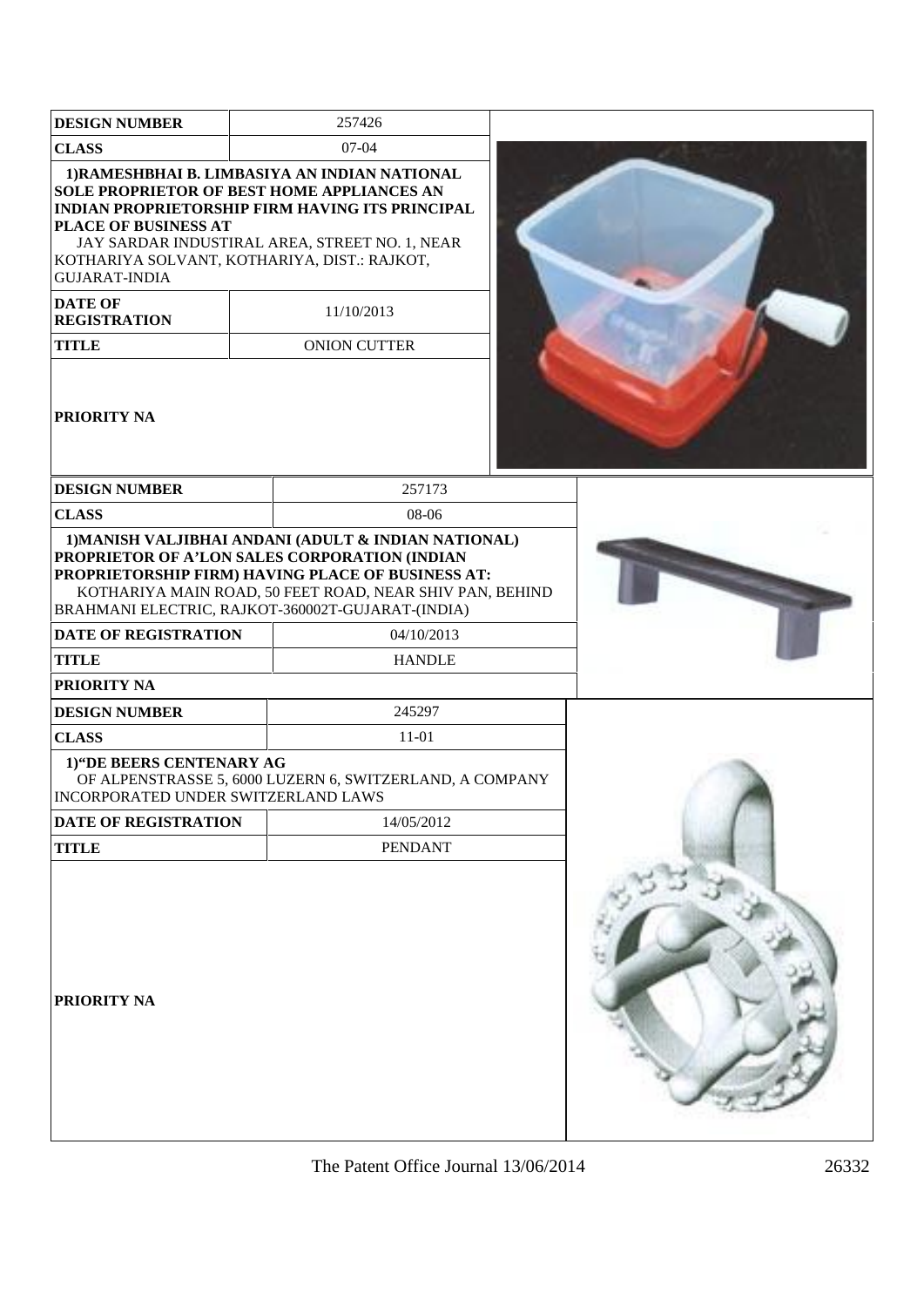| <b>DESIGN NUMBER</b>                                                                                                                              | 257426                                                                                                                                                                |  |
|---------------------------------------------------------------------------------------------------------------------------------------------------|-----------------------------------------------------------------------------------------------------------------------------------------------------------------------|--|
| <b>CLASS</b>                                                                                                                                      | $07 - 04$                                                                                                                                                             |  |
| <b>SOLE PROPRIETOR OF BEST HOME APPLIANCES AN</b><br>PLACE OF BUSINESS AT<br>KOTHARIYA SOLVANT, KOTHARIYA, DIST.: RAJKOT,<br><b>GUJARAT-INDIA</b> | 1) RAMESHBHAI B. LIMBASIYA AN INDIAN NATIONAL<br><b>INDIAN PROPRIETORSHIP FIRM HAVING ITS PRINCIPAL</b><br>JAY SARDAR INDUSTIRAL AREA, STREET NO. 1, NEAR             |  |
| <b>DATE OF</b><br><b>REGISTRATION</b>                                                                                                             | 11/10/2013                                                                                                                                                            |  |
| <b>TITLE</b>                                                                                                                                      | <b>ONION CUTTER</b>                                                                                                                                                   |  |
| <b>PRIORITY NA</b>                                                                                                                                |                                                                                                                                                                       |  |
| <b>DESIGN NUMBER</b>                                                                                                                              | 257173                                                                                                                                                                |  |
| <b>CLASS</b>                                                                                                                                      | 08-06                                                                                                                                                                 |  |
| PROPRIETOR OF A'LON SALES CORPORATION (INDIAN<br>BRAHMANI ELECTRIC, RAJKOT-360002T-GUJARAT-(INDIA)                                                | 1) MANISH VALJIBHAI ANDANI (ADULT & INDIAN NATIONAL)<br>PROPRIETORSHIP FIRM) HAVING PLACE OF BUSINESS AT:<br>KOTHARIYA MAIN ROAD, 50 FEET ROAD, NEAR SHIV PAN, BEHIND |  |
| <b>DATE OF REGISTRATION</b>                                                                                                                       | 04/10/2013                                                                                                                                                            |  |
| <b>TITLE</b>                                                                                                                                      | <b>HANDLE</b>                                                                                                                                                         |  |
| <b>PRIORITY NA</b>                                                                                                                                |                                                                                                                                                                       |  |
| <b>DESIGN NUMBER</b>                                                                                                                              | 245297                                                                                                                                                                |  |
| <b>CLASS</b>                                                                                                                                      | $11 - 01$                                                                                                                                                             |  |
| 1) "DE BEERS CENTENARY AG<br><b>INCORPORATED UNDER SWITZERLAND LAWS</b>                                                                           | OF ALPENSTRASSE 5, 6000 LUZERN 6, SWITZERLAND, A COMPANY                                                                                                              |  |
| <b>DATE OF REGISTRATION</b>                                                                                                                       | 14/05/2012                                                                                                                                                            |  |
| <b>TITLE</b>                                                                                                                                      | <b>PENDANT</b>                                                                                                                                                        |  |
| <b>PRIORITY NA</b>                                                                                                                                |                                                                                                                                                                       |  |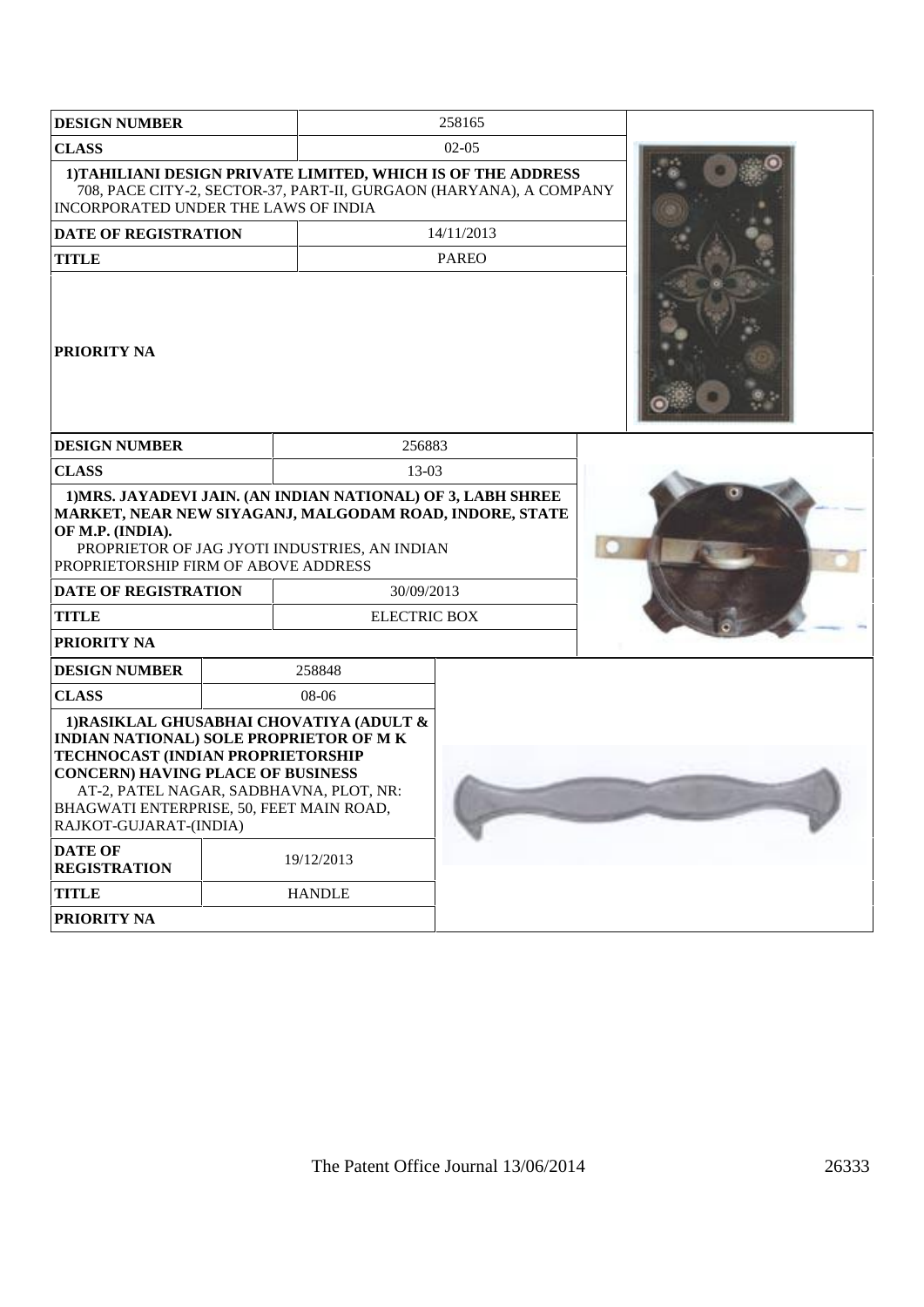| <b>DESIGN NUMBER</b>                                                                                                                                                                                                    |                                                                                                                                                                                                               | 258165       |  |
|-------------------------------------------------------------------------------------------------------------------------------------------------------------------------------------------------------------------------|---------------------------------------------------------------------------------------------------------------------------------------------------------------------------------------------------------------|--------------|--|
|                                                                                                                                                                                                                         |                                                                                                                                                                                                               |              |  |
| <b>CLASS</b><br>INCORPORATED UNDER THE LAWS OF INDIA                                                                                                                                                                    | 1) TAHILIANI DESIGN PRIVATE LIMITED, WHICH IS OF THE ADDRESS<br>708, PACE CITY-2, SECTOR-37, PART-II, GURGAON (HARYANA), A COMPANY                                                                            | $02 - 05$    |  |
| DATE OF REGISTRATION                                                                                                                                                                                                    |                                                                                                                                                                                                               | 14/11/2013   |  |
| <b>TITLE</b>                                                                                                                                                                                                            |                                                                                                                                                                                                               | <b>PAREO</b> |  |
| PRIORITY NA                                                                                                                                                                                                             |                                                                                                                                                                                                               |              |  |
| <b>DESIGN NUMBER</b>                                                                                                                                                                                                    | 256883                                                                                                                                                                                                        |              |  |
| <b>CLASS</b>                                                                                                                                                                                                            | 13-03                                                                                                                                                                                                         |              |  |
| OF M.P. (INDIA).<br>PROPRIETORSHIP FIRM OF ABOVE ADDRESS<br><b>DATE OF REGISTRATION</b><br><b>TITLE</b>                                                                                                                 | 1) MRS. JAYADEVI JAIN. (AN INDIAN NATIONAL) OF 3, LABH SHREE<br>MARKET, NEAR NEW SIYAGANJ, MALGODAM ROAD, INDORE, STATE<br>PROPRIETOR OF JAG JYOTI INDUSTRIES, AN INDIAN<br>30/09/2013<br><b>ELECTRIC BOX</b> |              |  |
| <b>PRIORITY NA</b>                                                                                                                                                                                                      |                                                                                                                                                                                                               |              |  |
| <b>DESIGN NUMBER</b>                                                                                                                                                                                                    | 258848                                                                                                                                                                                                        |              |  |
| <b>CLASS</b>                                                                                                                                                                                                            | 08-06                                                                                                                                                                                                         |              |  |
| <b>INDIAN NATIONAL) SOLE PROPRIETOR OF M K</b><br>TECHNOCAST (INDIAN PROPRIETORSHIP<br><b>CONCERN) HAVING PLACE OF BUSINESS</b><br>BHAGWATI ENTERPRISE, 50, FEET MAIN ROAD,<br>RAJKOT-GUJARAT-(INDIA)<br><b>DATE OF</b> | 1) RASIKLAL GHUSABHAI CHOVATIYA (ADULT &<br>AT-2, PATEL NAGAR, SADBHAVNA, PLOT, NR:                                                                                                                           |              |  |
| <b>REGISTRATION</b>                                                                                                                                                                                                     | 19/12/2013                                                                                                                                                                                                    |              |  |
| <b>TITLE</b>                                                                                                                                                                                                            | <b>HANDLE</b>                                                                                                                                                                                                 |              |  |
| <b>PRIORITY NA</b>                                                                                                                                                                                                      |                                                                                                                                                                                                               |              |  |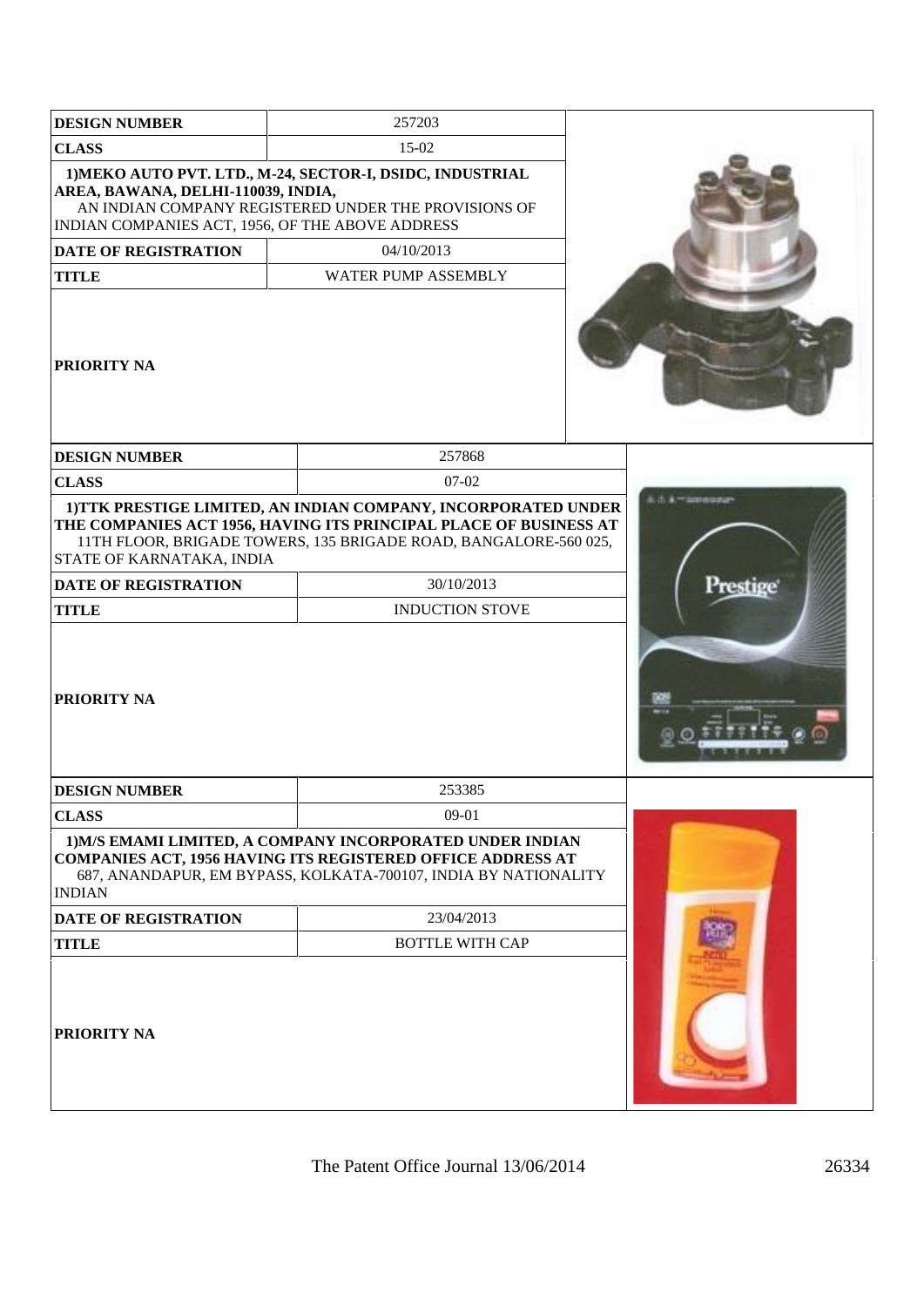| <b>DESIGN NUMBER</b>                                                                   | 257203                                                                                                                                                                                                  |  |
|----------------------------------------------------------------------------------------|---------------------------------------------------------------------------------------------------------------------------------------------------------------------------------------------------------|--|
| <b>CLASS</b>                                                                           | 15-02                                                                                                                                                                                                   |  |
| AREA, BAWANA, DELHI-110039, INDIA,<br>INDIAN COMPANIES ACT, 1956, OF THE ABOVE ADDRESS | 1) MEKO AUTO PVT. LTD., M-24, SECTOR-I, DSIDC, INDUSTRIAL<br>AN INDIAN COMPANY REGISTERED UNDER THE PROVISIONS OF                                                                                       |  |
| <b>DATE OF REGISTRATION</b>                                                            | 04/10/2013                                                                                                                                                                                              |  |
| <b>TITLE</b>                                                                           | WATER PUMP ASSEMBLY                                                                                                                                                                                     |  |
| <b>PRIORITY NA</b>                                                                     |                                                                                                                                                                                                         |  |
| <b>DESIGN NUMBER</b>                                                                   | 257868                                                                                                                                                                                                  |  |
| <b>CLASS</b>                                                                           | $07-02$                                                                                                                                                                                                 |  |
| STATE OF KARNATAKA, INDIA                                                              | 1) TTK PRESTIGE LIMITED, AN INDIAN COMPANY, INCORPORATED UNDER<br>THE COMPANIES ACT 1956, HAVING ITS PRINCIPAL PLACE OF BUSINESS AT<br>11TH FLOOR, BRIGADE TOWERS, 135 BRIGADE ROAD, BANGALORE-560 025, |  |
| <b>DATE OF REGISTRATION</b>                                                            | 30/10/2013                                                                                                                                                                                              |  |
| <b>TITLE</b>                                                                           | <b>INDUCTION STOVE</b>                                                                                                                                                                                  |  |
| PRIORITY NA                                                                            |                                                                                                                                                                                                         |  |
| <b>DESIGN NUMBER</b>                                                                   | 253385                                                                                                                                                                                                  |  |
| <b>CLASS</b>                                                                           | $09-01$                                                                                                                                                                                                 |  |
| <b>INDIAN</b>                                                                          | 1) M/S EMAMI LIMITED, A COMPANY INCORPORATED UNDER INDIAN<br><b>COMPANIES ACT, 1956 HAVING ITS REGISTERED OFFICE ADDRESS AT</b><br>687, ANANDAPUR, EM BYPASS, KOLKATA-700107, INDIA BY NATIONALITY      |  |
| <b>DATE OF REGISTRATION</b>                                                            | 23/04/2013                                                                                                                                                                                              |  |
| <b>TITLE</b>                                                                           | <b>BOTTLE WITH CAP</b>                                                                                                                                                                                  |  |
| <b>PRIORITY NA</b>                                                                     |                                                                                                                                                                                                         |  |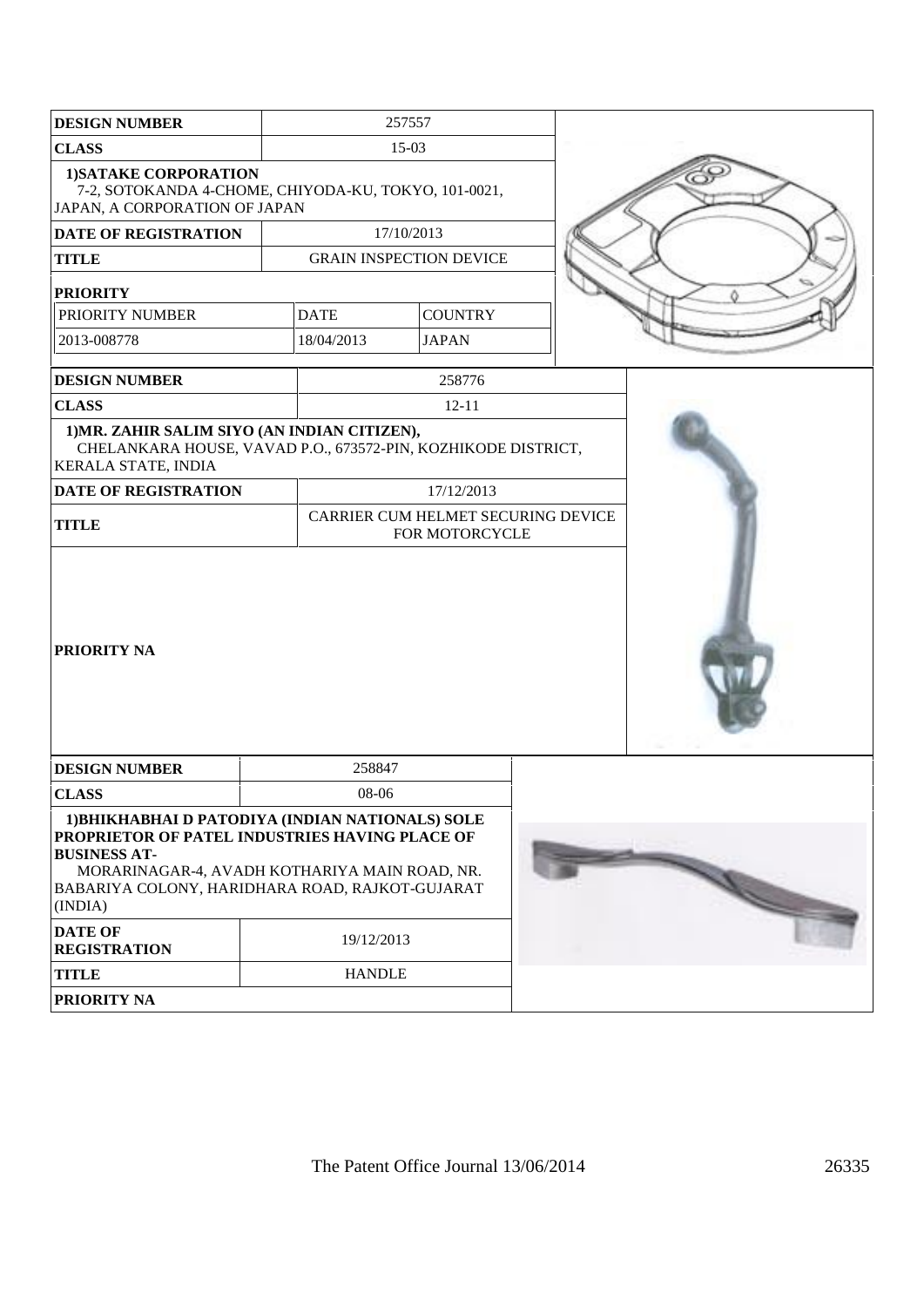| <b>DESIGN NUMBER</b>                                                                                                                                                                                                                     |               | 257557                                               |  |  |
|------------------------------------------------------------------------------------------------------------------------------------------------------------------------------------------------------------------------------------------|---------------|------------------------------------------------------|--|--|
| <b>CLASS</b>                                                                                                                                                                                                                             | 15-03         |                                                      |  |  |
| <b>1)SATAKE CORPORATION</b><br>7-2, SOTOKANDA 4-CHOME, CHIYODA-KU, TOKYO, 101-0021,<br>JAPAN, A CORPORATION OF JAPAN                                                                                                                     |               |                                                      |  |  |
| <b>DATE OF REGISTRATION</b>                                                                                                                                                                                                              |               | 17/10/2013                                           |  |  |
| <b>TITLE</b>                                                                                                                                                                                                                             |               | <b>GRAIN INSPECTION DEVICE</b>                       |  |  |
| <b>PRIORITY</b>                                                                                                                                                                                                                          |               |                                                      |  |  |
| PRIORITY NUMBER                                                                                                                                                                                                                          | <b>DATE</b>   | <b>COUNTRY</b>                                       |  |  |
| 2013-008778                                                                                                                                                                                                                              | 18/04/2013    | <b>JAPAN</b>                                         |  |  |
| <b>DESIGN NUMBER</b>                                                                                                                                                                                                                     |               | 258776                                               |  |  |
| <b>CLASS</b>                                                                                                                                                                                                                             |               | $12 - 11$                                            |  |  |
| 1) MR. ZAHIR SALIM SIYO (AN INDIAN CITIZEN),<br>CHELANKARA HOUSE, VAVAD P.O., 673572-PIN, KOZHIKODE DISTRICT,<br><b>KERALA STATE, INDIA</b>                                                                                              |               |                                                      |  |  |
| DATE OF REGISTRATION                                                                                                                                                                                                                     |               | 17/12/2013                                           |  |  |
| <b>TITLE</b>                                                                                                                                                                                                                             |               | CARRIER CUM HELMET SECURING DEVICE<br>FOR MOTORCYCLE |  |  |
| <b>PRIORITY NA</b>                                                                                                                                                                                                                       |               |                                                      |  |  |
| <b>DESIGN NUMBER</b>                                                                                                                                                                                                                     | 258847        |                                                      |  |  |
| <b>CLASS</b>                                                                                                                                                                                                                             | 08-06         |                                                      |  |  |
| 1) BHIKHABHAI D PATODIYA (INDIAN NATIONALS) SOLE<br>PROPRIETOR OF PATEL INDUSTRIES HAVING PLACE OF<br><b>BUSINESS AT-</b><br>MORARINAGAR-4, AVADH KOTHARIYA MAIN ROAD, NR.<br>BABARIYA COLONY, HARIDHARA ROAD, RAJKOT-GUJARAT<br>(INDIA) |               |                                                      |  |  |
| <b>DATE OF</b><br><b>REGISTRATION</b>                                                                                                                                                                                                    | 19/12/2013    |                                                      |  |  |
| <b>TITLE</b>                                                                                                                                                                                                                             | <b>HANDLE</b> |                                                      |  |  |
| PRIORITY NA                                                                                                                                                                                                                              |               |                                                      |  |  |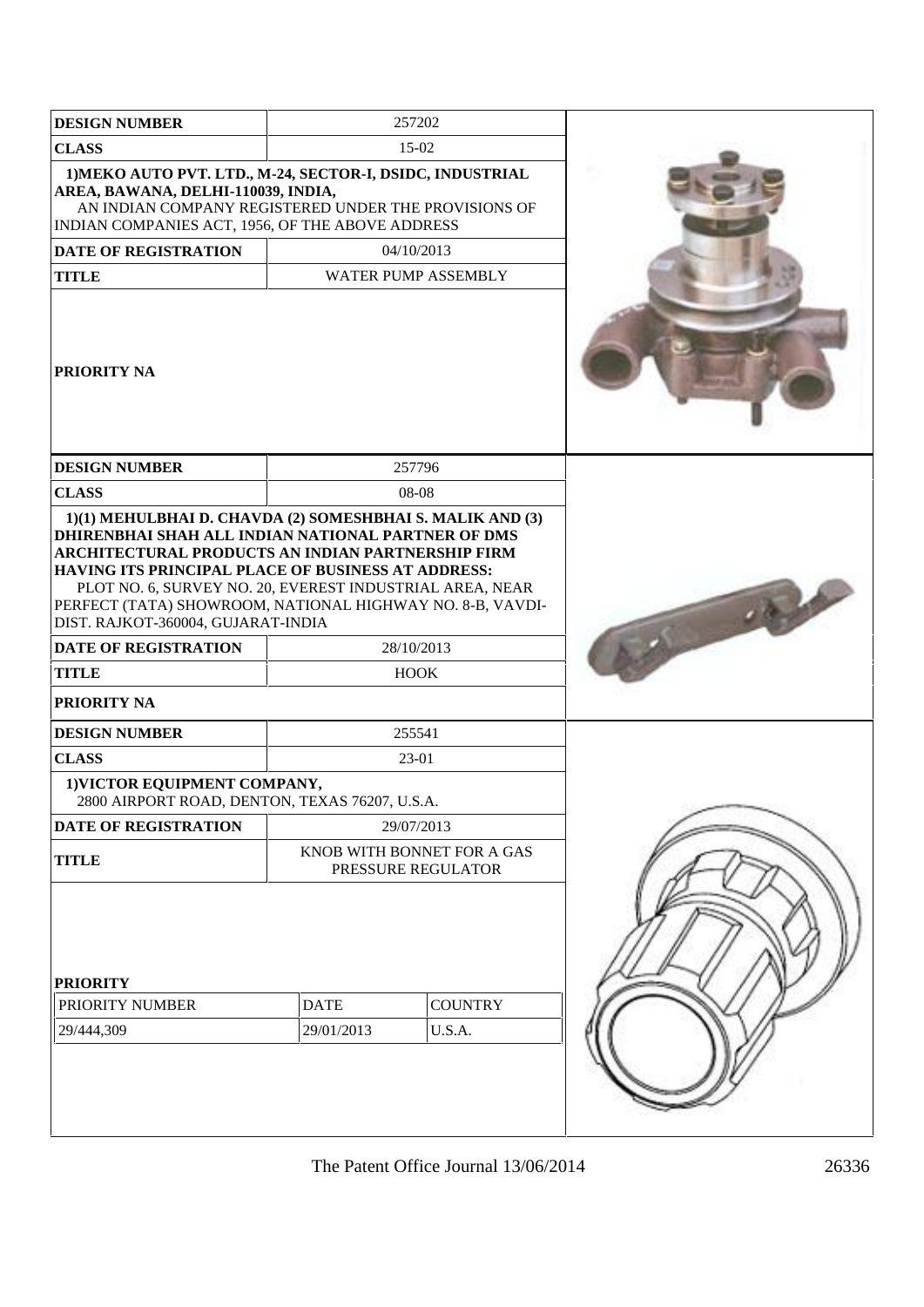| <b>DESIGN NUMBER</b>                                                                                    | 257202                                                                                                                                                                                                                                                                                                                     |  |
|---------------------------------------------------------------------------------------------------------|----------------------------------------------------------------------------------------------------------------------------------------------------------------------------------------------------------------------------------------------------------------------------------------------------------------------------|--|
| <b>CLASS</b>                                                                                            | 15-02                                                                                                                                                                                                                                                                                                                      |  |
| AREA, BAWANA, DELHI-110039, INDIA,<br>INDIAN COMPANIES ACT, 1956, OF THE ABOVE ADDRESS                  | 1) MEKO AUTO PVT. LTD., M-24, SECTOR-I, DSIDC, INDUSTRIAL<br>AN INDIAN COMPANY REGISTERED UNDER THE PROVISIONS OF                                                                                                                                                                                                          |  |
| <b>DATE OF REGISTRATION</b>                                                                             | 04/10/2013                                                                                                                                                                                                                                                                                                                 |  |
| <b>TITLE</b>                                                                                            | <b>WATER PUMP ASSEMBLY</b>                                                                                                                                                                                                                                                                                                 |  |
| <b>PRIORITY NA</b>                                                                                      |                                                                                                                                                                                                                                                                                                                            |  |
| <b>DESIGN NUMBER</b>                                                                                    | 257796                                                                                                                                                                                                                                                                                                                     |  |
| <b>CLASS</b>                                                                                            | 08-08                                                                                                                                                                                                                                                                                                                      |  |
| DIST. RAJKOT-360004, GUJARAT-INDIA<br><b>DATE OF REGISTRATION</b><br><b>TITLE</b><br><b>PRIORITY NA</b> | <b>DHIRENBHAI SHAH ALL INDIAN NATIONAL PARTNER OF DMS</b><br>ARCHITECTURAL PRODUCTS AN INDIAN PARTNERSHIP FIRM<br>HAVING ITS PRINCIPAL PLACE OF BUSINESS AT ADDRESS:<br>PLOT NO. 6, SURVEY NO. 20, EVEREST INDUSTRIAL AREA, NEAR<br>PERFECT (TATA) SHOWROOM, NATIONAL HIGHWAY NO. 8-B, VAVDI-<br>28/10/2013<br><b>HOOK</b> |  |
| <b>DESIGN NUMBER</b>                                                                                    | 255541                                                                                                                                                                                                                                                                                                                     |  |
| <b>CLASS</b>                                                                                            | 23-01                                                                                                                                                                                                                                                                                                                      |  |
| 1) VICTOR EQUIPMENT COMPANY,<br>2800 AIRPORT ROAD, DENTON, TEXAS 76207, U.S.A.                          |                                                                                                                                                                                                                                                                                                                            |  |
| DATE OF REGISTRATION                                                                                    | 29/07/2013                                                                                                                                                                                                                                                                                                                 |  |
| <b>TITLE</b>                                                                                            | KNOB WITH BONNET FOR A GAS<br>PRESSURE REGULATOR                                                                                                                                                                                                                                                                           |  |
| <b>PRIORITY</b><br>PRIORITY NUMBER<br>29/444,309                                                        | <b>COUNTRY</b><br><b>DATE</b><br>29/01/2013<br>U.S.A.                                                                                                                                                                                                                                                                      |  |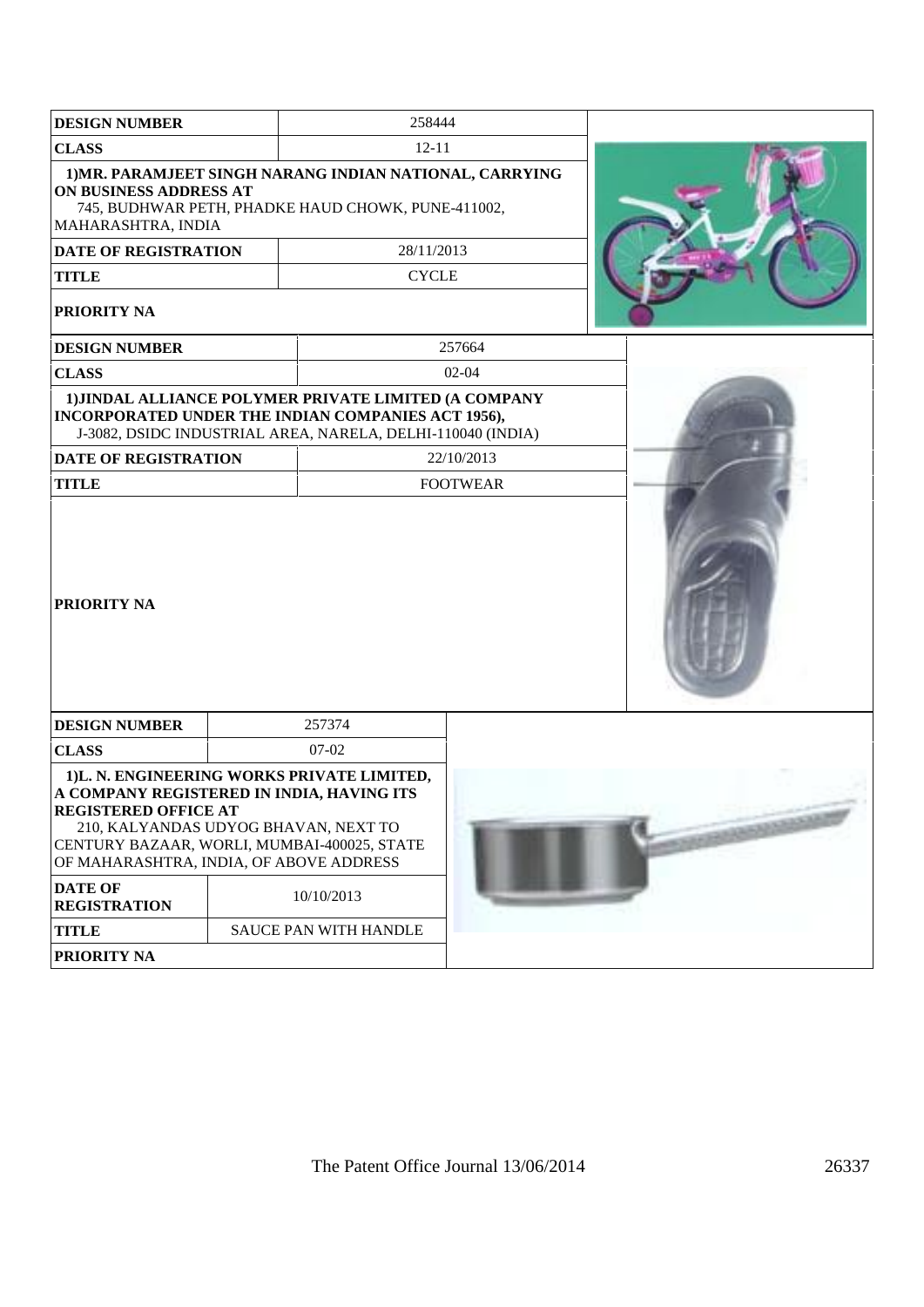| <b>DESIGN NUMBER</b>                                                                                                                                                                                                         | 258444                                                                                                                                                                     |                 |                  |
|------------------------------------------------------------------------------------------------------------------------------------------------------------------------------------------------------------------------------|----------------------------------------------------------------------------------------------------------------------------------------------------------------------------|-----------------|------------------|
| <b>CLASS</b>                                                                                                                                                                                                                 | $12 - 11$                                                                                                                                                                  |                 |                  |
| ON BUSINESS ADDRESS AT<br>MAHARASHTRA, INDIA                                                                                                                                                                                 | 1) MR. PARAMJEET SINGH NARANG INDIAN NATIONAL, CARRYING<br>745, BUDHWAR PETH, PHADKE HAUD CHOWK, PUNE-411002,                                                              |                 |                  |
| <b>DATE OF REGISTRATION</b>                                                                                                                                                                                                  | 28/11/2013                                                                                                                                                                 |                 |                  |
| <b>TITLE</b>                                                                                                                                                                                                                 | <b>CYCLE</b>                                                                                                                                                               |                 |                  |
| PRIORITY NA                                                                                                                                                                                                                  |                                                                                                                                                                            |                 |                  |
| <b>DESIGN NUMBER</b>                                                                                                                                                                                                         |                                                                                                                                                                            | 257664          |                  |
| <b>CLASS</b>                                                                                                                                                                                                                 |                                                                                                                                                                            | $02 - 04$       |                  |
|                                                                                                                                                                                                                              | 1) JINDAL ALLIANCE POLYMER PRIVATE LIMITED (A COMPANY<br>INCORPORATED UNDER THE INDIAN COMPANIES ACT 1956),<br>J-3082, DSIDC INDUSTRIAL AREA, NARELA, DELHI-110040 (INDIA) |                 |                  |
| <b>DATE OF REGISTRATION</b>                                                                                                                                                                                                  |                                                                                                                                                                            | 22/10/2013      |                  |
| <b>TITLE</b>                                                                                                                                                                                                                 |                                                                                                                                                                            | <b>FOOTWEAR</b> |                  |
| PRIORITY NA                                                                                                                                                                                                                  |                                                                                                                                                                            |                 |                  |
| <b>DESIGN NUMBER</b>                                                                                                                                                                                                         | 257374                                                                                                                                                                     |                 |                  |
| <b>CLASS</b>                                                                                                                                                                                                                 | $07 - 02$                                                                                                                                                                  |                 |                  |
| A COMPANY REGISTERED IN INDIA, HAVING ITS<br><b>REGISTERED OFFICE AT</b><br>210, KALYANDAS UDYOG BHAVAN, NEXT TO<br>CENTURY BAZAAR, WORLI, MUMBAI-400025, STATE<br>OF MAHARASHTRA, INDIA, OF ABOVE ADDRESS<br><b>DATE OF</b> | 1)L. N. ENGINEERING WORKS PRIVATE LIMITED,<br>10/10/2013                                                                                                                   |                 | <b>BRANCHOOR</b> |
| <b>REGISTRATION</b>                                                                                                                                                                                                          |                                                                                                                                                                            |                 |                  |
| <b>TITLE</b>                                                                                                                                                                                                                 | SAUCE PAN WITH HANDLE                                                                                                                                                      |                 |                  |
| PRIORITY NA                                                                                                                                                                                                                  |                                                                                                                                                                            |                 |                  |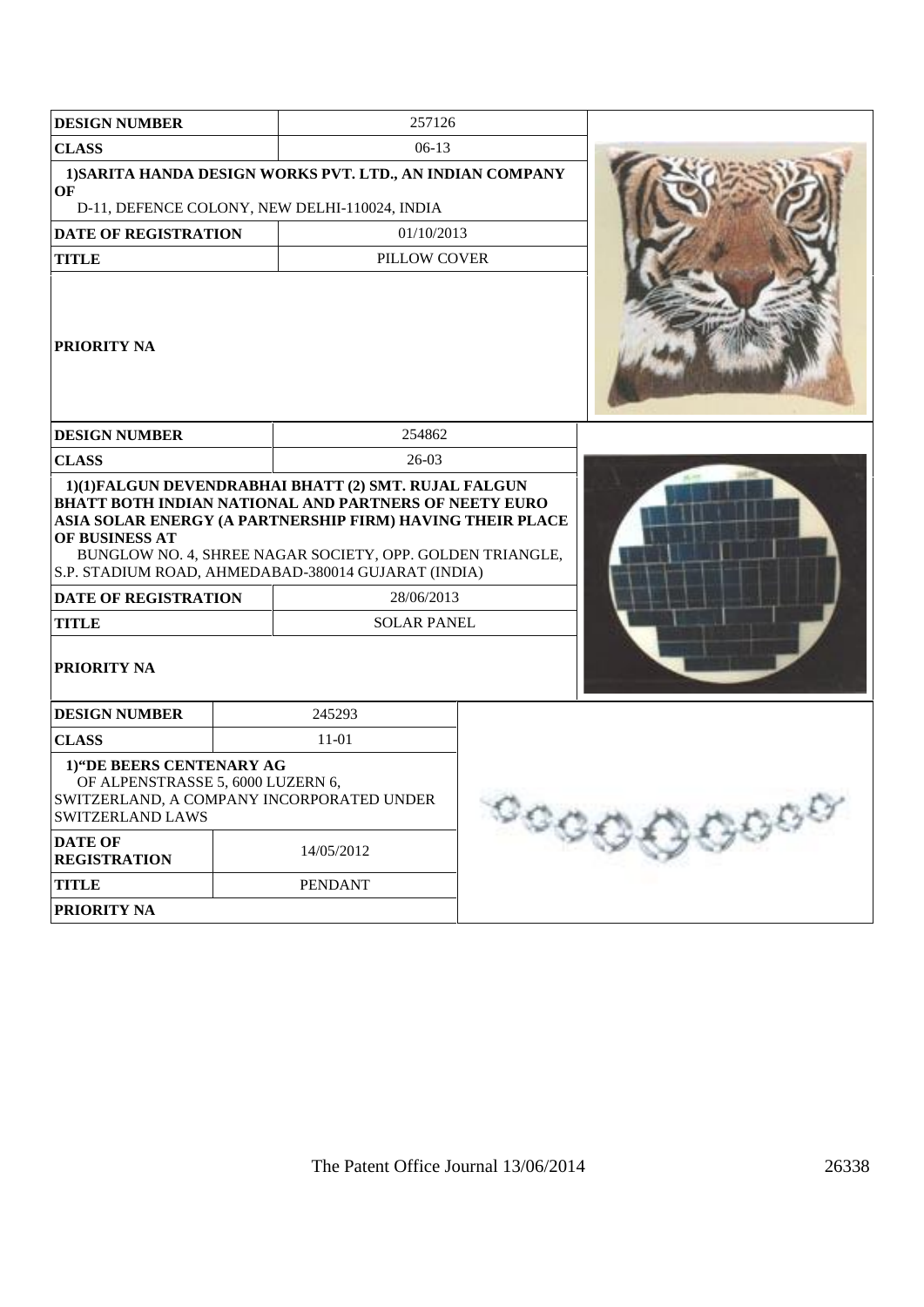| <b>DESIGN NUMBER</b>                                                               |  | 257126                                                                                                                                                                                                                                                                                         |                                           |      |
|------------------------------------------------------------------------------------|--|------------------------------------------------------------------------------------------------------------------------------------------------------------------------------------------------------------------------------------------------------------------------------------------------|-------------------------------------------|------|
| <b>CLASS</b>                                                                       |  | $06-13$                                                                                                                                                                                                                                                                                        |                                           |      |
| OF                                                                                 |  | 1) SARITA HANDA DESIGN WORKS PVT. LTD., AN INDIAN COMPANY<br>D-11, DEFENCE COLONY, NEW DELHI-110024, INDIA                                                                                                                                                                                     |                                           |      |
| <b>DATE OF REGISTRATION</b>                                                        |  | 01/10/2013                                                                                                                                                                                                                                                                                     |                                           |      |
| <b>TITLE</b>                                                                       |  | PILLOW COVER                                                                                                                                                                                                                                                                                   |                                           |      |
| <b>PRIORITY NA</b>                                                                 |  |                                                                                                                                                                                                                                                                                                |                                           |      |
| <b>DESIGN NUMBER</b>                                                               |  | 254862                                                                                                                                                                                                                                                                                         |                                           |      |
| <b>CLASS</b>                                                                       |  | $26-03$                                                                                                                                                                                                                                                                                        |                                           |      |
| OF BUSINESS AT                                                                     |  | 1)(1)FALGUN DEVENDRABHAI BHATT (2) SMT. RUJAL FALGUN<br>BHATT BOTH INDIAN NATIONAL AND PARTNERS OF NEETY EURO<br>ASIA SOLAR ENERGY (A PARTNERSHIP FIRM) HAVING THEIR PLACE<br>BUNGLOW NO. 4, SHREE NAGAR SOCIETY, OPP. GOLDEN TRIANGLE,<br>S.P. STADIUM ROAD, AHMEDABAD-380014 GUJARAT (INDIA) |                                           |      |
| <b>DATE OF REGISTRATION</b>                                                        |  | 28/06/2013                                                                                                                                                                                                                                                                                     |                                           |      |
| <b>TITLE</b>                                                                       |  | <b>SOLAR PANEL</b>                                                                                                                                                                                                                                                                             |                                           |      |
| PRIORITY NA                                                                        |  |                                                                                                                                                                                                                                                                                                |                                           |      |
| <b>DESIGN NUMBER</b>                                                               |  | 245293                                                                                                                                                                                                                                                                                         |                                           |      |
| <b>CLASS</b>                                                                       |  | $11 - 01$                                                                                                                                                                                                                                                                                      |                                           |      |
| 1) "DE BEERS CENTENARY AG<br>OF ALPENSTRASSE 5, 6000 LUZERN 6,<br>SWITZERLAND LAWS |  | SWITZERLAND, A COMPANY INCORPORATED UNDER                                                                                                                                                                                                                                                      | $\circ_{\mathcal{O}_{\mathcal{Q}_{\xi}}}$ | 9999 |
| <b>DATE OF</b><br><b>REGISTRATION</b>                                              |  | 14/05/2012                                                                                                                                                                                                                                                                                     |                                           |      |
| <b>TITLE</b>                                                                       |  | <b>PENDANT</b>                                                                                                                                                                                                                                                                                 |                                           |      |
| PRIORITY NA                                                                        |  |                                                                                                                                                                                                                                                                                                |                                           |      |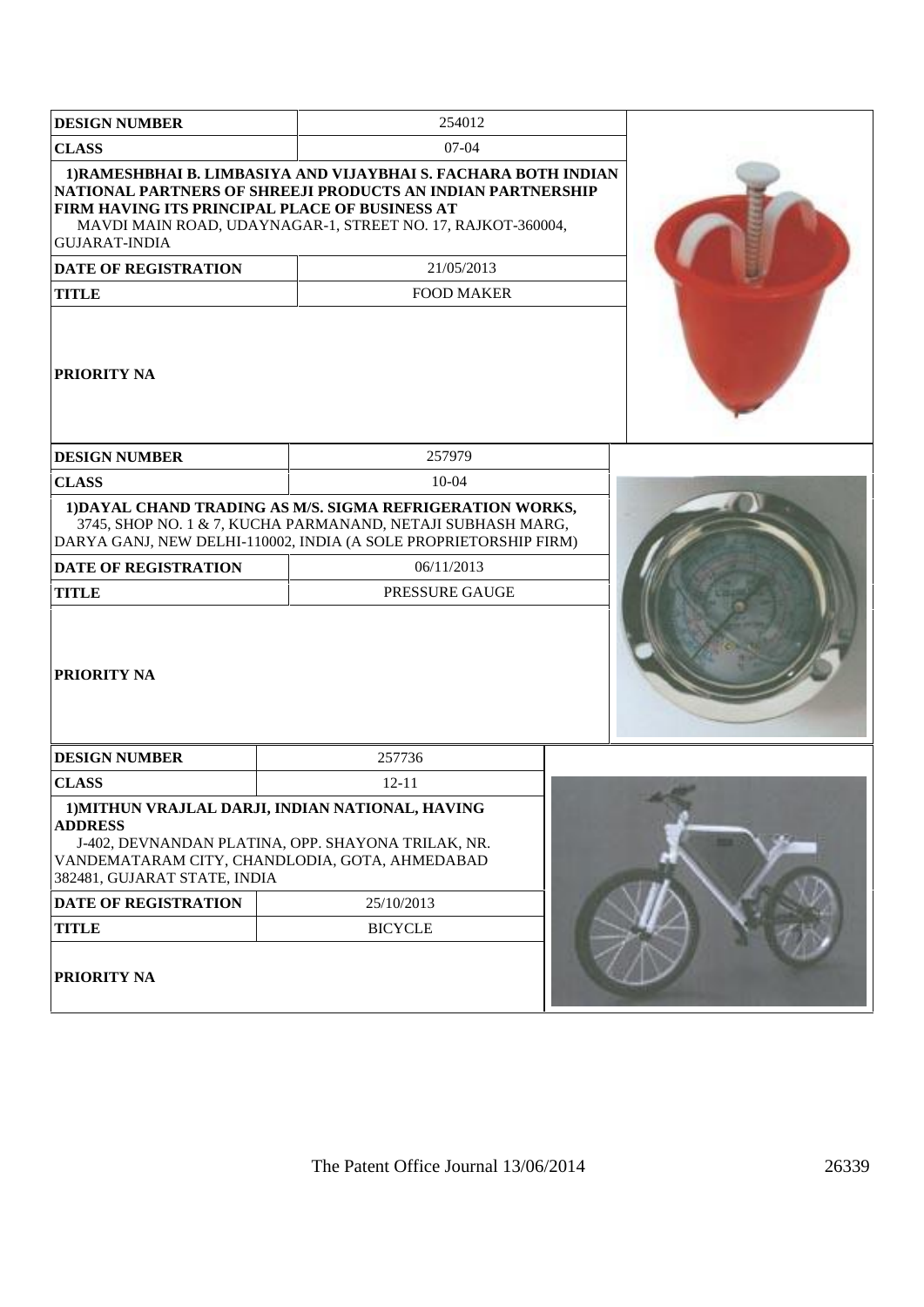| <b>DESIGN NUMBER</b>                                                                                                          | 254012                                                                                                                                                                                                                           |  |
|-------------------------------------------------------------------------------------------------------------------------------|----------------------------------------------------------------------------------------------------------------------------------------------------------------------------------------------------------------------------------|--|
| <b>CLASS</b>                                                                                                                  | $07-04$                                                                                                                                                                                                                          |  |
| FIRM HAVING ITS PRINCIPAL PLACE OF BUSINESS AT<br><b>GUJARAT-INDIA</b><br>DATE OF REGISTRATION<br><b>TITLE</b><br>PRIORITY NA | 1) RAMESHBHAI B. LIMBASIYA AND VIJAYBHAI S. FACHARA BOTH INDIAN<br>NATIONAL PARTNERS OF SHREEJI PRODUCTS AN INDIAN PARTNERSHIP<br>MAVDI MAIN ROAD, UDAYNAGAR-1, STREET NO. 17, RAJKOT-360004,<br>21/05/2013<br><b>FOOD MAKER</b> |  |
| <b>DESIGN NUMBER</b>                                                                                                          | 257979                                                                                                                                                                                                                           |  |
| <b>CLASS</b>                                                                                                                  | $10 - 04$                                                                                                                                                                                                                        |  |
|                                                                                                                               | 1) DAYAL CHAND TRADING AS M/S. SIGMA REFRIGERATION WORKS,<br>3745, SHOP NO. 1 & 7, KUCHA PARMANAND, NETAJI SUBHASH MARG,<br>DARYA GANJ, NEW DELHI-110002, INDIA (A SOLE PROPRIETORSHIP FIRM)                                     |  |
| <b>DATE OF REGISTRATION</b>                                                                                                   | 06/11/2013                                                                                                                                                                                                                       |  |
| <b>TITLE</b>                                                                                                                  | PRESSURE GAUGE                                                                                                                                                                                                                   |  |
| PRIORITY NA                                                                                                                   |                                                                                                                                                                                                                                  |  |
| <b>DESIGN NUMBER</b>                                                                                                          | 257736                                                                                                                                                                                                                           |  |
| <b>CLASS</b>                                                                                                                  | $12 - 11$                                                                                                                                                                                                                        |  |
| <b>ADDRESS</b><br>382481, GUJARAT STATE, INDIA                                                                                | 1) MITHUN VRAJLAL DARJI, INDIAN NATIONAL, HAVING<br>J-402, DEVNANDAN PLATINA, OPP. SHAYONA TRILAK, NR.<br>VANDEMATARAM CITY, CHANDLODIA, GOTA, AHMEDABAD                                                                         |  |
| <b>DATE OF REGISTRATION</b>                                                                                                   | 25/10/2013                                                                                                                                                                                                                       |  |
| <b>TITLE</b>                                                                                                                  | <b>BICYCLE</b>                                                                                                                                                                                                                   |  |
| PRIORITY NA                                                                                                                   |                                                                                                                                                                                                                                  |  |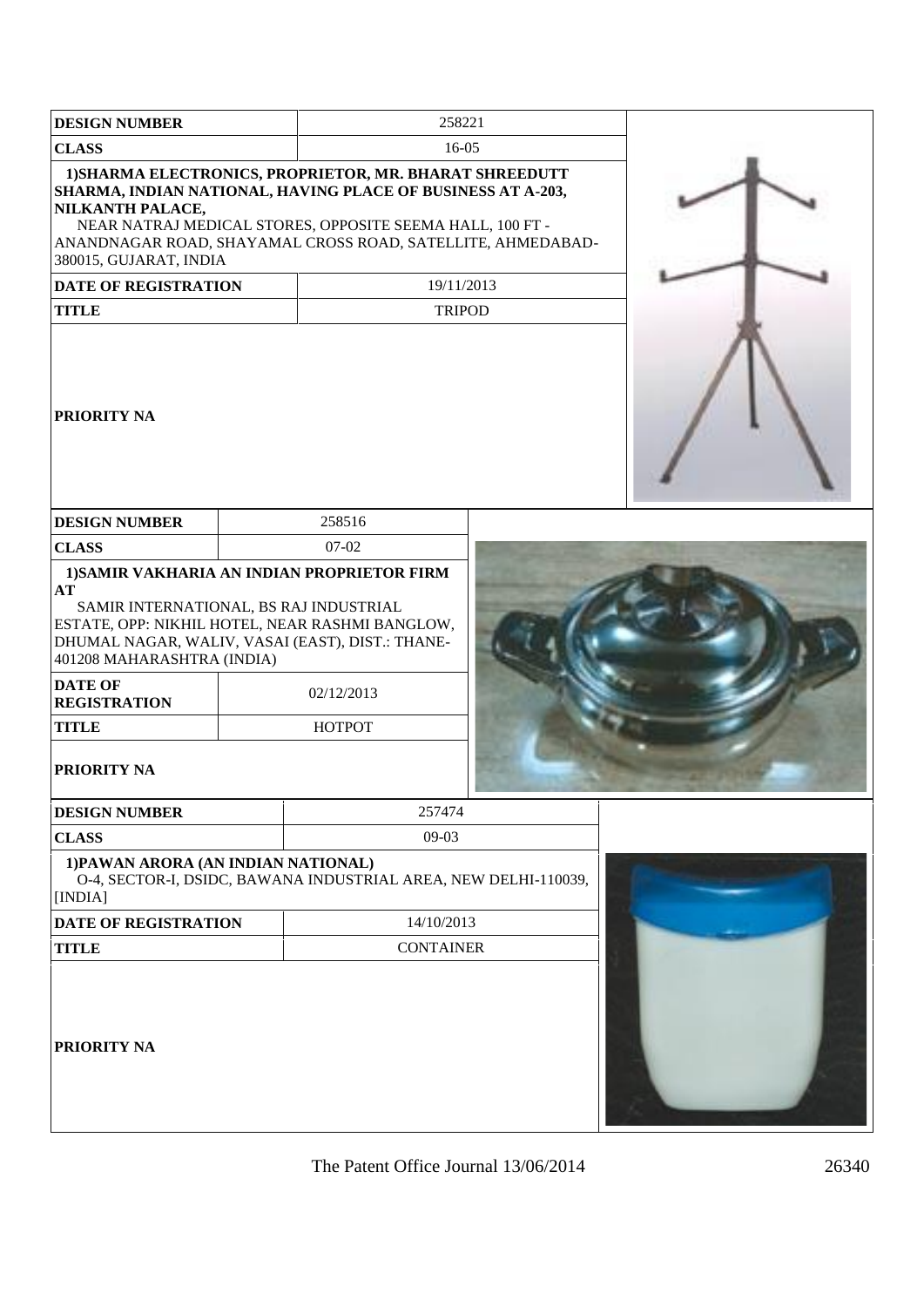| <b>DESIGN NUMBER</b>                                                                                                                                                                                                                       |  |                                                                                                                                                                                                                                                    | 258221 |  |  |
|--------------------------------------------------------------------------------------------------------------------------------------------------------------------------------------------------------------------------------------------|--|----------------------------------------------------------------------------------------------------------------------------------------------------------------------------------------------------------------------------------------------------|--------|--|--|
| <b>CLASS</b>                                                                                                                                                                                                                               |  | $16-05$                                                                                                                                                                                                                                            |        |  |  |
| NILKANTH PALACE,<br>380015, GUJARAT, INDIA                                                                                                                                                                                                 |  | 1) SHARMA ELECTRONICS, PROPRIETOR, MR. BHARAT SHREEDUTT<br>SHARMA, INDIAN NATIONAL, HAVING PLACE OF BUSINESS AT A-203,<br>NEAR NATRAJ MEDICAL STORES, OPPOSITE SEEMA HALL, 100 FT -<br>ANANDNAGAR ROAD, SHAYAMAL CROSS ROAD, SATELLITE, AHMEDABAD- |        |  |  |
| DATE OF REGISTRATION                                                                                                                                                                                                                       |  | 19/11/2013                                                                                                                                                                                                                                         |        |  |  |
| <b>TITLE</b>                                                                                                                                                                                                                               |  | <b>TRIPOD</b>                                                                                                                                                                                                                                      |        |  |  |
| <b>PRIORITY NA</b>                                                                                                                                                                                                                         |  |                                                                                                                                                                                                                                                    |        |  |  |
| <b>DESIGN NUMBER</b>                                                                                                                                                                                                                       |  | 258516                                                                                                                                                                                                                                             |        |  |  |
| <b>CLASS</b>                                                                                                                                                                                                                               |  | $07 - 02$                                                                                                                                                                                                                                          |        |  |  |
| AT<br>SAMIR INTERNATIONAL, BS RAJ INDUSTRIAL<br>ESTATE, OPP: NIKHIL HOTEL, NEAR RASHMI BANGLOW,<br>DHUMAL NAGAR, WALIV, VASAI (EAST), DIST.: THANE-<br>401208 MAHARASHTRA (INDIA)<br><b>DATE OF</b><br><b>REGISTRATION</b><br><b>TITLE</b> |  | 1) SAMIR VAKHARIA AN INDIAN PROPRIETOR FIRM<br>02/12/2013<br><b>HOTPOT</b>                                                                                                                                                                         |        |  |  |
| <b>PRIORITY NA</b>                                                                                                                                                                                                                         |  |                                                                                                                                                                                                                                                    |        |  |  |
| <b>DESIGN NUMBER</b>                                                                                                                                                                                                                       |  | 257474                                                                                                                                                                                                                                             |        |  |  |
| <b>CLASS</b>                                                                                                                                                                                                                               |  | $09-03$                                                                                                                                                                                                                                            |        |  |  |
| 1) PAWAN ARORA (AN INDIAN NATIONAL)<br>[INDIA]                                                                                                                                                                                             |  | O-4, SECTOR-I, DSIDC, BAWANA INDUSTRIAL AREA, NEW DELHI-110039,                                                                                                                                                                                    |        |  |  |
| <b>DATE OF REGISTRATION</b>                                                                                                                                                                                                                |  | 14/10/2013                                                                                                                                                                                                                                         |        |  |  |
| <b>TITLE</b>                                                                                                                                                                                                                               |  | <b>CONTAINER</b>                                                                                                                                                                                                                                   |        |  |  |
| <b>PRIORITY NA</b>                                                                                                                                                                                                                         |  |                                                                                                                                                                                                                                                    |        |  |  |